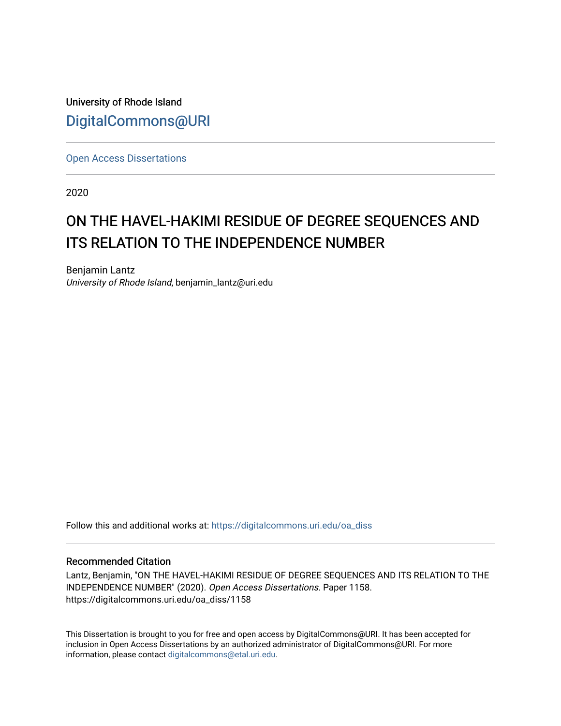University of Rhode Island [DigitalCommons@URI](https://digitalcommons.uri.edu/) 

[Open Access Dissertations](https://digitalcommons.uri.edu/oa_diss) 

2020

# ON THE HAVEL-HAKIMI RESIDUE OF DEGREE SEQUENCES AND ITS RELATION TO THE INDEPENDENCE NUMBER

Benjamin Lantz University of Rhode Island, benjamin\_lantz@uri.edu

Follow this and additional works at: [https://digitalcommons.uri.edu/oa\\_diss](https://digitalcommons.uri.edu/oa_diss?utm_source=digitalcommons.uri.edu%2Foa_diss%2F1158&utm_medium=PDF&utm_campaign=PDFCoverPages) 

#### Recommended Citation

Lantz, Benjamin, "ON THE HAVEL-HAKIMI RESIDUE OF DEGREE SEQUENCES AND ITS RELATION TO THE INDEPENDENCE NUMBER" (2020). Open Access Dissertations. Paper 1158. https://digitalcommons.uri.edu/oa\_diss/1158

This Dissertation is brought to you for free and open access by DigitalCommons@URI. It has been accepted for inclusion in Open Access Dissertations by an authorized administrator of DigitalCommons@URI. For more information, please contact [digitalcommons@etal.uri.edu.](mailto:digitalcommons@etal.uri.edu)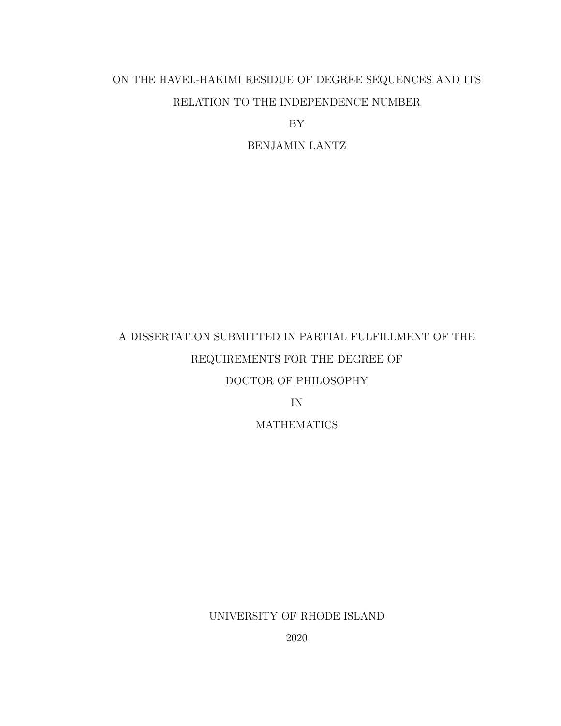## ON THE HAVEL-HAKIMI RESIDUE OF DEGREE SEQUENCES AND ITS RELATION TO THE INDEPENDENCE NUMBER

BY

BENJAMIN LANTZ

# A DISSERTATION SUBMITTED IN PARTIAL FULFILLMENT OF THE REQUIREMENTS FOR THE DEGREE OF DOCTOR OF PHILOSOPHY

IN

**MATHEMATICS** 

UNIVERSITY OF RHODE ISLAND

2020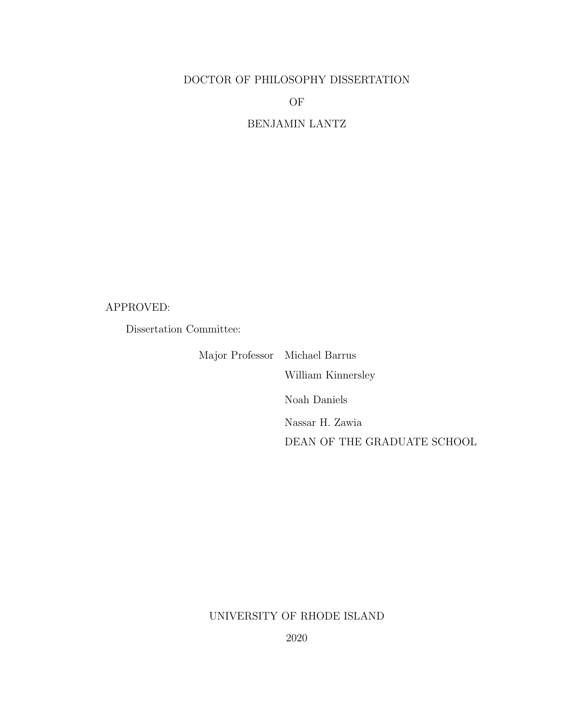### DOCTOR OF PHILOSOPHY DISSERTATION

OF

BENJAMIN LANTZ

#### APPROVED:

Dissertation Committee:

Major Professor Michael Barrus William Kinnersley Noah Daniels Nassar H. Zawia DEAN OF THE GRADUATE SCHOOL

## UNIVERSITY OF RHODE ISLAND

2020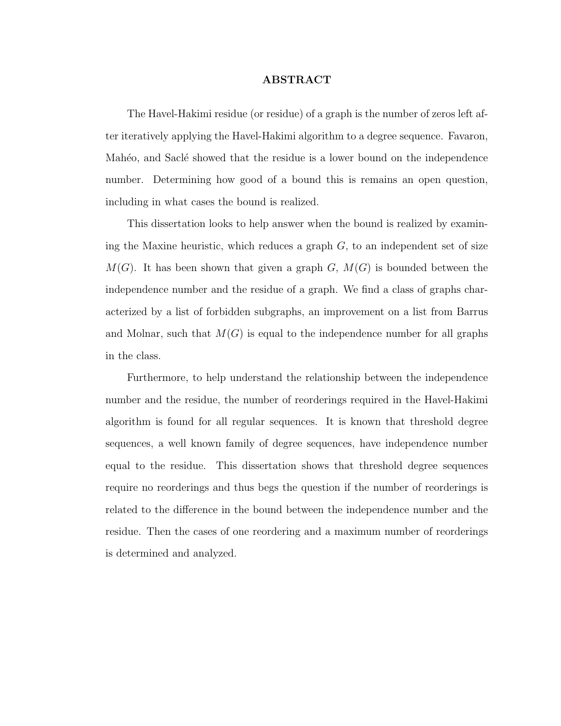#### ABSTRACT

<span id="page-3-0"></span>The Havel-Hakimi residue (or residue) of a graph is the number of zeros left after iteratively applying the Havel-Hakimi algorithm to a degree sequence. Favaron, Mahéo, and Saclé showed that the residue is a lower bound on the independence number. Determining how good of a bound this is remains an open question, including in what cases the bound is realized.

This dissertation looks to help answer when the bound is realized by examining the Maxine heuristic, which reduces a graph  $G$ , to an independent set of size  $M(G)$ . It has been shown that given a graph G,  $M(G)$  is bounded between the independence number and the residue of a graph. We find a class of graphs characterized by a list of forbidden subgraphs, an improvement on a list from Barrus and Molnar, such that  $M(G)$  is equal to the independence number for all graphs in the class.

Furthermore, to help understand the relationship between the independence number and the residue, the number of reorderings required in the Havel-Hakimi algorithm is found for all regular sequences. It is known that threshold degree sequences, a well known family of degree sequences, have independence number equal to the residue. This dissertation shows that threshold degree sequences require no reorderings and thus begs the question if the number of reorderings is related to the difference in the bound between the independence number and the residue. Then the cases of one reordering and a maximum number of reorderings is determined and analyzed.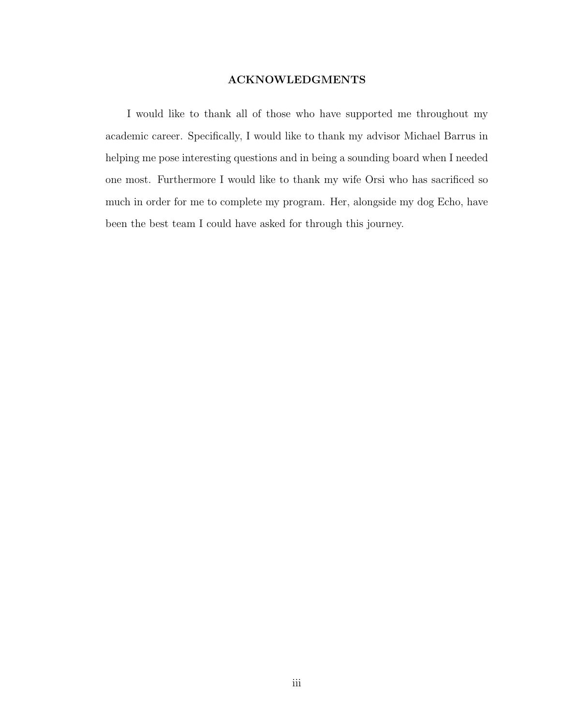#### ACKNOWLEDGMENTS

<span id="page-4-0"></span>I would like to thank all of those who have supported me throughout my academic career. Specifically, I would like to thank my advisor Michael Barrus in helping me pose interesting questions and in being a sounding board when I needed one most. Furthermore I would like to thank my wife Orsi who has sacrificed so much in order for me to complete my program. Her, alongside my dog Echo, have been the best team I could have asked for through this journey.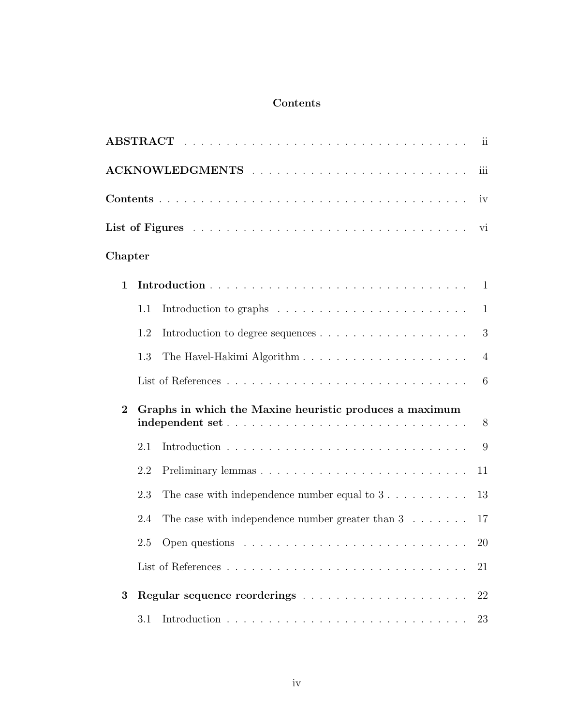## Contents

<span id="page-5-0"></span>

|              |     |                                                                                            | ii             |
|--------------|-----|--------------------------------------------------------------------------------------------|----------------|
|              |     |                                                                                            | iii            |
|              |     |                                                                                            | iv             |
|              |     |                                                                                            | vi             |
| Chapter      |     |                                                                                            |                |
| $\mathbf{1}$ |     |                                                                                            | -1             |
|              | 1.1 |                                                                                            | 1              |
|              | 1.2 |                                                                                            | 3              |
|              | 1.3 |                                                                                            | $\overline{4}$ |
|              |     |                                                                                            | 6              |
| $\mathbf{2}$ |     | Graphs in which the Maxine heuristic produces a maximum<br>independent set                 | 8              |
|              | 2.1 |                                                                                            | 9              |
|              | 2.2 |                                                                                            | 11             |
|              | 2.3 | The case with independence number equal to $3 \ldots \ldots \ldots$                        | 13             |
|              | 2.4 | The case with independence number greater than $3 \ldots \ldots$                           | 17             |
|              |     | 2.5 Open questions $\ldots \ldots \ldots \ldots \ldots \ldots \ldots \ldots \ldots \ldots$ | 20             |
|              |     |                                                                                            | 21             |
| 3            |     |                                                                                            | 22             |
|              | 3.1 |                                                                                            | 23             |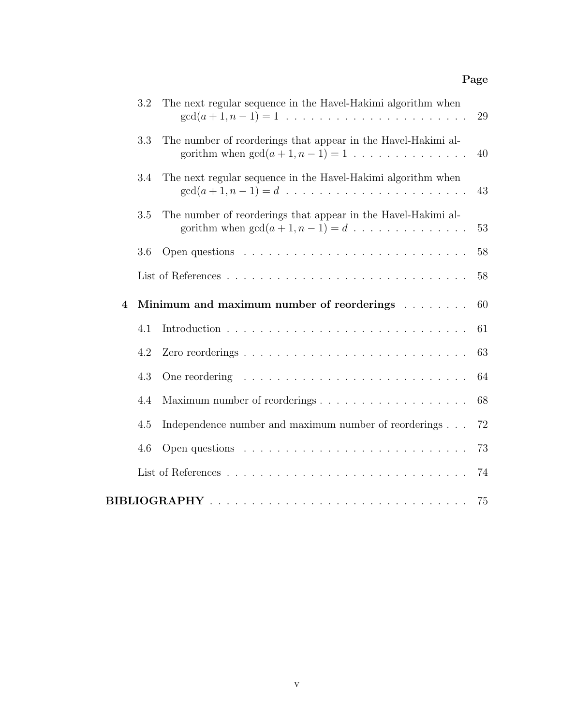## Page

|                  | 3.2 | The next regular sequence in the Havel-Hakimi algorithm when                                                                                  | 29 |
|------------------|-----|-----------------------------------------------------------------------------------------------------------------------------------------------|----|
|                  | 3.3 | The number of reorderings that appear in the Havel-Hakimi al-<br>gorithm when $gcd(a + 1, n - 1) = 1$                                         | 40 |
|                  | 3.4 | The next regular sequence in the Havel-Hakimi algorithm when<br>$gcd(a + 1, n - 1) = d \dots \dots \dots \dots \dots \dots \dots \dots \dots$ | 43 |
|                  | 3.5 | The number of reorderings that appear in the Havel-Hakimi al-<br>gorithm when $gcd(a + 1, n - 1) = d \dots \dots \dots \dots \dots$           | 53 |
|                  | 3.6 |                                                                                                                                               | 58 |
|                  |     |                                                                                                                                               | 58 |
| $\boldsymbol{4}$ |     | Minimum and maximum number of reorderings                                                                                                     | 60 |
|                  | 4.1 |                                                                                                                                               | 61 |
|                  | 4.2 |                                                                                                                                               | 63 |
|                  | 4.3 |                                                                                                                                               | 64 |
|                  | 4.4 |                                                                                                                                               | 68 |
|                  | 4.5 | Independence number and maximum number of reorderings                                                                                         | 72 |
|                  | 4.6 |                                                                                                                                               | 73 |
|                  |     |                                                                                                                                               | 74 |
|                  |     |                                                                                                                                               | 75 |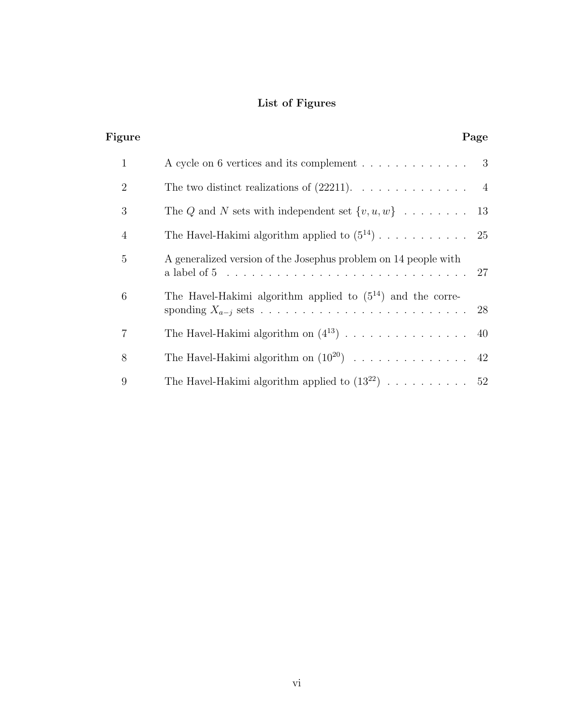## List of Figures

<span id="page-7-0"></span>

| Figure         |                                                                                 | Page |
|----------------|---------------------------------------------------------------------------------|------|
| $\mathbf{1}$   | A cycle on 6 vertices and its complement 3                                      |      |
| $\overline{2}$ | The two distinct realizations of $(22211)$ . 4                                  |      |
| 3              | The Q and N sets with independent set $\{v, u, w\}$ 13                          |      |
| $\overline{4}$ |                                                                                 |      |
| 5              | A generalized version of the Josephus problem on 14 people with<br>a label of 5 | 27   |
| 6              | The Havel-Hakimi algorithm applied to $(5^{14})$ and the corre-                 |      |
| 7              | The Havel-Hakimi algorithm on $(4^{13})$ 40                                     |      |
| 8              | The Havel-Hakimi algorithm on $(10^{20})$ 42                                    |      |
| 9              | The Havel-Hakimi algorithm applied to $(13^{22})$ 52                            |      |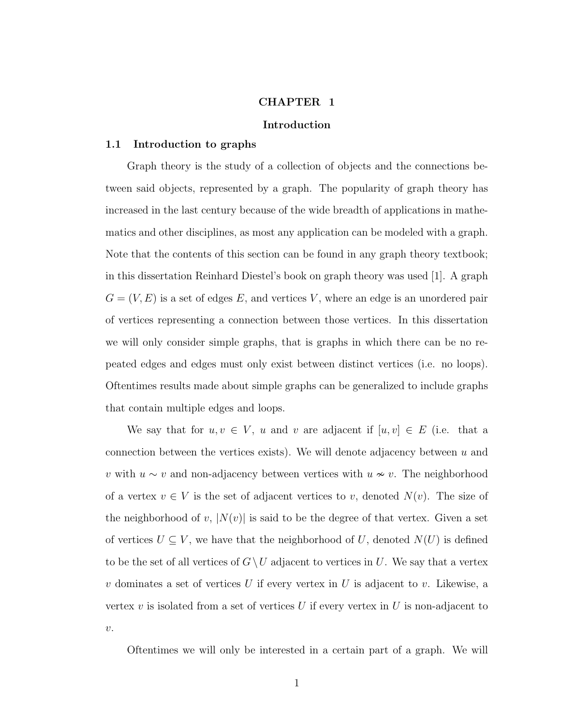#### CHAPTER 1

#### Introduction

#### <span id="page-8-1"></span><span id="page-8-0"></span>1.1 Introduction to graphs

Graph theory is the study of a collection of objects and the connections between said objects, represented by a graph. The popularity of graph theory has increased in the last century because of the wide breadth of applications in mathematics and other disciplines, as most any application can be modeled with a graph. Note that the contents of this section can be found in any graph theory textbook; in this dissertation Reinhard Diestel's book on graph theory was used [\[1\]](#page-13-1). A graph  $G = (V, E)$  is a set of edges E, and vertices V, where an edge is an unordered pair of vertices representing a connection between those vertices. In this dissertation we will only consider simple graphs, that is graphs in which there can be no repeated edges and edges must only exist between distinct vertices (i.e. no loops). Oftentimes results made about simple graphs can be generalized to include graphs that contain multiple edges and loops.

We say that for  $u, v \in V$ , u and v are adjacent if  $[u, v] \in E$  (i.e. that a connection between the vertices exists). We will denote adjacency between  $u$  and v with  $u \sim v$  and non-adjacency between vertices with  $u \sim v$ . The neighborhood of a vertex  $v \in V$  is the set of adjacent vertices to v, denoted  $N(v)$ . The size of the neighborhood of v,  $|N(v)|$  is said to be the degree of that vertex. Given a set of vertices  $U \subseteq V$ , we have that the neighborhood of U, denoted  $N(U)$  is defined to be the set of all vertices of  $G\setminus U$  adjacent to vertices in U. We say that a vertex  $v$  dominates a set of vertices  $U$  if every vertex in  $U$  is adjacent to  $v$ . Likewise, a vertex v is isolated from a set of vertices U if every vertex in U is non-adjacent to  $\upsilon$ .

Oftentimes we will only be interested in a certain part of a graph. We will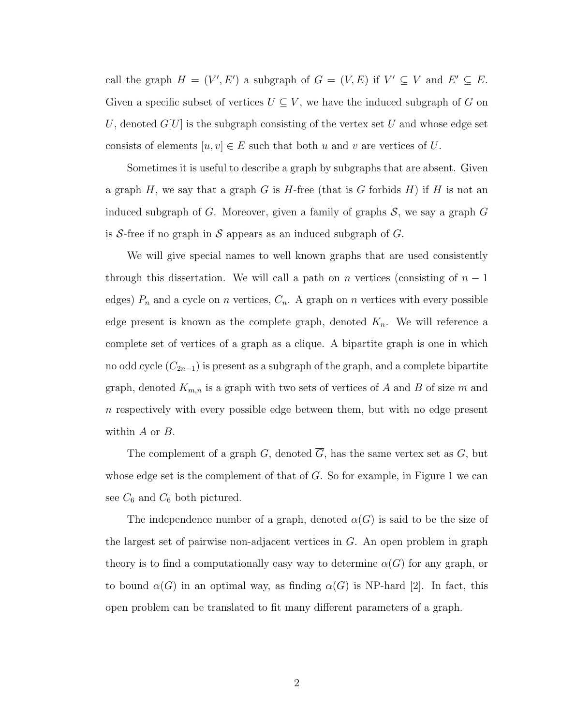call the graph  $H = (V', E')$  a subgraph of  $G = (V, E)$  if  $V' \subseteq V$  and  $E' \subseteq E$ . Given a specific subset of vertices  $U \subseteq V$ , we have the induced subgraph of G on U, denoted  $G[U]$  is the subgraph consisting of the vertex set U and whose edge set consists of elements  $[u, v] \in E$  such that both u and v are vertices of U.

Sometimes it is useful to describe a graph by subgraphs that are absent. Given a graph H, we say that a graph G is H-free (that is G forbids  $H$ ) if H is not an induced subgraph of G. Moreover, given a family of graphs  $S$ , we say a graph  $G$ is S-free if no graph in S appears as an induced subgraph of  $G$ .

We will give special names to well known graphs that are used consistently through this dissertation. We will call a path on n vertices (consisting of  $n-1$ edges)  $P_n$  and a cycle on n vertices,  $C_n$ . A graph on n vertices with every possible edge present is known as the complete graph, denoted  $K_n$ . We will reference a complete set of vertices of a graph as a clique. A bipartite graph is one in which no odd cycle  $(C_{2n-1})$  is present as a subgraph of the graph, and a complete bipartite graph, denoted  $K_{m,n}$  is a graph with two sets of vertices of A and B of size m and n respectively with every possible edge between them, but with no edge present within A or B.

The complement of a graph G, denoted  $\overline{G}$ , has the same vertex set as G, but whose edge set is the complement of that of  $G$ . So for example, in Figure [1](#page-10-1) we can see  $C_6$  and  $\overline{C_6}$  both pictured.

The independence number of a graph, denoted  $\alpha(G)$  is said to be the size of the largest set of pairwise non-adjacent vertices in G. An open problem in graph theory is to find a computationally easy way to determine  $\alpha(G)$  for any graph, or to bound  $\alpha(G)$  in an optimal way, as finding  $\alpha(G)$  is NP-hard [\[2\]](#page-13-2). In fact, this open problem can be translated to fit many different parameters of a graph.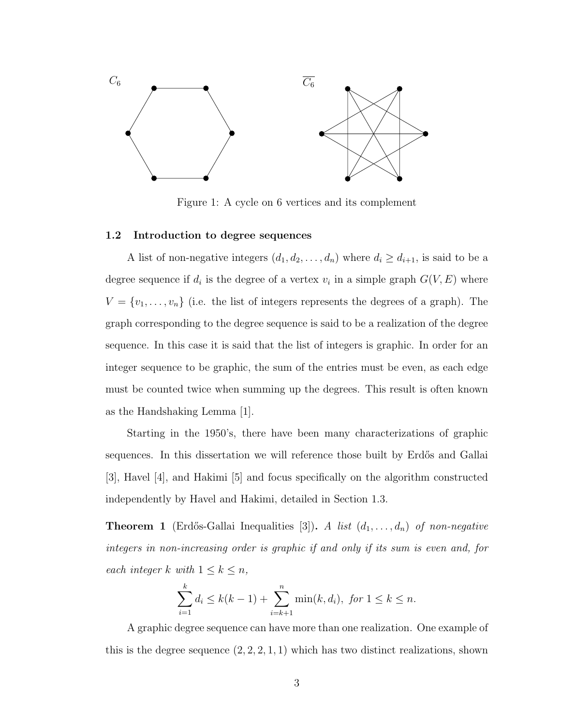<span id="page-10-1"></span>

Figure 1: A cycle on 6 vertices and its complement

#### <span id="page-10-0"></span>1.2 Introduction to degree sequences

A list of non-negative integers  $(d_1, d_2, \ldots, d_n)$  where  $d_i \geq d_{i+1}$ , is said to be a degree sequence if  $d_i$  is the degree of a vertex  $v_i$  in a simple graph  $G(V, E)$  where  $V = \{v_1, \ldots, v_n\}$  (i.e. the list of integers represents the degrees of a graph). The graph corresponding to the degree sequence is said to be a realization of the degree sequence. In this case it is said that the list of integers is graphic. In order for an integer sequence to be graphic, the sum of the entries must be even, as each edge must be counted twice when summing up the degrees. This result is often known as the Handshaking Lemma [\[1\]](#page-13-1).

Starting in the 1950's, there have been many characterizations of graphic sequences. In this dissertation we will reference those built by Erdős and Gallai [\[3\]](#page-13-3), Havel [\[4\]](#page-13-4), and Hakimi [\[5\]](#page-13-5) and focus specifically on the algorithm constructed independently by Havel and Hakimi, detailed in Section [1.3.](#page-11-0)

**Theorem 1** (Erdős-Gallai Inequalities [\[3\]](#page-13-3)). A list  $(d_1, \ldots, d_n)$  of non-negative integers in non-increasing order is graphic if and only if its sum is even and, for each integer k with  $1 \leq k \leq n$ ,

$$
\sum_{i=1}^{k} d_i \le k(k-1) + \sum_{i=k+1}^{n} \min(k, d_i), \text{ for } 1 \le k \le n.
$$

A graphic degree sequence can have more than one realization. One example of this is the degree sequence  $(2, 2, 2, 1, 1)$  which has two distinct realizations, shown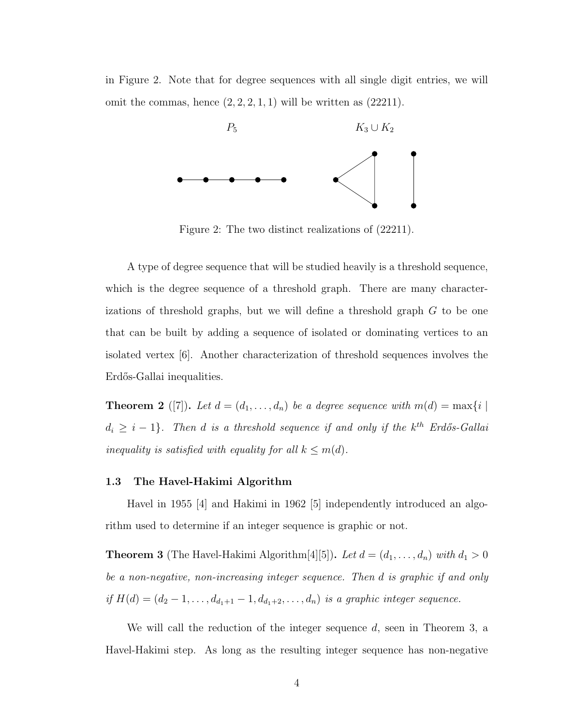<span id="page-11-1"></span>in Figure [2.](#page-11-1) Note that for degree sequences with all single digit entries, we will omit the commas, hence  $(2, 2, 2, 1, 1)$  will be written as  $(22211)$ .



Figure 2: The two distinct realizations of (22211).

A type of degree sequence that will be studied heavily is a threshold sequence, which is the degree sequence of a threshold graph. There are many characterizations of threshold graphs, but we will define a threshold graph G to be one that can be built by adding a sequence of isolated or dominating vertices to an isolated vertex [\[6\]](#page-14-0). Another characterization of threshold sequences involves the Erdős-Gallai inequalities.

**Theorem 2** ([\[7\]](#page-14-1)). Let  $d = (d_1, \ldots, d_n)$  be a degree sequence with  $m(d) = \max\{i \mid d\}$  $d_i \geq i-1$ }. Then d is a threshold sequence if and only if the  $k^{th}$  Erdős-Gallai inequality is satisfied with equality for all  $k \leq m(d)$ .

#### <span id="page-11-0"></span>1.3 The Havel-Hakimi Algorithm

Havel in 1955 [\[4\]](#page-13-4) and Hakimi in 1962 [\[5\]](#page-13-5) independently introduced an algorithm used to determine if an integer sequence is graphic or not.

<span id="page-11-2"></span>**Theorem 3** (The Havel-Hakimi Algorithm[\[4\]](#page-13-4)[\[5\]](#page-13-5)). Let  $d = (d_1, \ldots, d_n)$  with  $d_1 > 0$ be a non-negative, non-increasing integer sequence. Then d is graphic if and only if  $H(d) = (d_2 - 1, \ldots, d_{d_1+1} - 1, d_{d_1+2}, \ldots, d_n)$  is a graphic integer sequence.

We will call the reduction of the integer sequence  $d$ , seen in Theorem [3,](#page-11-2) a Havel-Hakimi step. As long as the resulting integer sequence has non-negative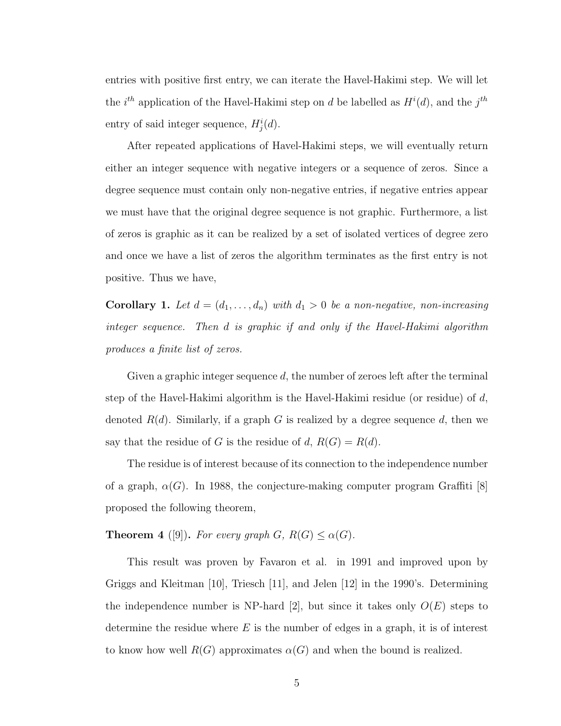entries with positive first entry, we can iterate the Havel-Hakimi step. We will let the *i*<sup>th</sup> application of the Havel-Hakimi step on d be labelled as  $H^{i}(d)$ , and the j<sup>th</sup> entry of said integer sequence,  $H_j^i(d)$ .

After repeated applications of Havel-Hakimi steps, we will eventually return either an integer sequence with negative integers or a sequence of zeros. Since a degree sequence must contain only non-negative entries, if negative entries appear we must have that the original degree sequence is not graphic. Furthermore, a list of zeros is graphic as it can be realized by a set of isolated vertices of degree zero and once we have a list of zeros the algorithm terminates as the first entry is not positive. Thus we have,

**Corollary 1.** Let  $d = (d_1, \ldots, d_n)$  with  $d_1 > 0$  be a non-negative, non-increasing integer sequence. Then d is graphic if and only if the Havel-Hakimi algorithm produces a finite list of zeros.

Given a graphic integer sequence  $d$ , the number of zeroes left after the terminal step of the Havel-Hakimi algorithm is the Havel-Hakimi residue (or residue) of  $d$ , denoted  $R(d)$ . Similarly, if a graph G is realized by a degree sequence d, then we say that the residue of G is the residue of d,  $R(G) = R(d)$ .

The residue is of interest because of its connection to the independence number of a graph,  $\alpha(G)$ . In 1988, the conjecture-making computer program Graffiti [\[8\]](#page-14-2) proposed the following theorem,

**Theorem 4** ([\[9\]](#page-14-3)). For every graph  $G$ ,  $R(G) \leq \alpha(G)$ .

This result was proven by Favaron et al. in 1991 and improved upon by Griggs and Kleitman [\[10\]](#page-14-4), Triesch [\[11\]](#page-14-5), and Jelen [\[12\]](#page-14-6) in the 1990's. Determining the independence number is NP-hard [\[2\]](#page-13-2), but since it takes only  $O(E)$  steps to determine the residue where  $E$  is the number of edges in a graph, it is of interest to know how well  $R(G)$  approximates  $\alpha(G)$  and when the bound is realized.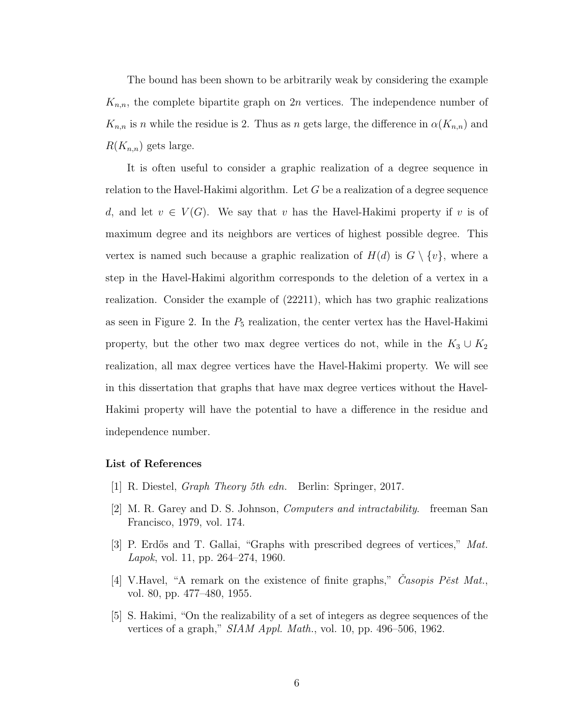The bound has been shown to be arbitrarily weak by considering the example  $K_{n,n}$ , the complete bipartite graph on 2n vertices. The independence number of  $K_{n,n}$  is n while the residue is 2. Thus as n gets large, the difference in  $\alpha(K_{n,n})$  and  $R(K_{n,n})$  gets large.

It is often useful to consider a graphic realization of a degree sequence in relation to the Havel-Hakimi algorithm. Let  $G$  be a realization of a degree sequence d, and let  $v \in V(G)$ . We say that v has the Havel-Hakimi property if v is of maximum degree and its neighbors are vertices of highest possible degree. This vertex is named such because a graphic realization of  $H(d)$  is  $G \setminus \{v\}$ , where a step in the Havel-Hakimi algorithm corresponds to the deletion of a vertex in a realization. Consider the example of (22211), which has two graphic realizations as seen in Figure [2.](#page-11-1) In the  $P_5$  realization, the center vertex has the Havel-Hakimi property, but the other two max degree vertices do not, while in the  $K_3 \cup K_2$ realization, all max degree vertices have the Havel-Hakimi property. We will see in this dissertation that graphs that have max degree vertices without the Havel-Hakimi property will have the potential to have a difference in the residue and independence number.

#### <span id="page-13-1"></span><span id="page-13-0"></span>List of References

- [1] R. Diestel, Graph Theory 5th edn. Berlin: Springer, 2017.
- <span id="page-13-2"></span>[2] M. R. Garey and D. S. Johnson, Computers and intractability. freeman San Francisco, 1979, vol. 174.
- <span id="page-13-3"></span>[3] P. Erdős and T. Gallai, "Graphs with prescribed degrees of vertices," Mat. Lapok, vol. 11, pp. 264–274, 1960.
- <span id="page-13-4"></span>[4] V.Havel, "A remark on the existence of finite graphs," Casopis Pest Mat. vol. 80, pp. 477–480, 1955.
- <span id="page-13-5"></span>[5] S. Hakimi, "On the realizability of a set of integers as degree sequences of the vertices of a graph," SIAM Appl. Math., vol. 10, pp. 496–506, 1962.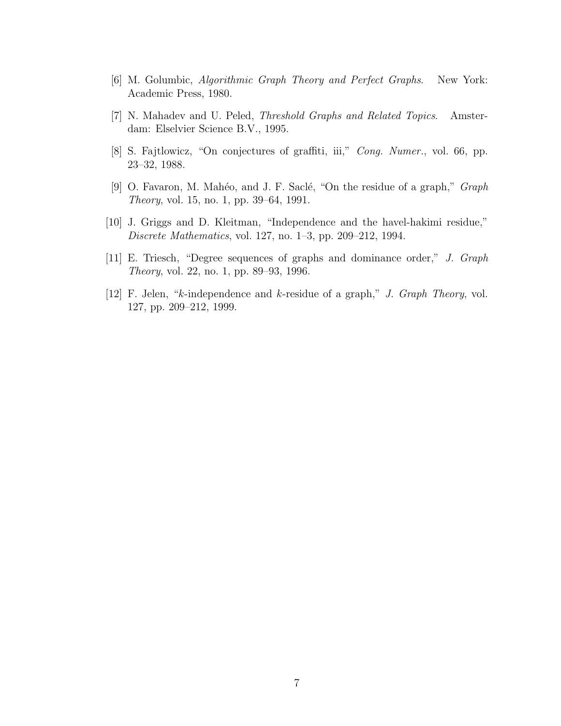- <span id="page-14-0"></span>[6] M. Golumbic, Algorithmic Graph Theory and Perfect Graphs. New York: Academic Press, 1980.
- <span id="page-14-1"></span>[7] N. Mahadev and U. Peled, Threshold Graphs and Related Topics. Amsterdam: Elselvier Science B.V., 1995.
- <span id="page-14-2"></span>[8] S. Fajtlowicz, "On conjectures of graffiti, iii," Cong. Numer., vol. 66, pp. 23–32, 1988.
- <span id="page-14-3"></span>[9] O. Favaron, M. Mahéo, and J. F. Saclé, "On the residue of a graph,"  $Graph$ Theory, vol. 15, no. 1, pp. 39–64, 1991.
- <span id="page-14-4"></span>[10] J. Griggs and D. Kleitman, "Independence and the havel-hakimi residue," Discrete Mathematics, vol. 127, no. 1–3, pp. 209–212, 1994.
- <span id="page-14-5"></span>[11] E. Triesch, "Degree sequences of graphs and dominance order," J. Graph Theory, vol. 22, no. 1, pp. 89–93, 1996.
- <span id="page-14-6"></span>[12] F. Jelen, "k-independence and k-residue of a graph," J. Graph Theory, vol. 127, pp. 209–212, 1999.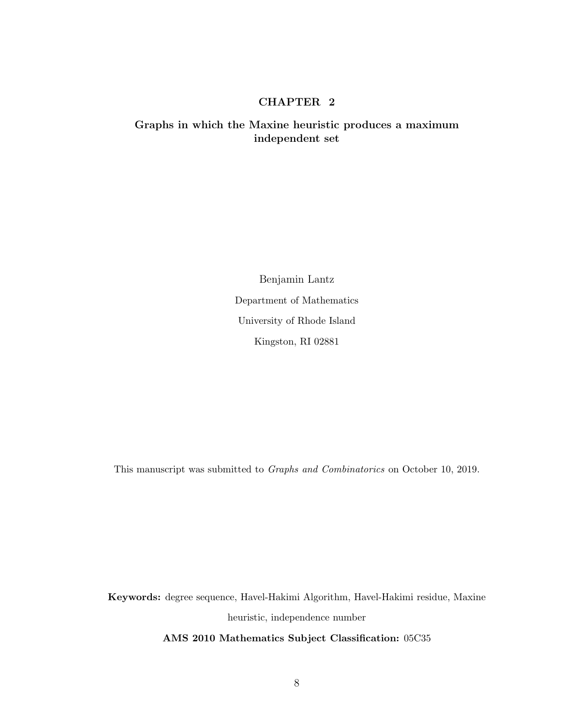#### CHAPTER 2

#### <span id="page-15-0"></span>Graphs in which the Maxine heuristic produces a maximum independent set

Benjamin Lantz Department of Mathematics University of Rhode Island Kingston, RI 02881

This manuscript was submitted to Graphs and Combinatorics on October 10, 2019.

Keywords: degree sequence, Havel-Hakimi Algorithm, Havel-Hakimi residue, Maxine heuristic, independence number

AMS 2010 Mathematics Subject Classification: 05C35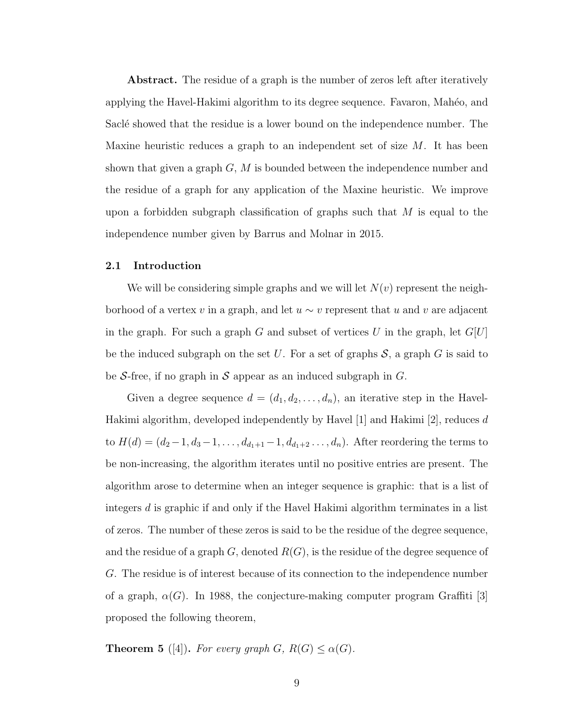Abstract. The residue of a graph is the number of zeros left after iteratively applying the Havel-Hakimi algorithm to its degree sequence. Favaron, Mah´eo, and Saclé showed that the residue is a lower bound on the independence number. The Maxine heuristic reduces a graph to an independent set of size  $M$ . It has been shown that given a graph  $G, M$  is bounded between the independence number and the residue of a graph for any application of the Maxine heuristic. We improve upon a forbidden subgraph classification of graphs such that  $M$  is equal to the independence number given by Barrus and Molnar in 2015.

#### <span id="page-16-0"></span>2.1 Introduction

We will be considering simple graphs and we will let  $N(v)$  represent the neighborhood of a vertex v in a graph, and let  $u \sim v$  represent that u and v are adjacent in the graph. For such a graph G and subset of vertices U in the graph, let  $G[U]$ be the induced subgraph on the set U. For a set of graphs  $S$ , a graph G is said to be S-free, if no graph in S appear as an induced subgraph in  $G$ .

Given a degree sequence  $d = (d_1, d_2, \ldots, d_n)$ , an iterative step in the Havel-Hakimi algorithm, developed independently by Havel [\[1\]](#page-28-1) and Hakimi [\[2\]](#page-28-2), reduces d to  $H(d) = (d_2-1, d_3-1, \ldots, d_{d_1+1}-1, d_{d_1+2}, \ldots, d_n)$ . After reordering the terms to be non-increasing, the algorithm iterates until no positive entries are present. The algorithm arose to determine when an integer sequence is graphic: that is a list of integers d is graphic if and only if the Havel Hakimi algorithm terminates in a list of zeros. The number of these zeros is said to be the residue of the degree sequence, and the residue of a graph  $G$ , denoted  $R(G)$ , is the residue of the degree sequence of G. The residue is of interest because of its connection to the independence number of a graph,  $\alpha(G)$ . In 1988, the conjecture-making computer program Graffiti [\[3\]](#page-28-3) proposed the following theorem,

**Theorem 5** ([\[4\]](#page-28-4)). For every graph  $G$ ,  $R(G) \leq \alpha(G)$ .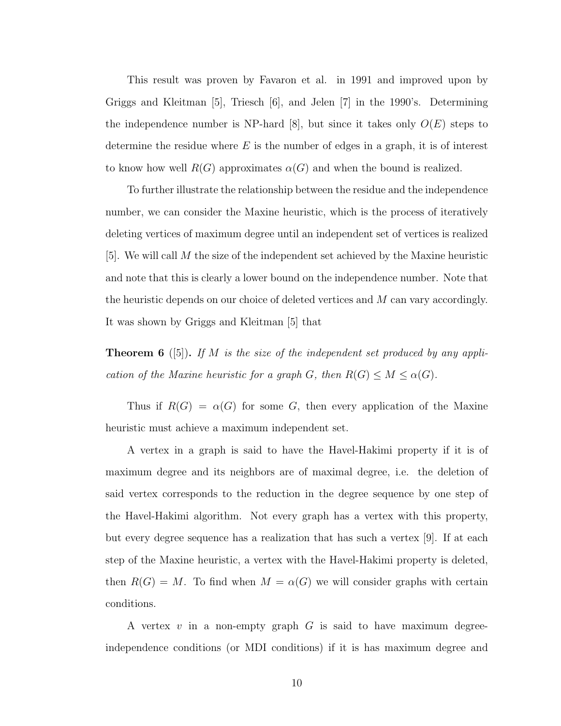This result was proven by Favaron et al. in 1991 and improved upon by Griggs and Kleitman [\[5\]](#page-28-5), Triesch [\[6\]](#page-28-6), and Jelen [\[7\]](#page-28-7) in the 1990's. Determining the independence number is NP-hard [\[8\]](#page-28-8), but since it takes only  $O(E)$  steps to determine the residue where  $E$  is the number of edges in a graph, it is of interest to know how well  $R(G)$  approximates  $\alpha(G)$  and when the bound is realized.

To further illustrate the relationship between the residue and the independence number, we can consider the Maxine heuristic, which is the process of iteratively deleting vertices of maximum degree until an independent set of vertices is realized  $[5]$ . We will call M the size of the independent set achieved by the Maxine heuristic and note that this is clearly a lower bound on the independence number. Note that the heuristic depends on our choice of deleted vertices and M can vary accordingly. It was shown by Griggs and Kleitman [\[5\]](#page-28-5) that

**Theorem 6** ([\[5\]](#page-28-5)). If M is the size of the independent set produced by any application of the Maxine heuristic for a graph G, then  $R(G) \leq M \leq \alpha(G)$ .

Thus if  $R(G) = \alpha(G)$  for some G, then every application of the Maxine heuristic must achieve a maximum independent set.

A vertex in a graph is said to have the Havel-Hakimi property if it is of maximum degree and its neighbors are of maximal degree, i.e. the deletion of said vertex corresponds to the reduction in the degree sequence by one step of the Havel-Hakimi algorithm. Not every graph has a vertex with this property, but every degree sequence has a realization that has such a vertex [\[9\]](#page-28-9). If at each step of the Maxine heuristic, a vertex with the Havel-Hakimi property is deleted, then  $R(G) = M$ . To find when  $M = \alpha(G)$  we will consider graphs with certain conditions.

A vertex  $v$  in a non-empty graph  $G$  is said to have maximum degreeindependence conditions (or MDI conditions) if it is has maximum degree and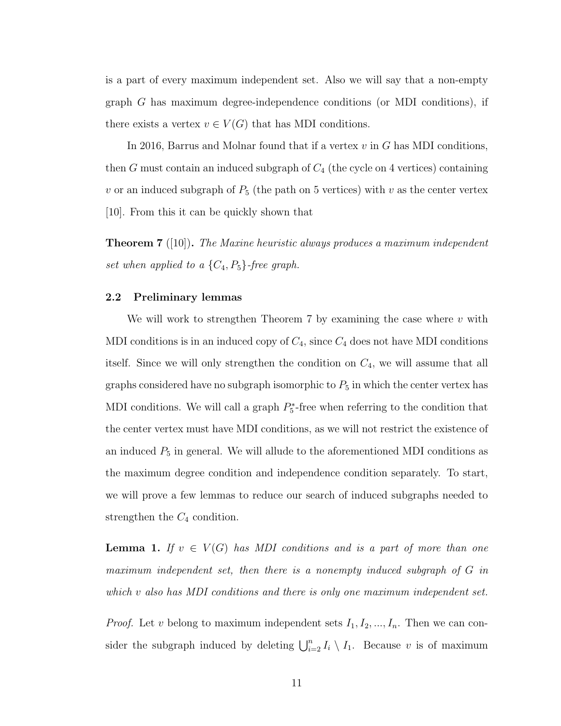is a part of every maximum independent set. Also we will say that a non-empty graph G has maximum degree-independence conditions (or MDI conditions), if there exists a vertex  $v \in V(G)$  that has MDI conditions.

In 2016, Barrus and Molnar found that if a vertex  $v$  in  $G$  has MDI conditions, then  $G$  must contain an induced subgraph of  $C_4$  (the cycle on 4 vertices) containing v or an induced subgraph of  $P_5$  (the path on 5 vertices) with v as the center vertex [\[10\]](#page-28-10). From this it can be quickly shown that

<span id="page-18-1"></span>**Theorem 7** ([\[10\]](#page-28-10)). The Maxine heuristic always produces a maximum independent set when applied to a  $\{C_4, P_5\}$ -free graph.

#### <span id="page-18-0"></span>2.2 Preliminary lemmas

We will work to strengthen Theorem [7](#page-18-1) by examining the case where  $v$  with MDI conditions is in an induced copy of  $C_4$ , since  $C_4$  does not have MDI conditions itself. Since we will only strengthen the condition on  $C_4$ , we will assume that all graphs considered have no subgraph isomorphic to  $P_5$  in which the center vertex has MDI conditions. We will call a graph  $P_5^*$ -free when referring to the condition that the center vertex must have MDI conditions, as we will not restrict the existence of an induced  $P_5$  in general. We will allude to the aforementioned MDI conditions as the maximum degree condition and independence condition separately. To start, we will prove a few lemmas to reduce our search of induced subgraphs needed to strengthen the  $C_4$  condition.

<span id="page-18-2"></span>**Lemma 1.** If  $v \in V(G)$  has MDI conditions and is a part of more than one maximum independent set, then there is a nonempty induced subgraph of G in which v also has MDI conditions and there is only one maximum independent set.

*Proof.* Let v belong to maximum independent sets  $I_1, I_2, ..., I_n$ . Then we can consider the subgraph induced by deleting  $\bigcup_{i=2}^{n} I_i \setminus I_1$ . Because v is of maximum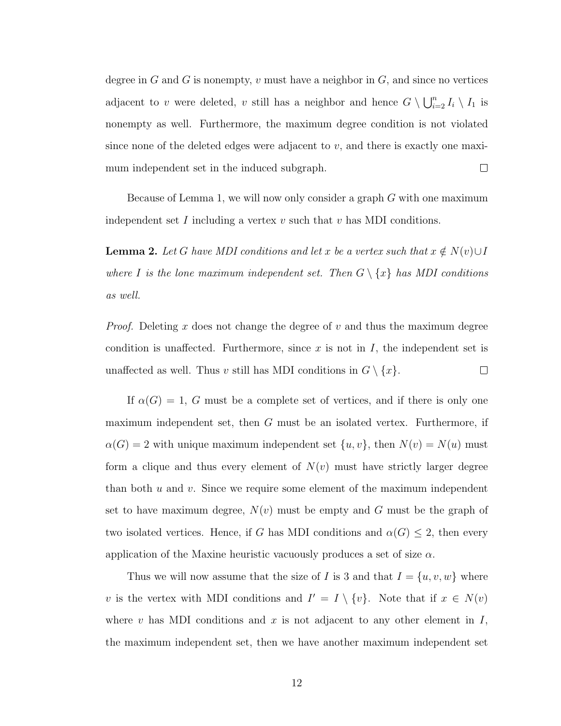degree in G and G is nonempty, v must have a neighbor in  $G$ , and since no vertices adjacent to v were deleted, v still has a neighbor and hence  $G \setminus \bigcup_{i=2}^n I_i \setminus I_1$  is nonempty as well. Furthermore, the maximum degree condition is not violated since none of the deleted edges were adjacent to  $v$ , and there is exactly one maximum independent set in the induced subgraph.  $\Box$ 

Because of Lemma [1,](#page-18-2) we will now only consider a graph G with one maximum independent set I including a vertex  $v$  such that  $v$  has MDI conditions.

<span id="page-19-0"></span>**Lemma 2.** Let G have MDI conditions and let x be a vertex such that  $x \notin N(v) \cup I$ where I is the lone maximum independent set. Then  $G \setminus \{x\}$  has MDI conditions as well.

*Proof.* Deleting x does not change the degree of v and thus the maximum degree condition is unaffected. Furthermore, since  $x$  is not in  $I$ , the independent set is unaffected as well. Thus v still has MDI conditions in  $G \setminus \{x\}$ .  $\Box$ 

If  $\alpha(G) = 1$ , G must be a complete set of vertices, and if there is only one maximum independent set, then G must be an isolated vertex. Furthermore, if  $\alpha(G) = 2$  with unique maximum independent set  $\{u, v\}$ , then  $N(v) = N(u)$  must form a clique and thus every element of  $N(v)$  must have strictly larger degree than both  $u$  and  $v$ . Since we require some element of the maximum independent set to have maximum degree,  $N(v)$  must be empty and G must be the graph of two isolated vertices. Hence, if G has MDI conditions and  $\alpha(G) \leq 2$ , then every application of the Maxine heuristic vacuously produces a set of size  $\alpha$ .

Thus we will now assume that the size of I is 3 and that  $I = \{u, v, w\}$  where v is the vertex with MDI conditions and  $I' = I \setminus \{v\}$ . Note that if  $x \in N(v)$ where v has MDI conditions and x is not adjacent to any other element in  $I$ , the maximum independent set, then we have another maximum independent set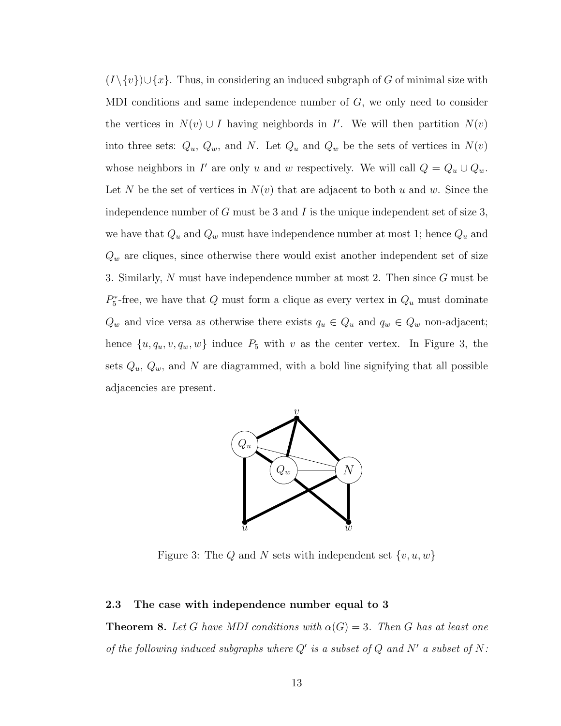$(I \setminus \{v\}) \cup \{x\}.$  Thus, in considering an induced subgraph of G of minimal size with MDI conditions and same independence number of  $G$ , we only need to consider the vertices in  $N(v) \cup I$  having neighbords in I'. We will then partition  $N(v)$ into three sets:  $Q_u$ ,  $Q_w$ , and N. Let  $Q_u$  and  $Q_w$  be the sets of vertices in  $N(v)$ whose neighbors in I' are only u and w respectively. We will call  $Q = Q_u \cup Q_w$ . Let N be the set of vertices in  $N(v)$  that are adjacent to both u and w. Since the independence number of  $G$  must be 3 and  $I$  is the unique independent set of size 3, we have that  $Q_u$  and  $Q_w$  must have independence number at most 1; hence  $Q_u$  and  $Q_w$  are cliques, since otherwise there would exist another independent set of size 3. Similarly, N must have independence number at most 2. Then since G must be  $P_5^*$ -free, we have that Q must form a clique as every vertex in  $Q_u$  must dominate  $Q_w$  and vice versa as otherwise there exists  $q_u \in Q_u$  and  $q_w \in Q_w$  non-adjacent; hence  $\{u, q_u, v, q_w, w\}$  induce  $P_5$  with v as the center vertex. In Figure [3,](#page-20-1) the sets  $Q_u$ ,  $Q_w$ , and N are diagrammed, with a bold line signifying that all possible adjacencies are present.

<span id="page-20-1"></span>

Figure 3: The Q and N sets with independent set  $\{v, u, w\}$ 

#### <span id="page-20-2"></span><span id="page-20-0"></span>2.3 The case with independence number equal to 3

**Theorem 8.** Let G have MDI conditions with  $\alpha(G) = 3$ . Then G has at least one of the following induced subgraphs where  $Q'$  is a subset of  $Q$  and  $N'$  a subset of  $N$ :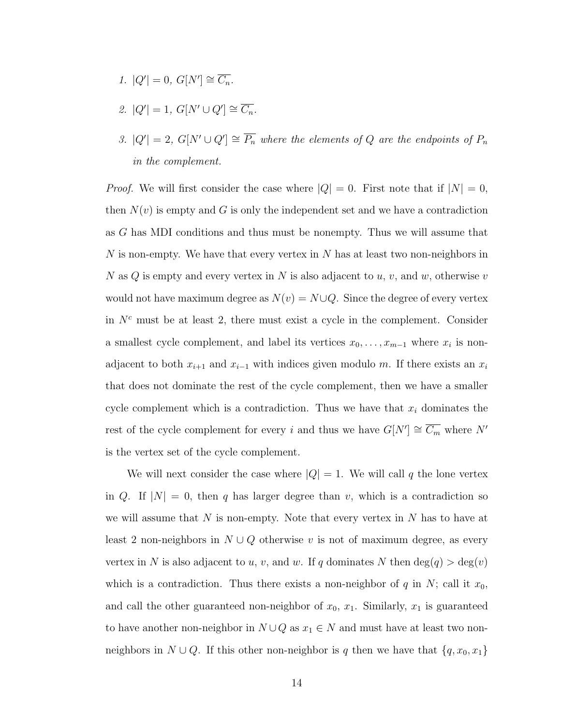- 1.  $|Q'| = 0, G[N'] \cong \overline{C_n}.$
- 2.  $|Q'| = 1, G[N' \cup Q'] \cong \overline{C_n}.$
- 3.  $|Q'| = 2$ ,  $G[N' \cup Q'] \cong \overline{P_n}$  where the elements of Q are the endpoints of  $P_n$ in the complement.

*Proof.* We will first consider the case where  $|Q| = 0$ . First note that if  $|N| = 0$ , then  $N(v)$  is empty and G is only the independent set and we have a contradiction as G has MDI conditions and thus must be nonempty. Thus we will assume that  $N$  is non-empty. We have that every vertex in  $N$  has at least two non-neighbors in N as  $Q$  is empty and every vertex in N is also adjacent to  $u, v$ , and  $w$ , otherwise  $v$ would not have maximum degree as  $N(v) = N \cup Q$ . Since the degree of every vertex in  $N<sup>c</sup>$  must be at least 2, there must exist a cycle in the complement. Consider a smallest cycle complement, and label its vertices  $x_0, \ldots, x_{m-1}$  where  $x_i$  is nonadjacent to both  $x_{i+1}$  and  $x_{i-1}$  with indices given modulo m. If there exists an  $x_i$ that does not dominate the rest of the cycle complement, then we have a smaller cycle complement which is a contradiction. Thus we have that  $x_i$  dominates the rest of the cycle complement for every i and thus we have  $G[N'] \cong \overline{C_m}$  where N' is the vertex set of the cycle complement.

We will next consider the case where  $|Q| = 1$ . We will call q the lone vertex in Q. If  $|N| = 0$ , then q has larger degree than v, which is a contradiction so we will assume that  $N$  is non-empty. Note that every vertex in  $N$  has to have at least 2 non-neighbors in  $N \cup Q$  otherwise v is not of maximum degree, as every vertex in N is also adjacent to u, v, and w. If q dominates N then  $deg(q) > deg(v)$ which is a contradiction. Thus there exists a non-neighbor of  $q$  in  $N$ ; call it  $x_0$ , and call the other guaranteed non-neighbor of  $x_0$ ,  $x_1$ . Similarly,  $x_1$  is guaranteed to have another non-neighbor in  $N \cup Q$  as  $x_1 \in N$  and must have at least two nonneighbors in  $N \cup Q$ . If this other non-neighbor is q then we have that  $\{q, x_0, x_1\}$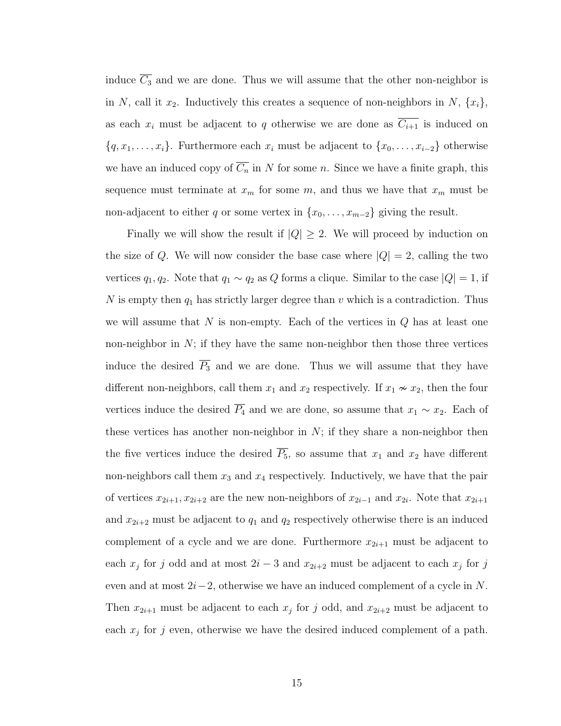induce  $\overline{C_3}$  and we are done. Thus we will assume that the other non-neighbor is in N, call it  $x_2$ . Inductively this creates a sequence of non-neighbors in N,  $\{x_i\}$ , as each  $x_i$  must be adjacent to q otherwise we are done as  $\overline{C_{i+1}}$  is induced on  $\{q, x_1, \ldots, x_i\}$ . Furthermore each  $x_i$  must be adjacent to  $\{x_0, \ldots, x_{i-2}\}$  otherwise we have an induced copy of  $\overline{C_n}$  in N for some n. Since we have a finite graph, this sequence must terminate at  $x_m$  for some  $m$ , and thus we have that  $x_m$  must be non-adjacent to either q or some vertex in  $\{x_0, \ldots, x_{m-2}\}$  giving the result.

Finally we will show the result if  $|Q| \geq 2$ . We will proceed by induction on the size of Q. We will now consider the base case where  $|Q| = 2$ , calling the two vertices  $q_1, q_2$ . Note that  $q_1 \sim q_2$  as Q forms a clique. Similar to the case  $|Q| = 1$ , if N is empty then  $q_1$  has strictly larger degree than v which is a contradiction. Thus we will assume that  $N$  is non-empty. Each of the vertices in  $Q$  has at least one non-neighbor in  $N$ ; if they have the same non-neighbor then those three vertices induce the desired  $\overline{P_3}$  and we are done. Thus we will assume that they have different non-neighbors, call them  $x_1$  and  $x_2$  respectively. If  $x_1 \nsim x_2$ , then the four vertices induce the desired  $\overline{P_4}$  and we are done, so assume that  $x_1 \sim x_2$ . Each of these vertices has another non-neighbor in  $N$ ; if they share a non-neighbor then the five vertices induce the desired  $\overline{P_5}$ , so assume that  $x_1$  and  $x_2$  have different non-neighbors call them  $x_3$  and  $x_4$  respectively. Inductively, we have that the pair of vertices  $x_{2i+1}, x_{2i+2}$  are the new non-neighbors of  $x_{2i-1}$  and  $x_{2i}$ . Note that  $x_{2i+1}$ and  $x_{2i+2}$  must be adjacent to  $q_1$  and  $q_2$  respectively otherwise there is an induced complement of a cycle and we are done. Furthermore  $x_{2i+1}$  must be adjacent to each  $x_j$  for j odd and at most  $2i-3$  and  $x_{2i+2}$  must be adjacent to each  $x_j$  for j even and at most  $2i-2$ , otherwise we have an induced complement of a cycle in N. Then  $x_{2i+1}$  must be adjacent to each  $x_j$  for j odd, and  $x_{2i+2}$  must be adjacent to each  $x_j$  for j even, otherwise we have the desired induced complement of a path.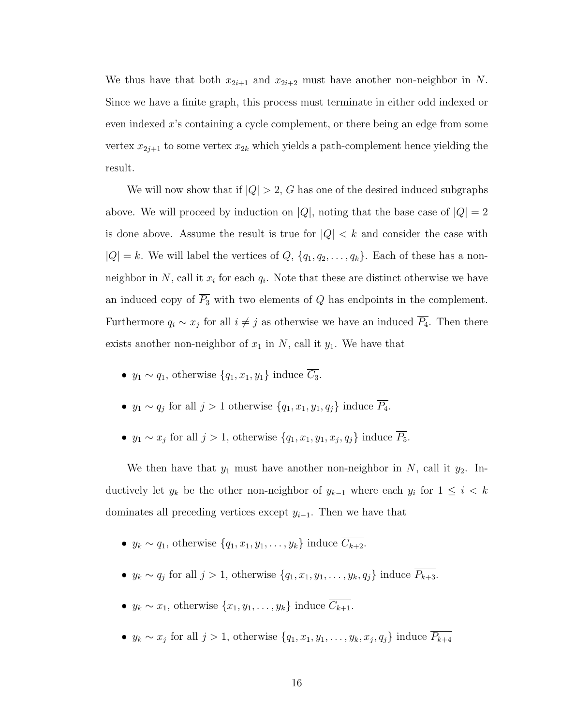We thus have that both  $x_{2i+1}$  and  $x_{2i+2}$  must have another non-neighbor in N. Since we have a finite graph, this process must terminate in either odd indexed or even indexed x's containing a cycle complement, or there being an edge from some vertex  $x_{2j+1}$  to some vertex  $x_{2k}$  which yields a path-complement hence yielding the result.

We will now show that if  $|Q| > 2$ , G has one of the desired induced subgraphs above. We will proceed by induction on  $|Q|$ , noting that the base case of  $|Q| = 2$ is done above. Assume the result is true for  $|Q| < k$  and consider the case with  $|Q| = k$ . We will label the vertices of  $Q, \{q_1, q_2, \ldots, q_k\}$ . Each of these has a nonneighbor in N, call it  $x_i$  for each  $q_i$ . Note that these are distinct otherwise we have an induced copy of  $\overline{P_3}$  with two elements of Q has endpoints in the complement. Furthermore  $q_i \sim x_j$  for all  $i \neq j$  as otherwise we have an induced  $P_4$ . Then there exists another non-neighbor of  $x_1$  in N, call it  $y_1$ . We have that

- $y_1 \sim q_1$ , otherwise  $\{q_1, x_1, y_1\}$  induce  $\overline{C_3}$ .
- $y_1 \sim q_j$  for all  $j > 1$  otherwise  $\{q_1, x_1, y_1, q_j\}$  induce  $P_4$ .
- $y_1 \sim x_j$  for all  $j > 1$ , otherwise  $\{q_1, x_1, y_1, x_j, q_j\}$  induce  $\overline{P_5}$ .

We then have that  $y_1$  must have another non-neighbor in N, call it  $y_2$ . Inductively let  $y_k$  be the other non-neighbor of  $y_{k-1}$  where each  $y_i$  for  $1 \leq i \leq k$ dominates all preceding vertices except  $y_{i-1}$ . Then we have that

- $y_k \sim q_1$ , otherwise  $\{q_1, x_1, y_1, \ldots, y_k\}$  induce  $\overline{C_{k+2}}$ .
- $y_k \sim q_j$  for all  $j > 1$ , otherwise  $\{q_1, x_1, y_1, \ldots, y_k, q_j\}$  induce  $P_{k+3}$ .
- $y_k \sim x_1$ , otherwise  $\{x_1, y_1, \ldots, y_k\}$  induce  $\overline{C_{k+1}}$ .
- $y_k \sim x_j$  for all  $j > 1$ , otherwise  $\{q_1, x_1, y_1, \ldots, y_k, x_j, q_j\}$  induce  $P_{k+4}$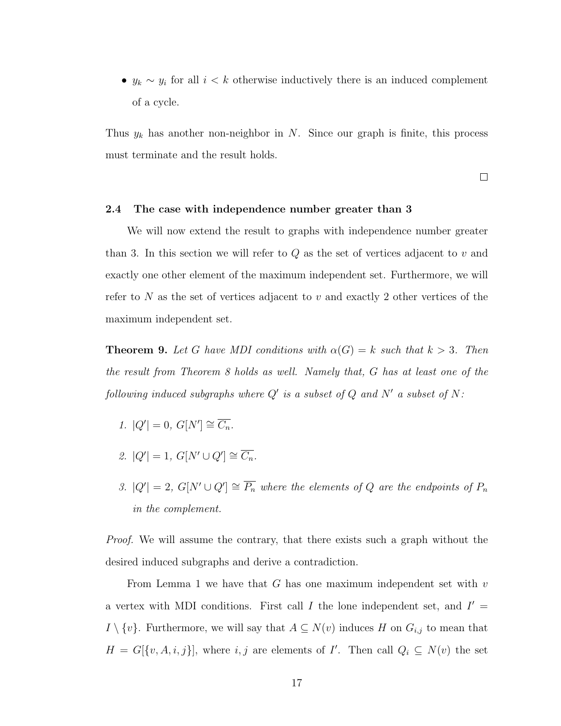•  $y_k \sim y_i$  for all  $i < k$  otherwise inductively there is an induced complement of a cycle.

Thus  $y_k$  has another non-neighbor in N. Since our graph is finite, this process must terminate and the result holds.

 $\Box$ 

#### <span id="page-24-0"></span>2.4 The case with independence number greater than 3

We will now extend the result to graphs with independence number greater than 3. In this section we will refer to  $Q$  as the set of vertices adjacent to  $v$  and exactly one other element of the maximum independent set. Furthermore, we will refer to N as the set of vertices adjacent to v and exactly 2 other vertices of the maximum independent set.

**Theorem 9.** Let G have MDI conditions with  $\alpha(G) = k$  such that  $k > 3$ . Then the result from Theorem [8](#page-20-2) holds as well. Namely that, G has at least one of the following induced subgraphs where  $Q'$  is a subset of  $Q$  and  $N'$  a subset of  $N$ :

- 1.  $|Q'| = 0, G[N'] \cong \overline{C_n}.$
- 2.  $|Q'| = 1, G[N' \cup Q'] \cong \overline{C_n}.$
- 3.  $|Q'| = 2$ ,  $G[N' \cup Q'] \cong \overline{P_n}$  where the elements of Q are the endpoints of  $P_n$ in the complement.

Proof. We will assume the contrary, that there exists such a graph without the desired induced subgraphs and derive a contradiction.

From Lemma [1](#page-18-2) we have that  $G$  has one maximum independent set with  $v$ a vertex with MDI conditions. First call I the lone independent set, and  $I' =$  $I \setminus \{v\}$ . Furthermore, we will say that  $A \subseteq N(v)$  induces H on  $G_{i,j}$  to mean that  $H = G[\{v, A, i, j\}],$  where  $i, j$  are elements of I'. Then call  $Q_i \subseteq N(v)$  the set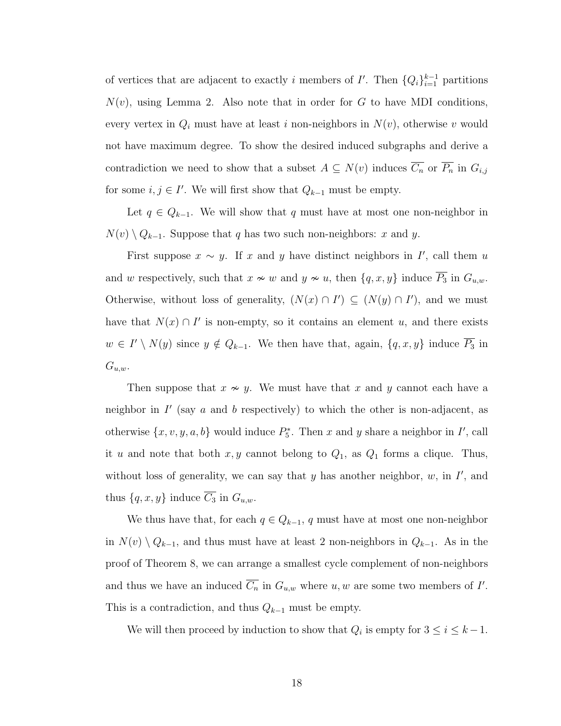of vertices that are adjacent to exactly i members of  $I'$ . Then  $\{Q_i\}_{i=1}^{k-1}$  partitions  $N(v)$ , using Lemma [2.](#page-19-0) Also note that in order for G to have MDI conditions, every vertex in  $Q_i$  must have at least i non-neighbors in  $N(v)$ , otherwise v would not have maximum degree. To show the desired induced subgraphs and derive a contradiction we need to show that a subset  $A \subseteq N(v)$  induces  $\overline{C_n}$  or  $\overline{P_n}$  in  $G_{i,j}$ for some  $i, j \in I'$ . We will first show that  $Q_{k-1}$  must be empty.

Let  $q \in Q_{k-1}$ . We will show that q must have at most one non-neighbor in  $N(v) \setminus Q_{k-1}$ . Suppose that q has two such non-neighbors: x and y.

First suppose  $x \sim y$ . If x and y have distinct neighbors in I', call them u and w respectively, such that  $x \nsim w$  and  $y \nsim u$ , then  $\{q, x, y\}$  induce  $\overline{P_3}$  in  $G_{u,w}$ . Otherwise, without loss of generality,  $(N(x) \cap I') \subseteq (N(y) \cap I')$ , and we must have that  $N(x) \cap I'$  is non-empty, so it contains an element u, and there exists  $w \in I' \setminus N(y)$  since  $y \notin Q_{k-1}$ . We then have that, again,  $\{q, x, y\}$  induce  $\overline{P_3}$  in  $G_{u,w}.$ 

Then suppose that  $x \nsim y$ . We must have that x and y cannot each have a neighbor in  $I'$  (say  $a$  and  $b$  respectively) to which the other is non-adjacent, as otherwise  $\{x, v, y, a, b\}$  would induce  $P_5^*$ . Then x and y share a neighbor in I', call it u and note that both  $x, y$  cannot belong to  $Q_1$ , as  $Q_1$  forms a clique. Thus, without loss of generality, we can say that  $y$  has another neighbor,  $w$ , in  $I'$ , and thus  $\{q, x, y\}$  induce  $\overline{C_3}$  in  $G_{u,w}$ .

We thus have that, for each  $q \in Q_{k-1}$ , q must have at most one non-neighbor in  $N(v) \setminus Q_{k-1}$ , and thus must have at least 2 non-neighbors in  $Q_{k-1}$ . As in the proof of Theorem [8,](#page-20-2) we can arrange a smallest cycle complement of non-neighbors and thus we have an induced  $\overline{C_n}$  in  $G_{u,w}$  where  $u, w$  are some two members of  $I'$ . This is a contradiction, and thus  $Q_{k-1}$  must be empty.

We will then proceed by induction to show that  $Q_i$  is empty for  $3 \leq i \leq k-1$ .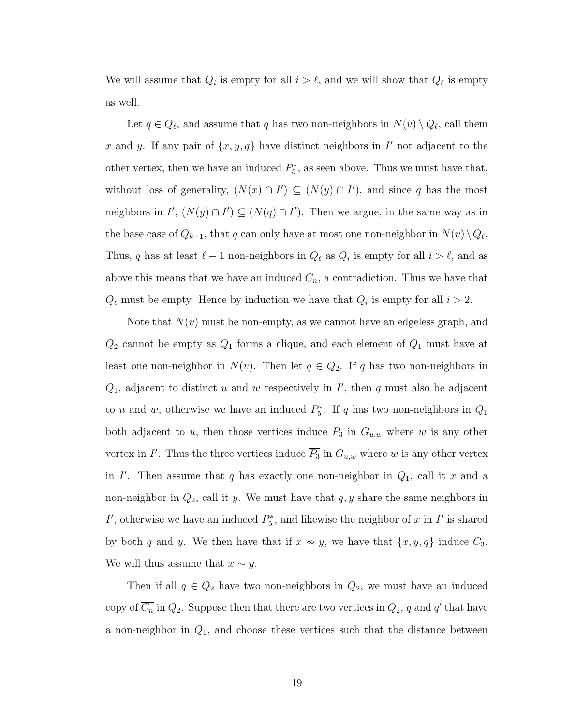We will assume that  $Q_i$  is empty for all  $i > \ell$ , and we will show that  $Q_\ell$  is empty as well.

Let  $q \in Q_\ell$ , and assume that q has two non-neighbors in  $N(v) \setminus Q_\ell$ , call them x and y. If any pair of  $\{x, y, q\}$  have distinct neighbors in I' not adjacent to the other vertex, then we have an induced  $P_5^*$ , as seen above. Thus we must have that, without loss of generality,  $(N(x) \cap I') \subseteq (N(y) \cap I')$ , and since q has the most neighbors in  $I'$ ,  $(N(y) \cap I') \subseteq (N(q) \cap I')$ . Then we argue, in the same way as in the base case of  $Q_{k-1}$ , that q can only have at most one non-neighbor in  $N(v) \setminus Q_{\ell}$ . Thus, q has at least  $\ell - 1$  non-neighbors in  $Q_{\ell}$  as  $Q_i$  is empty for all  $i > \ell$ , and as above this means that we have an induced  $\overline{C_n}$ , a contradiction. Thus we have that  $Q_{\ell}$  must be empty. Hence by induction we have that  $Q_i$  is empty for all  $i > 2$ .

Note that  $N(v)$  must be non-empty, as we cannot have an edgeless graph, and  $Q_2$  cannot be empty as  $Q_1$  forms a clique, and each element of  $Q_1$  must have at least one non-neighbor in  $N(v)$ . Then let  $q \in Q_2$ . If q has two non-neighbors in  $Q_1$ , adjacent to distinct u and w respectively in  $I'$ , then q must also be adjacent to u and w, otherwise we have an induced  $P_5^*$ . If q has two non-neighbors in  $Q_1$ both adjacent to u, then those vertices induce  $\overline{P_3}$  in  $G_{u,w}$  where w is any other vertex in I'. Thus the three vertices induce  $\overline{P_3}$  in  $G_{u,w}$  where w is any other vertex in I'. Then assume that q has exactly one non-neighbor in  $Q_1$ , call it x and a non-neighbor in  $Q_2$ , call it y. We must have that  $q, y$  share the same neighbors in I', otherwise we have an induced  $P_5^*$ , and likewise the neighbor of x in I' is shared by both q and y. We then have that if  $x \sim y$ , we have that  $\{x, y, q\}$  induce  $C_3$ . We will thus assume that  $x \sim y$ .

Then if all  $q \in Q_2$  have two non-neighbors in  $Q_2$ , we must have an induced copy of  $\overline{C_n}$  in  $Q_2$ . Suppose then that there are two vertices in  $Q_2$ , q and q' that have a non-neighbor in  $Q_1$ , and choose these vertices such that the distance between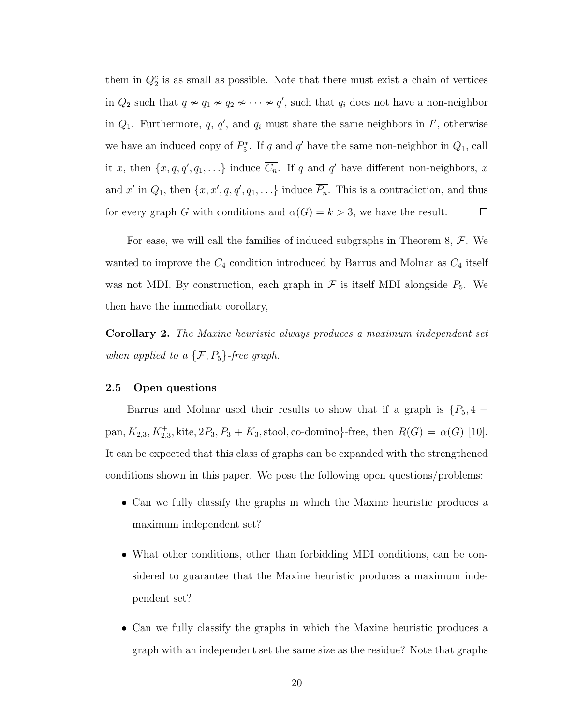them in  $Q_2^c$  is as small as possible. Note that there must exist a chain of vertices in  $Q_2$  such that  $q \nsim q_1 \nsim q_2 \nsim \cdots \nsim q'$ , such that  $q_i$  does not have a non-neighbor in  $Q_1$ . Furthermore, q, q', and  $q_i$  must share the same neighbors in  $I'$ , otherwise we have an induced copy of  $P_5^*$ . If q and q' have the same non-neighbor in  $Q_1$ , call it x, then  $\{x, q, q', q_1, \ldots\}$  induce  $\overline{C_n}$ . If q and q' have different non-neighbors, x and x' in  $Q_1$ , then  $\{x, x', q, q', q_1, \ldots\}$  induce  $\overline{P_n}$ . This is a contradiction, and thus for every graph G with conditions and  $\alpha(G) = k > 3$ , we have the result.  $\Box$ 

For ease, we will call the families of induced subgraphs in Theorem [8,](#page-20-2)  $\mathcal{F}$ . We wanted to improve the  $C_4$  condition introduced by Barrus and Molnar as  $C_4$  itself was not MDI. By construction, each graph in  $\mathcal F$  is itself MDI alongside  $P_5$ . We then have the immediate corollary,

Corollary 2. The Maxine heuristic always produces a maximum independent set when applied to a  $\{F, P_5\}$ -free graph.

#### <span id="page-27-0"></span>2.5 Open questions

Barrus and Molnar used their results to show that if a graph is  $\{P_5, 4$ pan,  $K_{2,3}$ ,  $K_{2,3}^+$ , kite,  $2P_3$ ,  $P_3 + K_3$ , stool, co-domino}-free, then  $R(G) = \alpha(G)$  [\[10\]](#page-28-10). It can be expected that this class of graphs can be expanded with the strengthened conditions shown in this paper. We pose the following open questions/problems:

- Can we fully classify the graphs in which the Maxine heuristic produces a maximum independent set?
- What other conditions, other than forbidding MDI conditions, can be considered to guarantee that the Maxine heuristic produces a maximum independent set?
- Can we fully classify the graphs in which the Maxine heuristic produces a graph with an independent set the same size as the residue? Note that graphs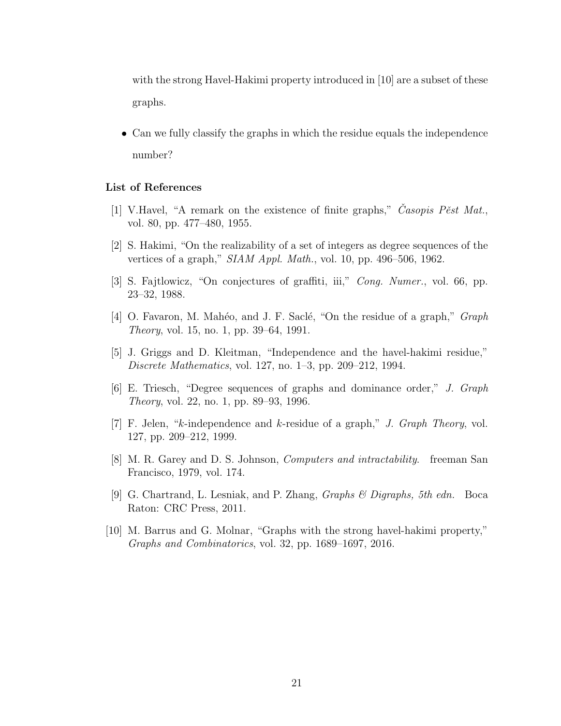with the strong Havel-Hakimi property introduced in [\[10\]](#page-28-10) are a subset of these graphs.

• Can we fully classify the graphs in which the residue equals the independence number?

#### <span id="page-28-0"></span>List of References

- <span id="page-28-1"></span>[1] V.Havel, "A remark on the existence of finite graphs," Casopis Pest Mat., vol. 80, pp. 477–480, 1955.
- <span id="page-28-2"></span>[2] S. Hakimi, "On the realizability of a set of integers as degree sequences of the vertices of a graph," SIAM Appl. Math., vol. 10, pp. 496–506, 1962.
- <span id="page-28-3"></span>[3] S. Fajtlowicz, "On conjectures of graffiti, iii," Cong. Numer., vol. 66, pp. 23–32, 1988.
- <span id="page-28-4"></span>[4] O. Favaron, M. Mahéo, and J. F. Saclé, "On the residue of a graph," *Graph* Theory, vol. 15, no. 1, pp. 39–64, 1991.
- <span id="page-28-5"></span>[5] J. Griggs and D. Kleitman, "Independence and the havel-hakimi residue," Discrete Mathematics, vol. 127, no. 1–3, pp. 209–212, 1994.
- <span id="page-28-6"></span>[6] E. Triesch, "Degree sequences of graphs and dominance order," J. Graph Theory, vol. 22, no. 1, pp. 89–93, 1996.
- <span id="page-28-7"></span>[7] F. Jelen, "k-independence and k-residue of a graph," J. Graph Theory, vol. 127, pp. 209–212, 1999.
- <span id="page-28-8"></span>[8] M. R. Garey and D. S. Johnson, Computers and intractability. freeman San Francisco, 1979, vol. 174.
- <span id="page-28-9"></span>[9] G. Chartrand, L. Lesniak, and P. Zhang, *Graphs & Digraphs*, 5th edn. Boca Raton: CRC Press, 2011.
- <span id="page-28-10"></span>[10] M. Barrus and G. Molnar, "Graphs with the strong havel-hakimi property," Graphs and Combinatorics, vol. 32, pp. 1689–1697, 2016.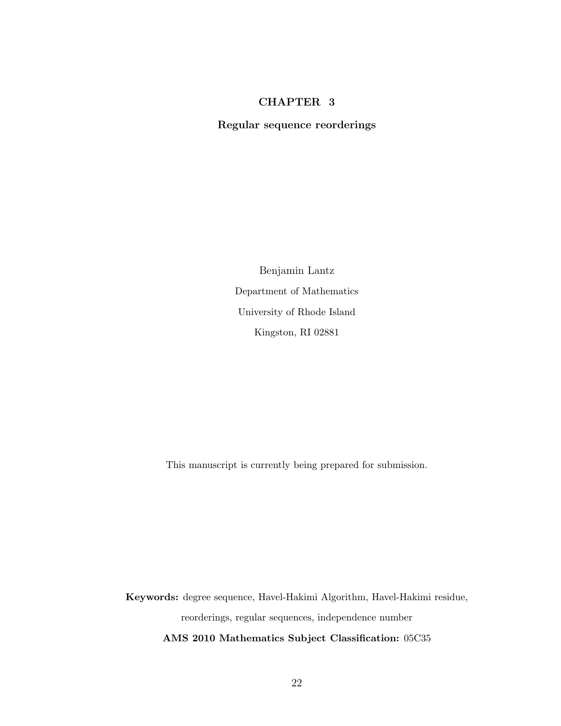#### CHAPTER 3

<span id="page-29-0"></span>Regular sequence reorderings

Benjamin Lantz Department of Mathematics University of Rhode Island Kingston, RI 02881

This manuscript is currently being prepared for submission.

Keywords: degree sequence, Havel-Hakimi Algorithm, Havel-Hakimi residue, reorderings, regular sequences, independence number AMS 2010 Mathematics Subject Classification: 05C35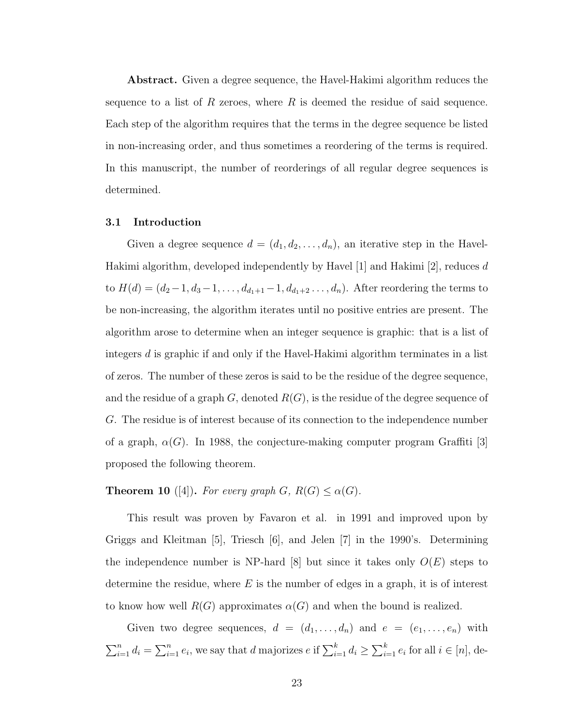Abstract. Given a degree sequence, the Havel-Hakimi algorithm reduces the sequence to a list of R zeroes, where  $R$  is deemed the residue of said sequence. Each step of the algorithm requires that the terms in the degree sequence be listed in non-increasing order, and thus sometimes a reordering of the terms is required. In this manuscript, the number of reorderings of all regular degree sequences is determined.

#### <span id="page-30-0"></span>3.1 Introduction

Given a degree sequence  $d = (d_1, d_2, \ldots, d_n)$ , an iterative step in the Havel-Hakimi algorithm, developed independently by Havel [\[1\]](#page-65-2) and Hakimi [\[2\]](#page-65-3), reduces d to  $H(d) = (d_2-1, d_3-1, \ldots, d_{d_1+1}-1, d_{d_1+2}, \ldots, d_n)$ . After reordering the terms to be non-increasing, the algorithm iterates until no positive entries are present. The algorithm arose to determine when an integer sequence is graphic: that is a list of integers d is graphic if and only if the Havel-Hakimi algorithm terminates in a list of zeros. The number of these zeros is said to be the residue of the degree sequence, and the residue of a graph  $G$ , denoted  $R(G)$ , is the residue of the degree sequence of G. The residue is of interest because of its connection to the independence number of a graph,  $\alpha(G)$ . In 1988, the conjecture-making computer program Graffiti [\[3\]](#page-65-4) proposed the following theorem.

<span id="page-30-1"></span>**Theorem 10** ([\[4\]](#page-66-0)). For every graph  $G, R(G) \leq \alpha(G)$ .

This result was proven by Favaron et al. in 1991 and improved upon by Griggs and Kleitman [\[5\]](#page-66-1), Triesch [\[6\]](#page-66-2), and Jelen [\[7\]](#page-66-3) in the 1990's. Determining the independence number is NP-hard  $|8|$  but since it takes only  $O(E)$  steps to determine the residue, where  $E$  is the number of edges in a graph, it is of interest to know how well  $R(G)$  approximates  $\alpha(G)$  and when the bound is realized.

Given two degree sequences,  $d = (d_1, \ldots, d_n)$  and  $e = (e_1, \ldots, e_n)$  with  $\sum_{i=1}^n d_i = \sum_{i=1}^n e_i$ , we say that d majorizes  $e$  if  $\sum_{i=1}^k d_i \ge \sum_{i=1}^k e_i$  for all  $i \in [n]$ , de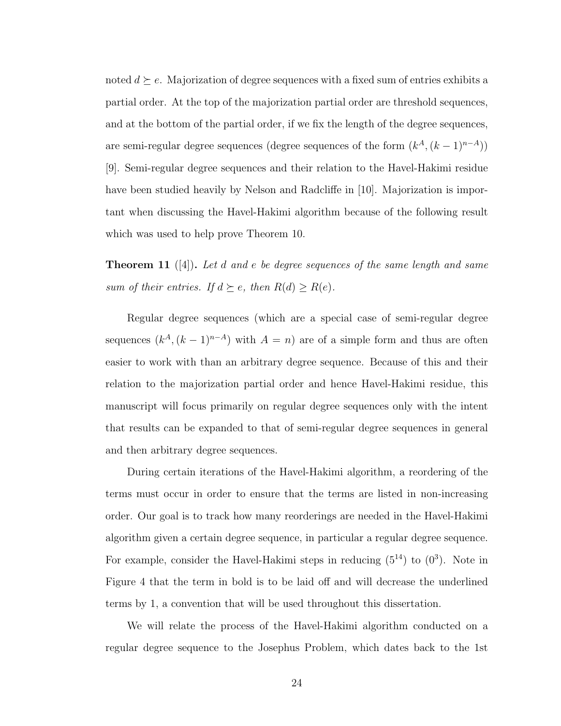noted  $d \succeq e$ . Majorization of degree sequences with a fixed sum of entries exhibits a partial order. At the top of the majorization partial order are threshold sequences, and at the bottom of the partial order, if we fix the length of the degree sequences, are semi-regular degree sequences (degree sequences of the form  $(k^A, (k-1)^{n-A})$ ) [\[9\]](#page-66-5). Semi-regular degree sequences and their relation to the Havel-Hakimi residue have been studied heavily by Nelson and Radcliffe in [\[10\]](#page-66-6). Majorization is important when discussing the Havel-Hakimi algorithm because of the following result which was used to help prove Theorem [10.](#page-30-1)

**Theorem 11** ([\[4\]](#page-66-0)). Let  $d$  and  $e$  be degree sequences of the same length and same sum of their entries. If  $d \succeq e$ , then  $R(d) \geq R(e)$ .

Regular degree sequences (which are a special case of semi-regular degree sequences  $(k<sup>A</sup>, (k-1)<sup>n-A</sup>)$  with  $A = n$ ) are of a simple form and thus are often easier to work with than an arbitrary degree sequence. Because of this and their relation to the majorization partial order and hence Havel-Hakimi residue, this manuscript will focus primarily on regular degree sequences only with the intent that results can be expanded to that of semi-regular degree sequences in general and then arbitrary degree sequences.

During certain iterations of the Havel-Hakimi algorithm, a reordering of the terms must occur in order to ensure that the terms are listed in non-increasing order. Our goal is to track how many reorderings are needed in the Havel-Hakimi algorithm given a certain degree sequence, in particular a regular degree sequence. For example, consider the Havel-Hakimi steps in reducing  $(5^{14})$  to  $(0^3)$ . Note in Figure [4](#page-32-0) that the term in bold is to be laid off and will decrease the underlined terms by 1, a convention that will be used throughout this dissertation.

We will relate the process of the Havel-Hakimi algorithm conducted on a regular degree sequence to the Josephus Problem, which dates back to the 1st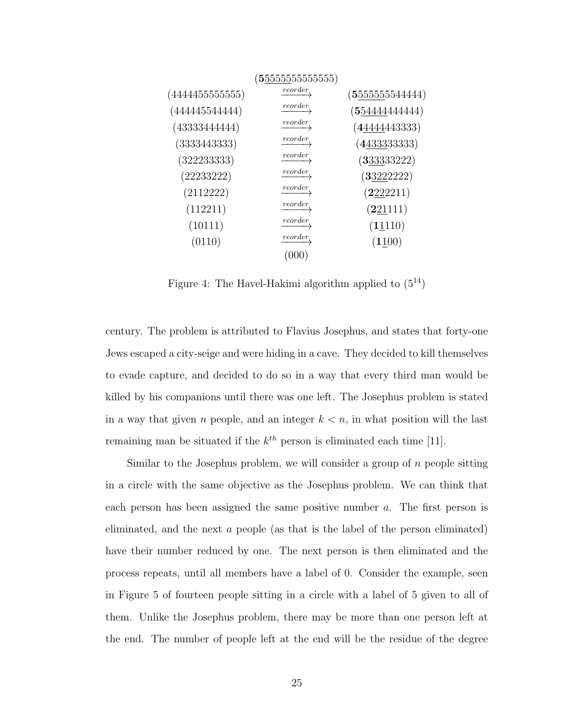<span id="page-32-0"></span>

|                 | $({\bf 5}555555555555)$ |                               |
|-----------------|-------------------------|-------------------------------|
| (4444455555555) | <i>reorder</i>          | $(5\underline{555555544444})$ |
| (444445544444)  | reorder                 | (55444444444)                 |
| (43333444444)   | reorder                 | (4444443333)                  |
| (3333443333)    | reorder                 | $(4\underline{4333}33333)$    |
| (322233333)     | reorder                 | (333333222)                   |
| (22233222)      | reorder                 | (33222222)                    |
| (2112222)       | reorder                 | (2222211)                     |
| (112211)        | reorder                 | (221111)                      |
| (10111)         | reorder                 | (11110)                       |
| (0110)          | reorder                 | (1100)                        |
|                 |                         |                               |

Figure 4: The Havel-Hakimi algorithm applied to  $(5^{14})$ 

century. The problem is attributed to Flavius Josephus, and states that forty-one Jews escaped a city-seige and were hiding in a cave. They decided to kill themselves to evade capture, and decided to do so in a way that every third man would be killed by his companions until there was one left. The Josephus problem is stated in a way that given n people, and an integer  $k < n$ , in what position will the last remaining man be situated if the  $k^{th}$  person is eliminated each time [\[11\]](#page-66-7).

Similar to the Josephus problem, we will consider a group of  $n$  people sitting in a circle with the same objective as the Josephus problem. We can think that each person has been assigned the same positive number a. The first person is eliminated, and the next a people (as that is the label of the person eliminated) have their number reduced by one. The next person is then eliminated and the process repeats, until all members have a label of 0. Consider the example, seen in Figure [5](#page-34-0) of fourteen people sitting in a circle with a label of 5 given to all of them. Unlike the Josephus problem, there may be more than one person left at the end. The number of people left at the end will be the residue of the degree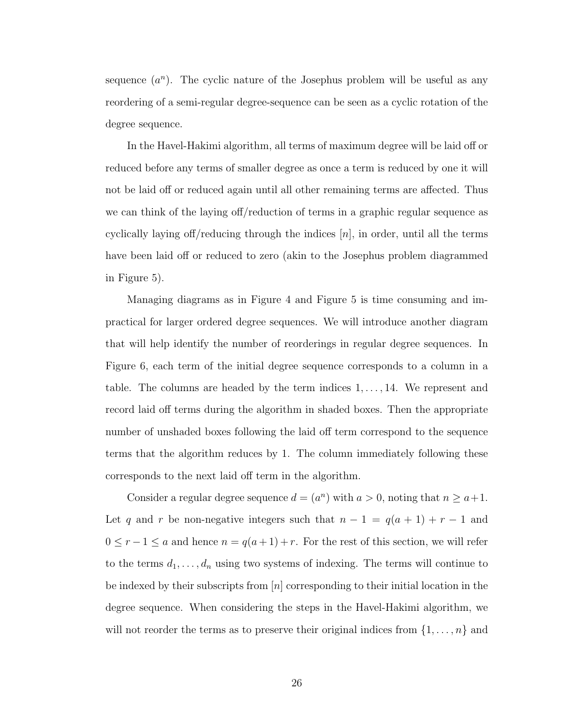sequence  $(a^n)$ . The cyclic nature of the Josephus problem will be useful as any reordering of a semi-regular degree-sequence can be seen as a cyclic rotation of the degree sequence.

In the Havel-Hakimi algorithm, all terms of maximum degree will be laid off or reduced before any terms of smaller degree as once a term is reduced by one it will not be laid off or reduced again until all other remaining terms are affected. Thus we can think of the laying off/reduction of terms in a graphic regular sequence as cyclically laying off/reducing through the indices  $[n]$ , in order, until all the terms have been laid off or reduced to zero (akin to the Josephus problem diagrammed in Figure [5\)](#page-34-0).

Managing diagrams as in Figure [4](#page-32-0) and Figure [5](#page-34-0) is time consuming and impractical for larger ordered degree sequences. We will introduce another diagram that will help identify the number of reorderings in regular degree sequences. In Figure [6,](#page-35-0) each term of the initial degree sequence corresponds to a column in a table. The columns are headed by the term indices  $1, \ldots, 14$ . We represent and record laid off terms during the algorithm in shaded boxes. Then the appropriate number of unshaded boxes following the laid off term correspond to the sequence terms that the algorithm reduces by 1. The column immediately following these corresponds to the next laid off term in the algorithm.

Consider a regular degree sequence  $d = (a^n)$  with  $a > 0$ , noting that  $n \ge a+1$ . Let q and r be non-negative integers such that  $n - 1 = q(a + 1) + r - 1$  and  $0 \le r - 1 \le a$  and hence  $n = q(a + 1) + r$ . For the rest of this section, we will refer to the terms  $d_1, \ldots, d_n$  using two systems of indexing. The terms will continue to be indexed by their subscripts from  $[n]$  corresponding to their initial location in the degree sequence. When considering the steps in the Havel-Hakimi algorithm, we will not reorder the terms as to preserve their original indices from  $\{1, \ldots, n\}$  and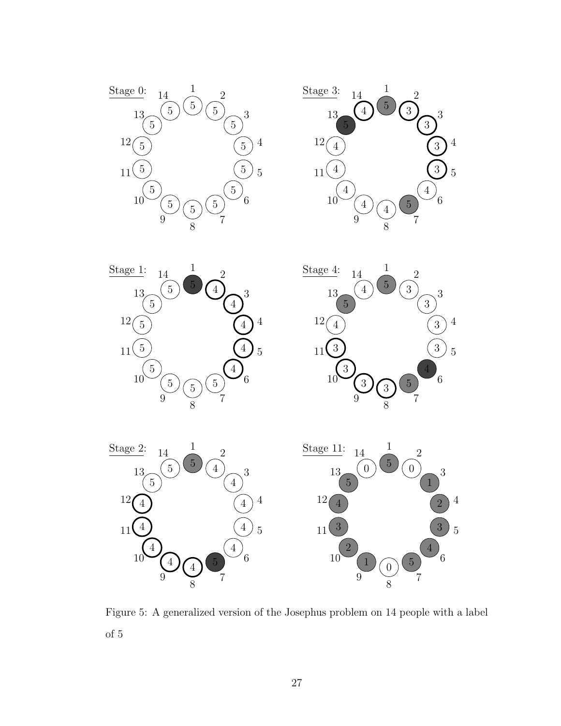<span id="page-34-0"></span>









Figure 5: A generalized version of the Josephus problem on 14 people with a label of 5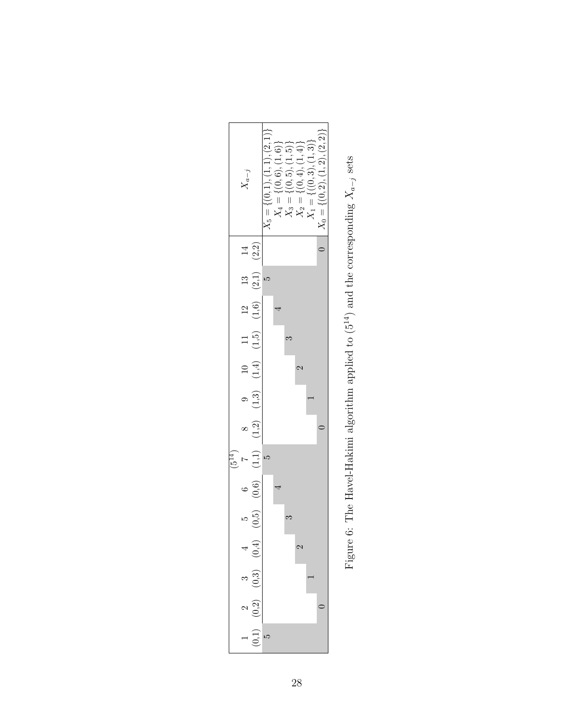<span id="page-35-0"></span>

| $\begin{array}{c} X_5=\{(0,1),(1,1),(2,1)\}\\ X_4=\{(0,6),(1,6)\}\\ X_3=\{(0,5),(1,5)\}\\ X_2=\{(0,4),(1,4)\}\\ X_1=\{(0,4),(1,4)\}\\ X_1=\{(0,3),(1,3)\} \end{array}$<br>[(0, 2), (1, 2), (2, 2)]<br>$X_{a-j}$<br>$X_0 = 1$<br>$14$<br>(2,2)<br>$\frac{13}{(2,1)}$<br>ΓJ.<br>8 9 10 11 12<br>(1,2) (1,3) (1,4) (1,5) (1,6)<br>$\overline{4}$<br>S<br>$\mathbf{\Omega}$<br>0<br>$(1,1)$<br>$\frac{1}{2}$<br>rC<br>$\begin{array}{cc} 5 & 6 \\ (0,5) & (0,6) \end{array}$<br>4<br>$\begin{pmatrix} 3 & 4 \\ 0,3 & (0,4) \end{pmatrix}$<br>$\mathbf{\hat{z}}$<br>$\begin{pmatrix} 2 \\ 0.2 \end{pmatrix}$<br>$-\frac{1}{\left(5\right)}$ |  |  |  |  |  |  |
|----------------------------------------------------------------------------------------------------------------------------------------------------------------------------------------------------------------------------------------------------------------------------------------------------------------------------------------------------------------------------------------------------------------------------------------------------------------------------------------------------------------------------------------------------------------------------------------------------------------------------------------|--|--|--|--|--|--|
|                                                                                                                                                                                                                                                                                                                                                                                                                                                                                                                                                                                                                                        |  |  |  |  |  |  |
|                                                                                                                                                                                                                                                                                                                                                                                                                                                                                                                                                                                                                                        |  |  |  |  |  |  |
|                                                                                                                                                                                                                                                                                                                                                                                                                                                                                                                                                                                                                                        |  |  |  |  |  |  |
|                                                                                                                                                                                                                                                                                                                                                                                                                                                                                                                                                                                                                                        |  |  |  |  |  |  |
|                                                                                                                                                                                                                                                                                                                                                                                                                                                                                                                                                                                                                                        |  |  |  |  |  |  |
|                                                                                                                                                                                                                                                                                                                                                                                                                                                                                                                                                                                                                                        |  |  |  |  |  |  |
|                                                                                                                                                                                                                                                                                                                                                                                                                                                                                                                                                                                                                                        |  |  |  |  |  |  |
|                                                                                                                                                                                                                                                                                                                                                                                                                                                                                                                                                                                                                                        |  |  |  |  |  |  |
|                                                                                                                                                                                                                                                                                                                                                                                                                                                                                                                                                                                                                                        |  |  |  |  |  |  |
|                                                                                                                                                                                                                                                                                                                                                                                                                                                                                                                                                                                                                                        |  |  |  |  |  |  |
|                                                                                                                                                                                                                                                                                                                                                                                                                                                                                                                                                                                                                                        |  |  |  |  |  |  |
|                                                                                                                                                                                                                                                                                                                                                                                                                                                                                                                                                                                                                                        |  |  |  |  |  |  |
|                                                                                                                                                                                                                                                                                                                                                                                                                                                                                                                                                                                                                                        |  |  |  |  |  |  |
|                                                                                                                                                                                                                                                                                                                                                                                                                                                                                                                                                                                                                                        |  |  |  |  |  |  |
|                                                                                                                                                                                                                                                                                                                                                                                                                                                                                                                                                                                                                                        |  |  |  |  |  |  |

Figure 6: The Havel-Hakimi algorithm applied to (5<sup>14</sup>) and the corresponding  $X_{a-j}$  sets Figure 6: The Havel-Hakimi algorithm applied to  $(5^{14})$  and the corresponding  $X_{a-j}$  sets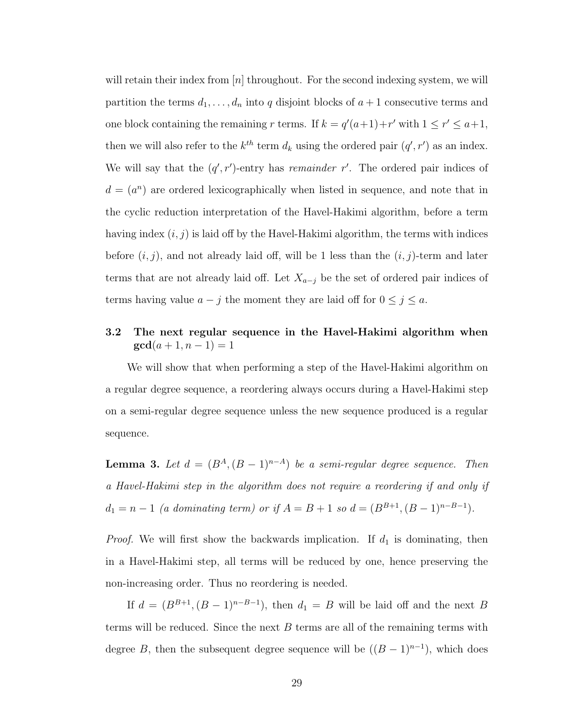will retain their index from  $[n]$  throughout. For the second indexing system, we will partition the terms  $d_1, \ldots, d_n$  into q disjoint blocks of  $a + 1$  consecutive terms and one block containing the remaining r terms. If  $k = q'(a+1) + r'$  with  $1 \le r' \le a+1$ , then we will also refer to the  $k^{th}$  term  $d_k$  using the ordered pair  $(q', r')$  as an index. We will say that the  $(q', r')$ -entry has *remainder* r'. The ordered pair indices of  $d = (a^n)$  are ordered lexicographically when listed in sequence, and note that in the cyclic reduction interpretation of the Havel-Hakimi algorithm, before a term having index  $(i, j)$  is laid off by the Havel-Hakimi algorithm, the terms with indices before  $(i, j)$ , and not already laid off, will be 1 less than the  $(i, j)$ -term and later terms that are not already laid off. Let  $X_{a-j}$  be the set of ordered pair indices of terms having value  $a - j$  the moment they are laid off for  $0 \le j \le a$ .

# 3.2 The next regular sequence in the Havel-Hakimi algorithm when  $gcd(a + 1, n - 1) = 1$

We will show that when performing a step of the Havel-Hakimi algorithm on a regular degree sequence, a reordering always occurs during a Havel-Hakimi step on a semi-regular degree sequence unless the new sequence produced is a regular sequence.

<span id="page-36-0"></span>**Lemma 3.** Let  $d = (B^A, (B-1)^{n-A})$  be a semi-regular degree sequence. Then a Havel-Hakimi step in the algorithm does not require a reordering if and only if  $d_1 = n - 1$  (a dominating term) or if  $A = B + 1$  so  $d = (B^{B+1}, (B-1)^{n-B-1})$ .

*Proof.* We will first show the backwards implication. If  $d_1$  is dominating, then in a Havel-Hakimi step, all terms will be reduced by one, hence preserving the non-increasing order. Thus no reordering is needed.

If  $d = (B^{B+1}, (B-1)^{n-B-1})$ , then  $d_1 = B$  will be laid off and the next B terms will be reduced. Since the next  $B$  terms are all of the remaining terms with degree B, then the subsequent degree sequence will be  $((B-1)^{n-1})$ , which does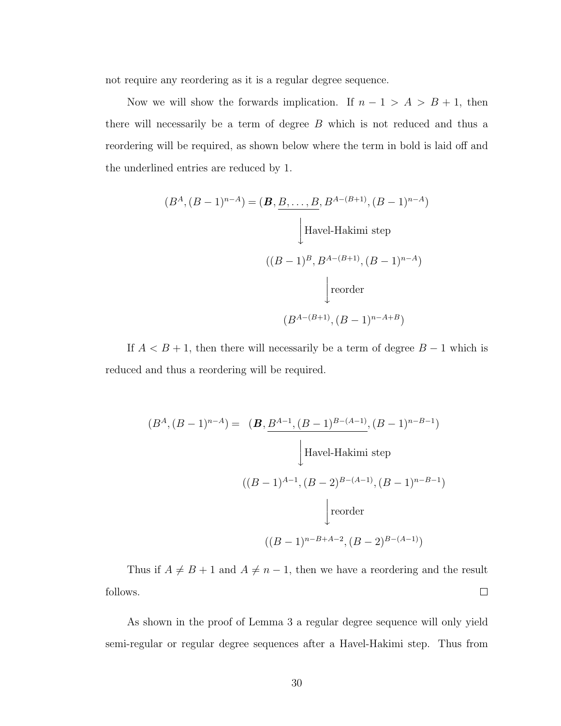not require any reordering as it is a regular degree sequence.

Now we will show the forwards implication. If  $n - 1 > A > B + 1$ , then there will necessarily be a term of degree  $B$  which is not reduced and thus a reordering will be required, as shown below where the term in bold is laid off and the underlined entries are reduced by 1.

$$
(B^{A}, (B-1)^{n-A}) = (\mathbf{B}, \underline{B}, \dots, \underline{B}, B^{A-(B+1)}, (B-1)^{n-A})
$$
  
\n
$$
\downarrow \text{Havel-Hakimi step}
$$
  
\n
$$
((B-1)^{B}, B^{A-(B+1)}, (B-1)^{n-A})
$$
  
\n
$$
\downarrow \text{reorder}
$$
  
\n
$$
(B^{A-(B+1)}, (B-1)^{n-A+B})
$$

If  $A < B + 1$ , then there will necessarily be a term of degree  $B - 1$  which is reduced and thus a reordering will be required.

$$
(B^{A}, (B-1)^{n-A}) = (B, \underline{B^{A-1}, (B-1)^{B-(A-1)}}, (B-1)^{n-B-1})
$$
  
\n
$$
\downarrow \text{Havel-Hakimi step}
$$
  
\n
$$
((B-1)^{A-1}, (B-2)^{B-(A-1)}, (B-1)^{n-B-1})
$$
  
\n
$$
\downarrow \text{reorder}
$$
  
\n
$$
((B-1)^{n-B+A-2}, (B-2)^{B-(A-1)})
$$

Thus if  $A \neq B + 1$  and  $A \neq n - 1$ , then we have a reordering and the result follows.  $\Box$ 

As shown in the proof of Lemma [3](#page-36-0) a regular degree sequence will only yield semi-regular or regular degree sequences after a Havel-Hakimi step. Thus from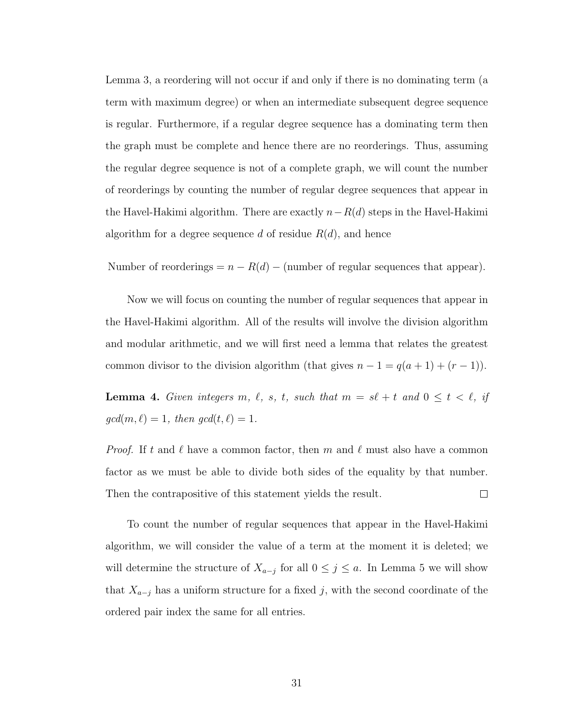Lemma [3,](#page-36-0) a reordering will not occur if and only if there is no dominating term (a term with maximum degree) or when an intermediate subsequent degree sequence is regular. Furthermore, if a regular degree sequence has a dominating term then the graph must be complete and hence there are no reorderings. Thus, assuming the regular degree sequence is not of a complete graph, we will count the number of reorderings by counting the number of regular degree sequences that appear in the Havel-Hakimi algorithm. There are exactly  $n-R(d)$  steps in the Havel-Hakimi algorithm for a degree sequence d of residue  $R(d)$ , and hence

Number of reorderings =  $n - R(d)$  – (number of regular sequences that appear).

Now we will focus on counting the number of regular sequences that appear in the Havel-Hakimi algorithm. All of the results will involve the division algorithm and modular arithmetic, and we will first need a lemma that relates the greatest common divisor to the division algorithm (that gives  $n - 1 = q(a + 1) + (r - 1)$ ).

<span id="page-38-0"></span>**Lemma 4.** Given integers m,  $\ell$ , s, t, such that  $m = s\ell + t$  and  $0 \le t < \ell$ , if  $gcd(m, \ell) = 1$ , then  $gcd(t, \ell) = 1$ .

*Proof.* If t and  $\ell$  have a common factor, then m and  $\ell$  must also have a common factor as we must be able to divide both sides of the equality by that number. Then the contrapositive of this statement yields the result.  $\Box$ 

To count the number of regular sequences that appear in the Havel-Hakimi algorithm, we will consider the value of a term at the moment it is deleted; we will determine the structure of  $X_{a-j}$  for all  $0 \leq j \leq a$ . In Lemma [5](#page-39-0) we will show that  $X_{a-j}$  has a uniform structure for a fixed j, with the second coordinate of the ordered pair index the same for all entries.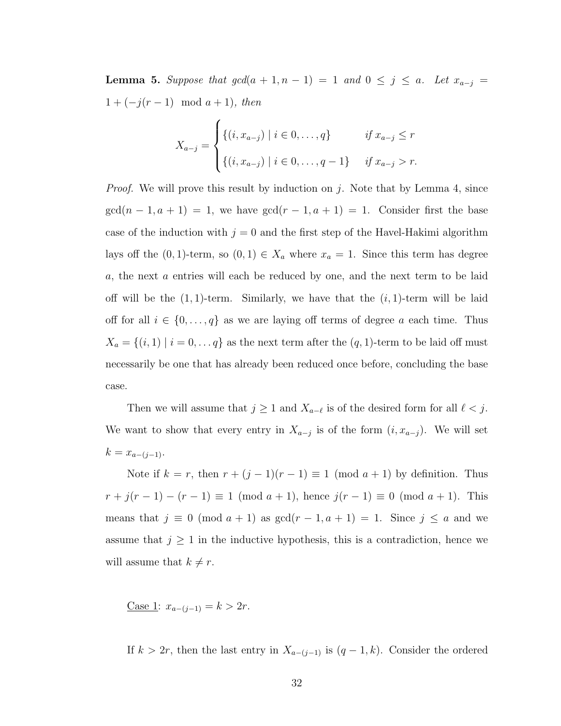<span id="page-39-0"></span>**Lemma 5.** Suppose that  $gcd(a + 1, n - 1) = 1$  and  $0 \le j \le a$ . Let  $x_{a-j} =$  $1 + (-j(r - 1) \mod a + 1), \text{ then}$ 

$$
X_{a-j} = \begin{cases} \{(i, x_{a-j}) \mid i \in 0, \dots, q\} & \text{if } x_{a-j} \le r \\ \{(i, x_{a-j}) \mid i \in 0, \dots, q-1\} & \text{if } x_{a-j} > r. \end{cases}
$$

*Proof.* We will prove this result by induction on j. Note that by Lemma [4,](#page-38-0) since  $gcd(n-1, a+1) = 1$ , we have  $gcd(r-1, a+1) = 1$ . Consider first the base case of the induction with  $j = 0$  and the first step of the Havel-Hakimi algorithm lays off the  $(0, 1)$ -term, so  $(0, 1) \in X_a$  where  $x_a = 1$ . Since this term has degree a, the next a entries will each be reduced by one, and the next term to be laid off will be the  $(1, 1)$ -term. Similarly, we have that the  $(i, 1)$ -term will be laid off for all  $i \in \{0, \ldots, q\}$  as we are laying off terms of degree a each time. Thus  $X_a = \{(i, 1) | i = 0, \dots q\}$  as the next term after the  $(q, 1)$ -term to be laid off must necessarily be one that has already been reduced once before, concluding the base case.

Then we will assume that  $j \geq 1$  and  $X_{a-\ell}$  is of the desired form for all  $\ell < j$ . We want to show that every entry in  $X_{a-j}$  is of the form  $(i, x_{a-j})$ . We will set  $k = x_{a-(j-1)}$ .

Note if  $k = r$ , then  $r + (j - 1)(r - 1) \equiv 1 \pmod{a + 1}$  by definition. Thus  $r + j(r - 1) - (r - 1) \equiv 1 \pmod{a + 1}$ , hence  $j(r - 1) \equiv 0 \pmod{a + 1}$ . This means that  $j \equiv 0 \pmod{a+1}$  as  $gcd(r-1, a+1) = 1$ . Since  $j \le a$  and we assume that  $j \geq 1$  in the inductive hypothesis, this is a contradiction, hence we will assume that  $k \neq r$ .

Case 1:  $x_{a-(j-1)} = k > 2r$ .

If  $k > 2r$ , then the last entry in  $X_{a-(j-1)}$  is  $(q-1, k)$ . Consider the ordered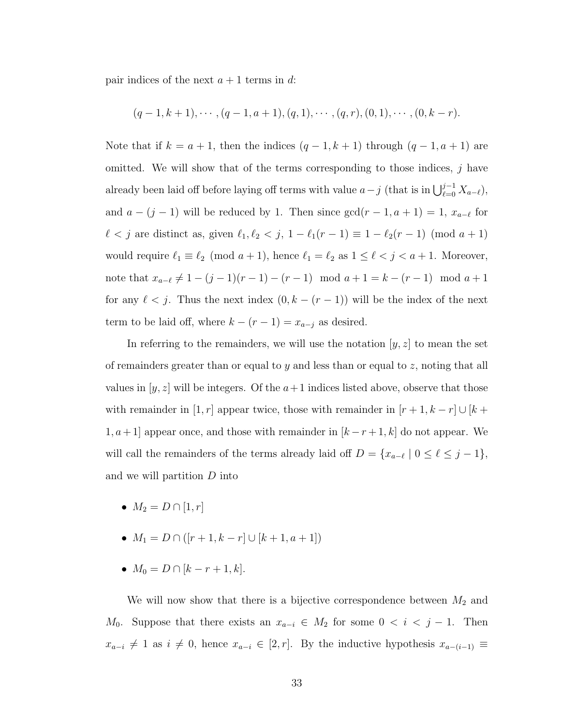pair indices of the next  $a + 1$  terms in d:

$$
(q-1, k+1), \cdots, (q-1, a+1), (q, 1), \cdots, (q, r), (0, 1), \cdots, (0, k-r).
$$

Note that if  $k = a + 1$ , then the indices  $(q - 1, k + 1)$  through  $(q - 1, a + 1)$  are omitted. We will show that of the terms corresponding to those indices,  $j$  have already been laid off before laying off terms with value  $a - j$  (that is in  $\bigcup_{\ell=0}^{j-1} X_{a-\ell}$ ), and  $a - (j - 1)$  will be reduced by 1. Then since  $gcd(r - 1, a + 1) = 1, x_{a-\ell}$  for  $\ell < j$  are distinct as, given  $\ell_1, \ell_2 < j$ ,  $1 - \ell_1(r - 1) \equiv 1 - \ell_2(r - 1) \pmod{a + 1}$ would require  $\ell_1 \equiv \ell_2 \pmod{a + 1}$ , hence  $\ell_1 = \ell_2$  as  $1 \leq \ell < j < a + 1$ . Moreover, note that  $x_{a-\ell} \neq 1 - (j - 1)(r - 1) - (r - 1) \mod a + 1 = k - (r - 1) \mod a + 1$ for any  $\ell < j$ . Thus the next index  $(0, k - (r - 1))$  will be the index of the next term to be laid off, where  $k - (r - 1) = x_{a-j}$  as desired.

In referring to the remainders, we will use the notation  $[y, z]$  to mean the set of remainders greater than or equal to y and less than or equal to z, noting that all values in  $[y, z]$  will be integers. Of the  $a+1$  indices listed above, observe that those with remainder in  $[1,r]$  appear twice, those with remainder in  $[r+1,k-r]\cup [k+1]$  $1, a+1$ ] appear once, and those with remainder in  $[k-r+1, k]$  do not appear. We will call the remainders of the terms already laid off  $D = \{x_{a-\ell} \mid 0 \leq \ell \leq j-1\},\$ and we will partition D into

- $M_2 = D \cap [1, r]$
- $M_1 = D \cap ([r+1, k-r] \cup [k+1, a+1])$
- $M_0 = D \cap [k r + 1, k].$

We will now show that there is a bijective correspondence between  $M_2$  and  $M_0$ . Suppose that there exists an  $x_{a-i} \in M_2$  for some  $0 < i < j-1$ . Then  $x_{a-i} \neq 1$  as  $i \neq 0$ , hence  $x_{a-i} \in [2, r]$ . By the inductive hypothesis  $x_{a-(i-1)} \equiv$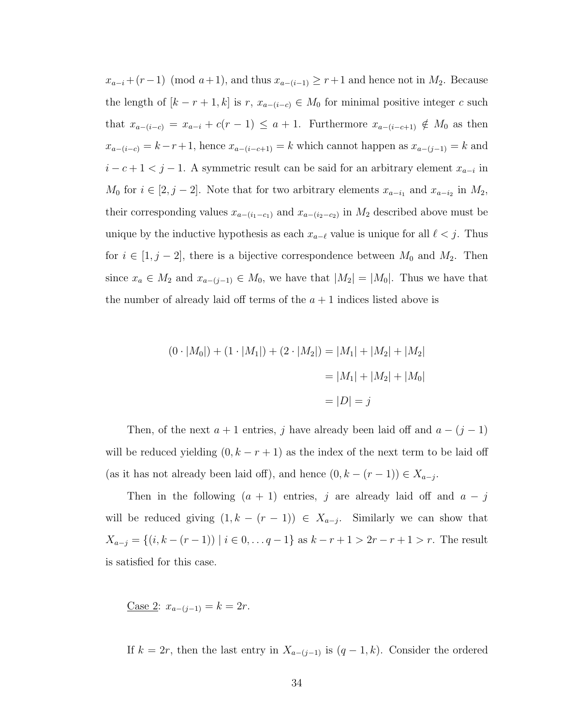$x_{a-i}$  +  $(r-1)$  (mod  $a+1$ ), and thus  $x_{a-(i-1)} \geq r+1$  and hence not in  $M_2$ . Because the length of  $[k - r + 1, k]$  is r,  $x_{a-(i-c)} \in M_0$  for minimal positive integer c such that  $x_{a-(i-c)} = x_{a-i} + c(r-1) \le a+1$ . Furthermore  $x_{a-(i-c+1)} \notin M_0$  as then  $x_{a-(i-c)} = k-r+1$ , hence  $x_{a-(i-c+1)} = k$  which cannot happen as  $x_{a-(j-1)} = k$  and  $i - c + 1 < j - 1$ . A symmetric result can be said for an arbitrary element  $x_{a-i}$  in  $M_0$  for  $i \in [2, j-2]$ . Note that for two arbitrary elements  $x_{a-i_1}$  and  $x_{a-i_2}$  in  $M_2$ , their corresponding values  $x_{a-(i_1-c_1)}$  and  $x_{a-(i_2-c_2)}$  in  $M_2$  described above must be unique by the inductive hypothesis as each  $x_{a-\ell}$  value is unique for all  $\ell < j$ . Thus for  $i \in [1, j - 2]$ , there is a bijective correspondence between  $M_0$  and  $M_2$ . Then since  $x_a \in M_2$  and  $x_{a-(j-1)} \in M_0$ , we have that  $|M_2| = |M_0|$ . Thus we have that the number of already laid off terms of the  $a + 1$  indices listed above is

$$
(0 \cdot |M_0|) + (1 \cdot |M_1|) + (2 \cdot |M_2|) = |M_1| + |M_2| + |M_2|
$$
  
= |M\_1| + |M\_2| + |M\_0|  
= |D| = j

Then, of the next  $a + 1$  entries, j have already been laid off and  $a - (j - 1)$ will be reduced yielding  $(0, k - r + 1)$  as the index of the next term to be laid off (as it has not already been laid off), and hence  $(0, k - (r - 1)) \in X_{a-j}$ .

Then in the following  $(a + 1)$  entries, j are already laid off and  $a - j$ will be reduced giving  $(1, k - (r - 1)) \in X_{a-j}$ . Similarly we can show that  $X_{a-j} = \{(i, k - (r - 1)) \mid i \in 0, \ldots, q - 1\}$  as  $k - r + 1 > 2r - r + 1 > r$ . The result is satisfied for this case.

Case 2:  $x_{a-(i-1)} = k = 2r$ .

If  $k = 2r$ , then the last entry in  $X_{a-(j-1)}$  is  $(q-1, k)$ . Consider the ordered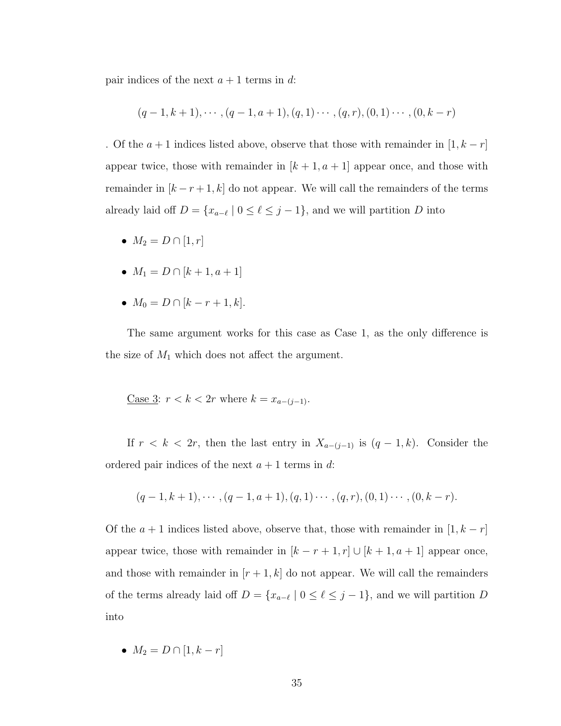pair indices of the next  $a + 1$  terms in d:

$$
(q-1,k+1), \cdots, (q-1,a+1), (q,1) \cdots, (q,r), (0,1) \cdots, (0,k-r)
$$

. Of the  $a + 1$  indices listed above, observe that those with remainder in  $[1, k - r]$ appear twice, those with remainder in  $[k+1, a+1]$  appear once, and those with remainder in  $[k - r + 1, k]$  do not appear. We will call the remainders of the terms already laid off  $D = \{x_{a-\ell} \mid 0 \leq \ell \leq j-1\}$ , and we will partition D into

- $M_2 = D \cap [1, r]$
- $M_1 = D \cap [k+1, a+1]$
- $M_0 = D \cap [k r + 1, k].$

The same argument works for this case as Case 1, as the only difference is the size of  $M_1$  which does not affect the argument.

$$
\underline{\text{Case 3: }} r < k < 2r \text{ where } k = x_{a-(j-1)}.
$$

If  $r < k < 2r$ , then the last entry in  $X_{a-(j-1)}$  is  $(q-1, k)$ . Consider the ordered pair indices of the next  $a + 1$  terms in d:

$$
(q-1,k+1), \cdots, (q-1,a+1), (q,1) \cdots, (q,r), (0,1) \cdots, (0,k-r).
$$

Of the  $a + 1$  indices listed above, observe that, those with remainder in  $[1, k - r]$ appear twice, those with remainder in  $[k - r + 1, r] \cup [k + 1, a + 1]$  appear once, and those with remainder in  $[r+1, k]$  do not appear. We will call the remainders of the terms already laid off  $D = \{x_{a-\ell} \mid 0 \leq \ell \leq j-1\}$ , and we will partition D into

•  $M_2 = D \cap [1, k - r]$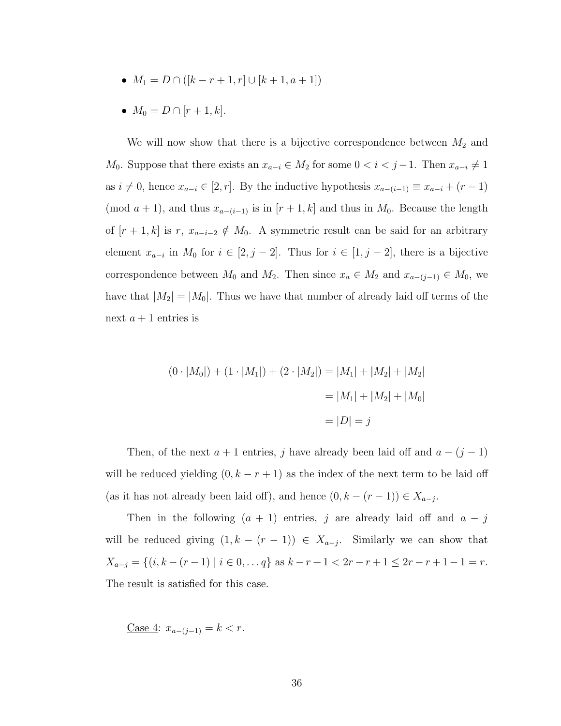- $M_1 = D \cap (k r + 1, r] \cup [k + 1, a + 1]$
- $M_0 = D \cap [r+1, k].$

We will now show that there is a bijective correspondence between  $M_2$  and  $M_0$ . Suppose that there exists an  $x_{a-i} \in M_2$  for some  $0 < i < j-1$ . Then  $x_{a-i} \neq 1$ as  $i \neq 0$ , hence  $x_{a-i} \in [2, r]$ . By the inductive hypothesis  $x_{a-(i-1)} \equiv x_{a-i} + (r-1)$ (mod  $a + 1$ ), and thus  $x_{a-(i-1)}$  is in  $[r + 1, k]$  and thus in  $M_0$ . Because the length of  $[r + 1, k]$  is r,  $x_{a-i-2} \notin M_0$ . A symmetric result can be said for an arbitrary element  $x_{a-i}$  in  $M_0$  for  $i \in [2, j-2]$ . Thus for  $i \in [1, j-2]$ , there is a bijective correspondence between  $M_0$  and  $M_2$ . Then since  $x_a \in M_2$  and  $x_{a-(j-1)} \in M_0$ , we have that  $|M_2| = |M_0|$ . Thus we have that number of already laid off terms of the next  $a + 1$  entries is

$$
(0 \cdot |M_0|) + (1 \cdot |M_1|) + (2 \cdot |M_2|) = |M_1| + |M_2| + |M_2|
$$
  
= |M\_1| + |M\_2| + |M\_0|  
= |D| = j

Then, of the next  $a + 1$  entries, j have already been laid off and  $a - (j - 1)$ will be reduced yielding  $(0, k - r + 1)$  as the index of the next term to be laid off (as it has not already been laid off), and hence  $(0, k - (r - 1)) \in X_{a-j}$ .

Then in the following  $(a + 1)$  entries, j are already laid off and  $a - j$ will be reduced giving  $(1, k - (r - 1)) \in X_{a-j}$ . Similarly we can show that  $X_{a-j} = \{(i, k - (r - 1) \mid i \in 0, \ldots q\} \text{ as } k - r + 1 < 2r - r + 1 \leq 2r - r + 1 - 1 = r.$ The result is satisfied for this case.

Case 4:  $x_{a-(i-1)} = k < r$ .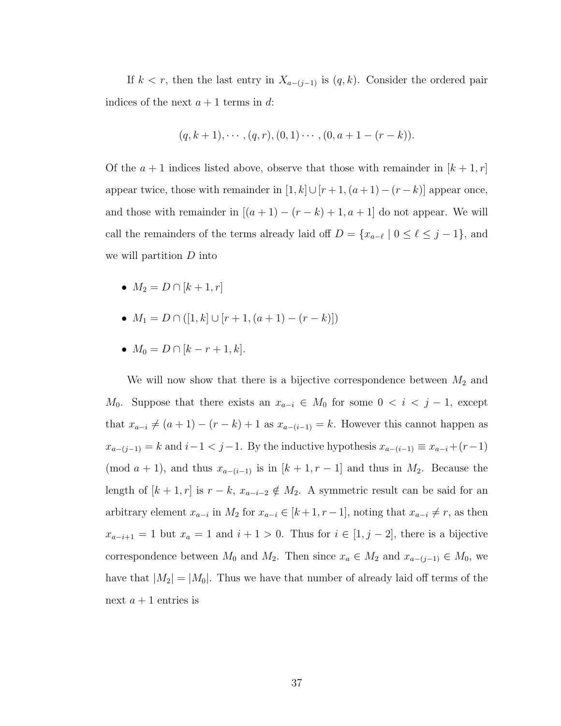If  $k < r$ , then the last entry in  $X_{a-(j-1)}$  is  $(q, k)$ . Consider the ordered pair indices of the next  $a + 1$  terms in d:

$$
(q, k + 1), \cdots, (q, r), (0, 1) \cdots, (0, a + 1 - (r - k)).
$$

Of the  $a + 1$  indices listed above, observe that those with remainder in  $[k + 1, r]$ appear twice, those with remainder in  $[1, k] \cup [r + 1, (a + 1) - (r - k)]$  appear once, and those with remainder in  $[(a + 1) - (r - k) + 1, a + 1]$  do not appear. We will call the remainders of the terms already laid off  $D = \{x_{a-\ell} \mid 0 \leq \ell \leq j-1\}$ , and we will partition  $D$  into

- $M_2 = D \cap [k+1, r]$
- $M_1 = D \cap ([1, k] \cup [r+1, (a+1) (r-k)])$
- $M_0 = D \cap [k r + 1, k].$

We will now show that there is a bijective correspondence between  $M_2$  and  $M_0$ . Suppose that there exists an  $x_{a-i} \in M_0$  for some  $0 < i < j-1$ , except that  $x_{a-i} \neq (a+1) - (r - k) + 1$  as  $x_{a-(i-1)} = k$ . However this cannot happen as  $x_{a-(j-1)} = k$  and  $i-1 < j-1$ . By the inductive hypothesis  $x_{a-(i-1)} \equiv x_{a-i} + (r-1)$ (mod  $a + 1$ ), and thus  $x_{a-(i-1)}$  is in  $[k+1, r-1]$  and thus in  $M_2$ . Because the length of  $[k + 1, r]$  is  $r - k$ ,  $x_{a-i-2} \notin M_2$ . A symmetric result can be said for an arbitrary element  $x_{a-i}$  in  $M_2$  for  $x_{a-i} \in [k+1, r-1]$ , noting that  $x_{a-i} \neq r$ , as then  $x_{a-i+1} = 1$  but  $x_a = 1$  and  $i + 1 > 0$ . Thus for  $i \in [1, j - 2]$ , there is a bijective correspondence between  $M_0$  and  $M_2$ . Then since  $x_a \in M_2$  and  $x_{a-(j-1)} \in M_0$ , we have that  $|M_2| = |M_0|$ . Thus we have that number of already laid off terms of the next  $a + 1$  entries is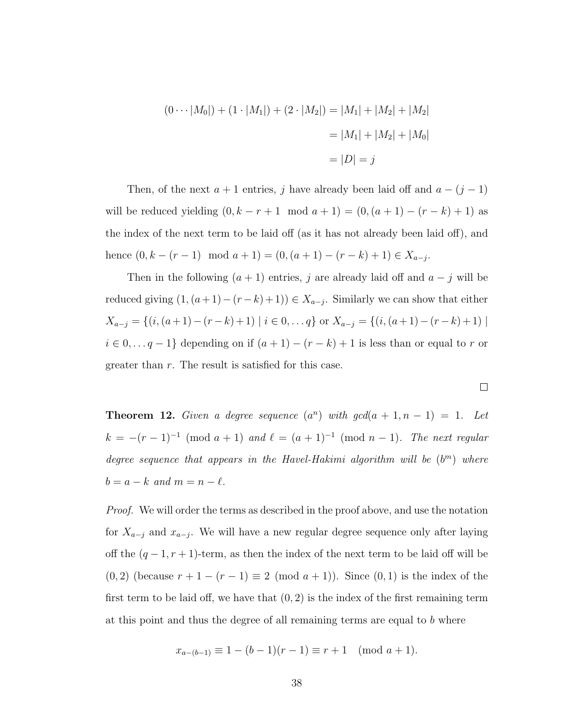$$
(0 \cdots |M_0|) + (1 \cdot |M_1|) + (2 \cdot |M_2|) = |M_1| + |M_2| + |M_2|
$$
  
= |M\_1| + |M\_2| + |M\_0|  
= |D| = j

Then, of the next  $a + 1$  entries, j have already been laid off and  $a - (j - 1)$ will be reduced yielding  $(0, k - r + 1 \mod a + 1) = (0, (a + 1) - (r - k) + 1)$  as the index of the next term to be laid off (as it has not already been laid off), and hence  $(0, k - (r - 1) \mod a + 1) = (0, (a + 1) - (r - k) + 1) \in X_{a-j}$ .

Then in the following  $(a + 1)$  entries, j are already laid off and  $a - j$  will be reduced giving  $(1, (a+1)-(r-k)+1)) \in X_{a-j}$ . Similarly we can show that either  $X_{a-j} = \{(i,(a+1)-(r-k)+1) | i \in 0, \ldots q\}$  or  $X_{a-j} = \{(i,(a+1)-(r-k)+1) | i \in 0, \ldots, q\}$  $i \in 0, \ldots, q-1$ } depending on if  $(a + 1) - (r - k) + 1$  is less than or equal to r or greater than r. The result is satisfied for this case.

<span id="page-45-0"></span>**Theorem 12.** Given a degree sequence  $(a^n)$  with  $gcd(a + 1, n - 1) = 1$ . Let  $k = -(r-1)^{-1} \pmod{a+1}$  and  $\ell = (a+1)^{-1} \pmod{n-1}$ . The next regular degree sequence that appears in the Havel-Hakimi algorithm will be  $(b<sup>m</sup>)$  where  $b = a - k$  and  $m = n - \ell$ .

 $\Box$ 

*Proof.* We will order the terms as described in the proof above, and use the notation for  $X_{a-j}$  and  $x_{a-j}$ . We will have a new regular degree sequence only after laying off the  $(q-1, r+1)$ -term, as then the index of the next term to be laid off will be (0, 2) (because  $r + 1 - (r - 1) \equiv 2 \pmod{a + 1}$ ). Since  $(0, 1)$  is the index of the first term to be laid off, we have that  $(0, 2)$  is the index of the first remaining term at this point and thus the degree of all remaining terms are equal to  $b$  where

$$
x_{a-(b-1)} \equiv 1 - (b-1)(r-1) \equiv r+1 \pmod{a+1}.
$$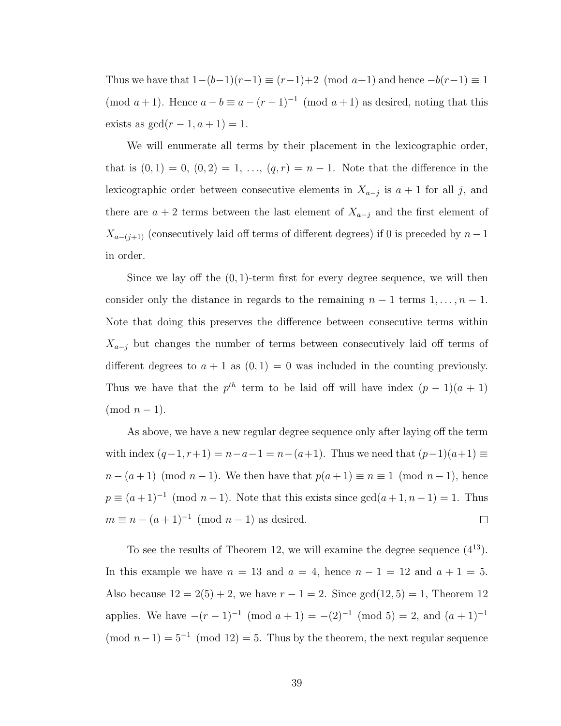Thus we have that  $1-(b-1)(r-1) \equiv (r-1)+2 \pmod{a+1}$  and hence  $-b(r-1) \equiv 1$ (mod  $a+1$ ). Hence  $a-b \equiv a-(r-1)^{-1} \pmod{a+1}$  as desired, noting that this exists as  $gcd(r - 1, a + 1) = 1$ .

We will enumerate all terms by their placement in the lexicographic order, that is  $(0, 1) = 0$ ,  $(0, 2) = 1, \ldots, (q, r) = n - 1$ . Note that the difference in the lexicographic order between consecutive elements in  $X_{a-j}$  is  $a+1$  for all j, and there are  $a + 2$  terms between the last element of  $X_{a-j}$  and the first element of  $X_{a-(j+1)}$  (consecutively laid off terms of different degrees) if 0 is preceded by  $n-1$ in order.

Since we lay off the  $(0, 1)$ -term first for every degree sequence, we will then consider only the distance in regards to the remaining  $n - 1$  terms  $1, \ldots, n - 1$ . Note that doing this preserves the difference between consecutive terms within  $X_{a-j}$  but changes the number of terms between consecutively laid off terms of different degrees to  $a + 1$  as  $(0, 1) = 0$  was included in the counting previously. Thus we have that the  $p^{th}$  term to be laid off will have index  $(p-1)(a+1)$  $\pmod{n-1}$ .

As above, we have a new regular degree sequence only after laying off the term with index  $(q-1, r+1) = n-a-1 = n-(a+1)$ . Thus we need that  $(p-1)(a+1) \equiv$  $n - (a + 1) \pmod{n-1}$ . We then have that  $p(a + 1) \equiv n \equiv 1 \pmod{n-1}$ , hence  $p \equiv (a+1)^{-1} \pmod{n-1}$ . Note that this exists since  $gcd(a+1, n-1) = 1$ . Thus  $m \equiv n - (a+1)^{-1} \pmod{n-1}$  as desired.  $\Box$ 

To see the results of Theorem [12,](#page-45-0) we will examine the degree sequence  $(4^{13})$ . In this example we have  $n = 13$  and  $a = 4$ , hence  $n - 1 = 12$  and  $a + 1 = 5$ . Also because  $12 = 2(5) + 2$ , we have  $r - 1 = 2$ . Since  $gcd(12, 5) = 1$ , Theorem [12](#page-45-0) applies. We have  $-(r-1)^{-1} \pmod{a+1} = -(2)^{-1} \pmod{5} = 2$ , and  $(a+1)^{-1}$  $\pmod{n-1} = 5^{-1} \pmod{12} = 5$ . Thus by the theorem, the next regular sequence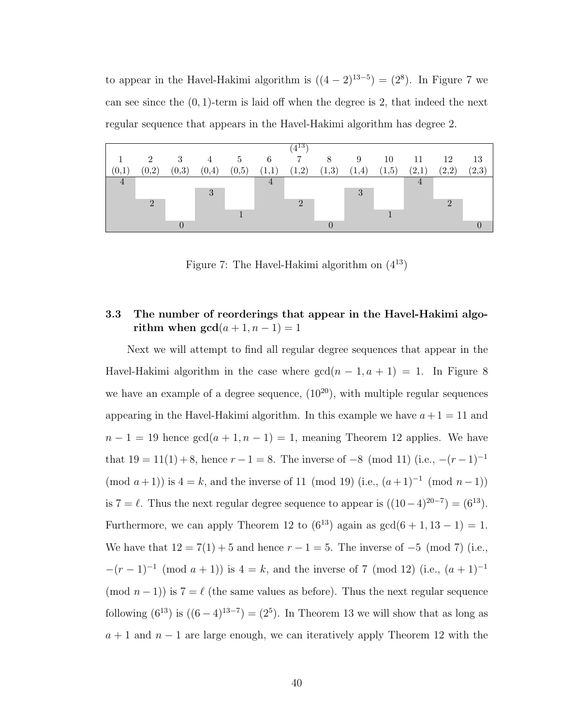to appear in the Havel-Hakimi algorithm is  $((4-2)^{13-5}) = (2^8)$ . In Figure [7](#page-47-0) we can see since the  $(0, 1)$ -term is laid off when the degree is 2, that indeed the next regular sequence that appears in the Havel-Hakimi algorithm has degree 2.

<span id="page-47-0"></span>

|                |                |       |                |       |                | $(4^{13})$ |       |       |       |                |          |       |
|----------------|----------------|-------|----------------|-------|----------------|------------|-------|-------|-------|----------------|----------|-------|
|                | $\overline{2}$ | 3     | $\overline{4}$ | 5     | 6              | 7          | 8     | 9     | 10    | 11             | 12       | 13    |
| (0,1)          | (0,2)          | (0,3) | (0,4)          | (0,5) | (1,1)          | (1,2)      | (1,3) | (1,4) | (1,5) | (2,1)          | (2,2)    | (2,3) |
| $\overline{4}$ |                |       |                |       | $\overline{4}$ |            |       |       |       | $\overline{4}$ |          |       |
|                |                |       | 3              |       |                |            |       | 3     |       |                |          |       |
|                |                |       |                |       |                |            |       |       |       |                | $\Omega$ |       |
|                |                |       |                |       |                |            |       |       |       |                |          |       |
|                |                |       |                |       |                |            |       |       |       |                |          |       |

Figure 7: The Havel-Hakimi algorithm on  $(4^{13})$ 

# 3.3 The number of reorderings that appear in the Havel-Hakimi algorithm when  $gcd(a + 1, n - 1) = 1$

Next we will attempt to find all regular degree sequences that appear in the Havel-Hakimi algorithm in the case where  $gcd(n - 1, a + 1) = 1$ . In Figure [8](#page-49-0) we have an example of a degree sequence,  $(10^{20})$ , with multiple regular sequences appearing in the Havel-Hakimi algorithm. In this example we have  $a+1=11$  and  $n-1 = 19$  hence  $gcd(a+1, n-1) = 1$ , meaning Theorem [12](#page-45-0) applies. We have that  $19 = 11(1) + 8$ , hence  $r - 1 = 8$ . The inverse of  $-8 \pmod{11}$  (i.e.,  $-(r - 1)^{-1}$  $(\text{mod } a+1)$  is  $4 = k$ , and the inverse of 11  $(\text{mod } 19)$   $(i.e., (a+1)^{-1} \pmod{n-1}$ is 7 =  $\ell$ . Thus the next regular degree sequence to appear is  $((10-4)^{20-7}) = (6^{13})$ . Furthermore, we can apply Theorem [12](#page-45-0) to  $(6^{13})$  again as  $gcd(6 + 1, 13 - 1) = 1$ . We have that  $12 = 7(1) + 5$  and hence  $r - 1 = 5$ . The inverse of  $-5 \pmod{7}$  (i.e.,  $-(r-1)^{-1}$  (mod  $a+1$ )) is  $4=k$ , and the inverse of 7 (mod 12) (i.e.,  $(a+1)^{-1}$ (mod  $n - 1$ )) is  $7 = \ell$  (the same values as before). Thus the next regular sequence following  $(6^{13})$  is  $((6-4)^{13-7}) = (2^5)$ . In Theorem [13](#page-48-0) we will show that as long as  $a + 1$  and  $n - 1$  are large enough, we can iteratively apply Theorem [12](#page-45-0) with the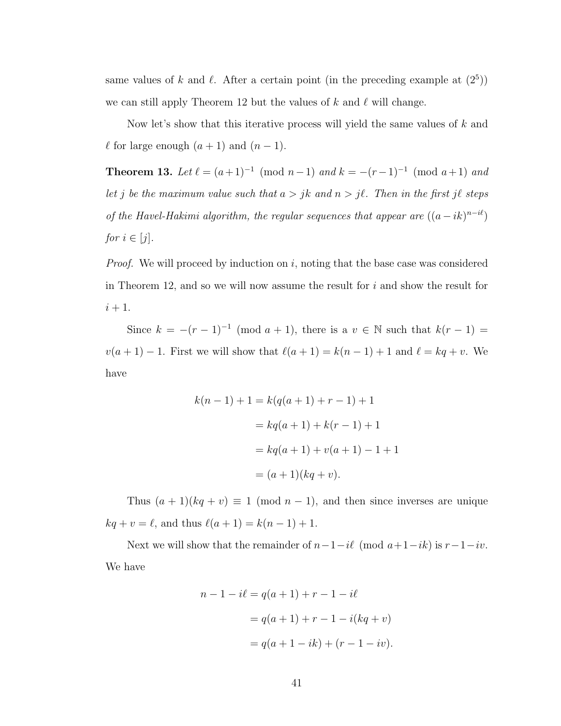same values of k and  $\ell$ . After a certain point (in the preceding example at  $(2^5)$ ) we can still apply Theorem [12](#page-45-0) but the values of k and  $\ell$  will change.

Now let's show that this iterative process will yield the same values of  $k$  and  $\ell$  for large enough  $(a + 1)$  and  $(n - 1)$ .

<span id="page-48-0"></span>**Theorem 13.** Let  $\ell = (a+1)^{-1} \pmod{n-1}$  and  $k = -(r-1)^{-1} \pmod{a+1}$  and let j be the maximum value such that  $a > jk$  and  $n > j\ell$ . Then in the first j $\ell$  steps of the Havel-Hakimi algorithm, the regular sequences that appear are  $((a - ik)^{n - i\ell})$ for  $i \in [j]$ .

*Proof.* We will proceed by induction on i, noting that the base case was considered in Theorem [12,](#page-45-0) and so we will now assume the result for  $i$  and show the result for  $i+1$ .

Since  $k = -(r-1)^{-1} \pmod{a+1}$ , there is a  $v \in \mathbb{N}$  such that  $k(r-1) =$  $v(a + 1) - 1$ . First we will show that  $\ell(a + 1) = k(n - 1) + 1$  and  $\ell = kq + v$ . We have

$$
k(n - 1) + 1 = k(q(a + 1) + r - 1) + 1
$$
  
=  $kq(a + 1) + k(r - 1) + 1$   
=  $kq(a + 1) + v(a + 1) - 1 + 1$   
=  $(a + 1)(kq + v)$ .

Thus  $(a + 1)(kq + v) \equiv 1 \pmod{n-1}$ , and then since inverses are unique  $kq + v = \ell$ , and thus  $\ell(a + 1) = k(n - 1) + 1$ .

Next we will show that the remainder of  $n-1-i\ell \pmod{a+1-ik}$  is  $r-1-i\nu$ . We have

$$
n - 1 - i\ell = q(a + 1) + r - 1 - i\ell
$$
  
=  $q(a + 1) + r - 1 - i(kq + v)$   
=  $q(a + 1 - ik) + (r - 1 - iv)$ .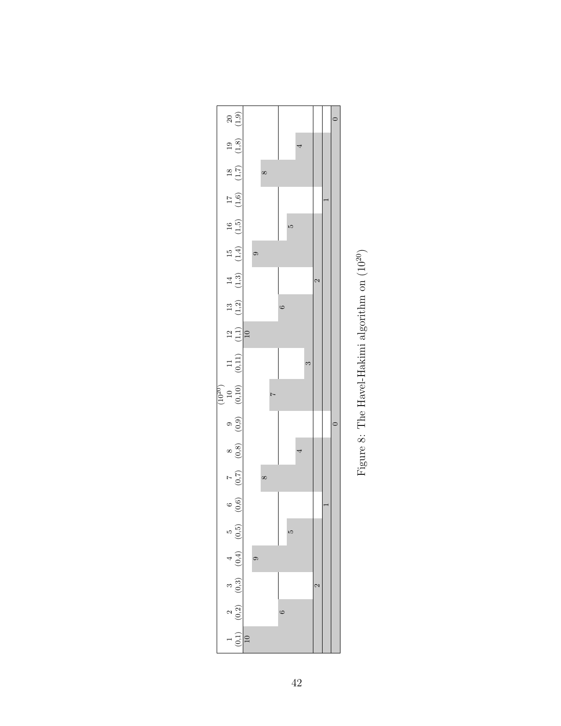<span id="page-49-0"></span>

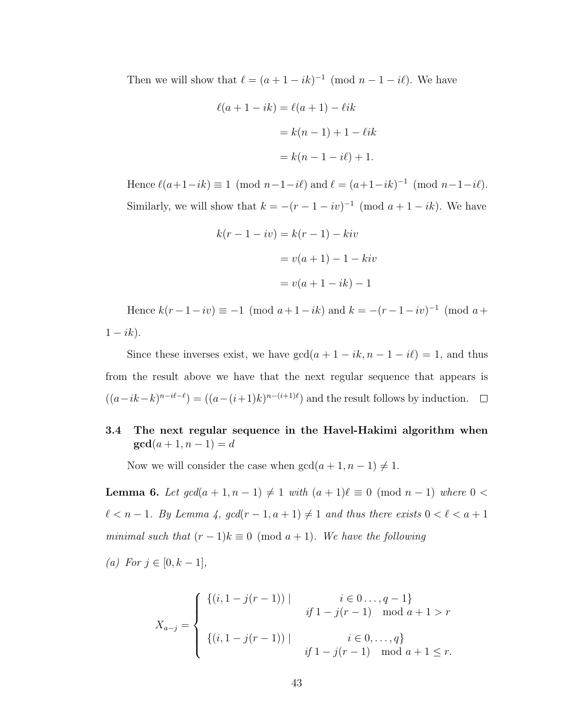Then we will show that  $\ell = (a + 1 - ik)^{-1} \pmod{n-1-i\ell}$ . We have

$$
\ell(a + 1 - ik) = \ell(a + 1) - \ell ik
$$
  
=  $k(n - 1) + 1 - \ell ik$   
=  $k(n - 1 - i\ell) + 1$ .

Hence  $\ell(a+1-ik) \equiv 1 \pmod{n-1-i\ell}$  and  $\ell = (a+1-ik)^{-1} \pmod{n-1-i\ell}$ . Similarly, we will show that  $k = -(r-1-iv)^{-1} \pmod{a+1-ik}$ . We have

$$
k(r-1-iv) = k(r-1) - kiv
$$

$$
= v(a+1) - 1 - kiv
$$

$$
= v(a+1-ik) - 1
$$

Hence  $k(r-1-iv) \equiv -1 \pmod{a+1-ik}$  and  $k = -(r-1-iv)^{-1} \pmod{a+1}$  $1 - ik$ ).

Since these inverses exist, we have  $gcd(a + 1 - ik, n - 1 - i\ell) = 1$ , and thus from the result above we have that the next regular sequence that appears is  $((a-ik-k)^{n-i\ell-\ell}) = ((a-(i+1)k)^{n-(i+1)\ell})$  and the result follows by induction.

# 3.4 The next regular sequence in the Havel-Hakimi algorithm when  $gcd(a + 1, n - 1) = d$

Now we will consider the case when  $gcd(a + 1, n - 1) \neq 1$ .

<span id="page-50-0"></span>**Lemma 6.** Let  $gcd(a + 1, n - 1) \neq 1$  with  $(a + 1)\ell \equiv 0 \pmod{n - 1}$  where  $0 <$  $\ell < n - 1$ . By Lemma [4,](#page-38-0)  $gcd(r - 1, a + 1) \neq 1$  and thus there exists  $0 < \ell < a + 1$ minimal such that  $(r-1)k \equiv 0 \pmod{a+1}$ . We have the following

(a) For  $j \in [0, k-1]$ ,

$$
X_{a-j} = \begin{cases} \{(i, 1 - j(r-1)) \mid & i \in 0 \dots, q-1\} \\ \{i, 1 - j(r-1) \mid & \text{mod } a+1 > r \text{ and } j \in 0, \dots, q\} \\ \{(i, 1 - j(r-1)) \mid & i \in 0, \dots, q\} \\ \{j, 1 - j(r-1) \mid & \text{mod } a+1 \leq r. \end{cases}
$$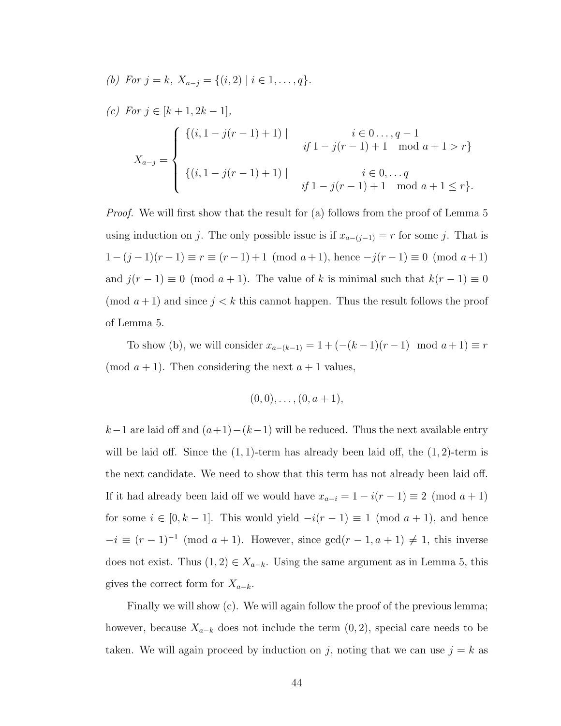(b) For 
$$
j = k
$$
,  $X_{a-j} = \{(i, 2) | i \in 1, ..., q\}$ .  
\n(c) For  $j \in [k+1, 2k-1]$ ,  
\n
$$
X_{a-j} = \begin{cases} \{(i, 1 - j(r-1) + 1) | & i \in 0 ... , q - 1 \\ & if 1 - j(r-1) + 1 \mod a + 1 > r \} \\ \{(i, 1 - j(r-1) + 1) | & i \in 0, ... q \\ & if 1 - j(r-1) + 1 \mod a + 1 \le r \} .\end{cases}
$$

Proof. We will first show that the result for (a) follows from the proof of Lemma [5](#page-39-0) using induction on j. The only possible issue is if  $x_{a-(j-1)} = r$  for some j. That is  $1 - (j - 1)(r - 1) \equiv r \equiv (r - 1) + 1 \pmod{a + 1}$ , hence  $-j(r - 1) \equiv 0 \pmod{a + 1}$ and  $j(r-1) \equiv 0 \pmod{a+1}$ . The value of k is minimal such that  $k(r-1) \equiv 0$ (mod  $a+1$ ) and since  $j < k$  this cannot happen. Thus the result follows the proof of Lemma [5.](#page-39-0)

To show (b), we will consider  $x_{a-(k-1)} = 1 + (-(k-1)(r-1) \mod a + 1) \equiv r$ (mod  $a + 1$ ). Then considering the next  $a + 1$  values,

$$
(0,0),\ldots,(0,a+1),
$$

 $k-1$  are laid off and  $(a+1)-(k-1)$  will be reduced. Thus the next available entry will be laid off. Since the  $(1, 1)$ -term has already been laid off, the  $(1, 2)$ -term is the next candidate. We need to show that this term has not already been laid off. If it had already been laid off we would have  $x_{a-i} = 1 - i(r - 1) \equiv 2 \pmod{a+1}$ for some  $i \in [0, k-1]$ . This would yield  $-i(r-1) \equiv 1 \pmod{a+1}$ , and hence  $-i \equiv (r-1)^{-1} \pmod{a+1}$ . However, since  $gcd(r-1, a+1) \neq 1$ , this inverse does not exist. Thus  $(1, 2) \in X_{a-k}$ . Using the same argument as in Lemma [5,](#page-39-0) this gives the correct form for  $X_{a-k}$ .

Finally we will show (c). We will again follow the proof of the previous lemma; however, because  $X_{a-k}$  does not include the term  $(0, 2)$ , special care needs to be taken. We will again proceed by induction on j, noting that we can use  $j = k$  as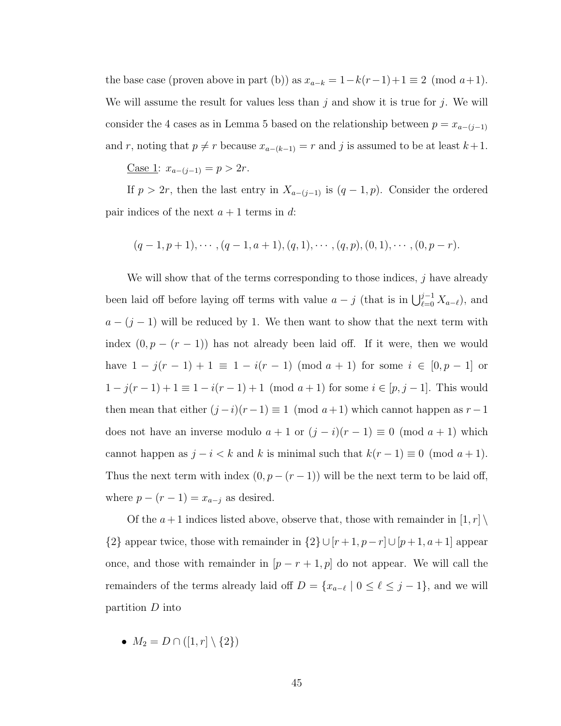the base case (proven above in part (b)) as  $x_{a-k} = 1-k(r-1)+1 \equiv 2 \pmod{a+1}$ . We will assume the result for values less than j and show it is true for j. We will consider the 4 cases as in Lemma [5](#page-39-0) based on the relationship between  $p = x_{a-(j-1)}$ and r, noting that  $p \neq r$  because  $x_{a-(k-1)} = r$  and j is assumed to be at least  $k+1$ .

Case 1:  $x_{a-(j-1)} = p > 2r$ .

If  $p > 2r$ , then the last entry in  $X_{a-(j-1)}$  is  $(q-1, p)$ . Consider the ordered pair indices of the next  $a + 1$  terms in d:

$$
(q-1, p+1), \cdots, (q-1, a+1), (q, 1), \cdots, (q, p), (0, 1), \cdots, (0, p-r).
$$

We will show that of the terms corresponding to those indices,  $j$  have already been laid off before laying off terms with value  $a - j$  (that is in  $\bigcup_{\ell=0}^{j-1} X_{a-\ell}$ ), and  $a - (j - 1)$  will be reduced by 1. We then want to show that the next term with index  $(0, p - (r - 1))$  has not already been laid off. If it were, then we would have  $1 - j(r - 1) + 1 \equiv 1 - i(r - 1) \pmod{a + 1}$  for some  $i \in [0, p - 1]$  or  $1 - j(r - 1) + 1 \equiv 1 - i(r - 1) + 1 \pmod{a + 1}$  for some  $i \in [p, j - 1]$ . This would then mean that either  $(j-i)(r-1) \equiv 1 \pmod{a+1}$  which cannot happen as  $r-1$ does not have an inverse modulo  $a + 1$  or  $(j - i)(r - 1) \equiv 0 \pmod{a + 1}$  which cannot happen as  $j - i < k$  and k is minimal such that  $k(r - 1) \equiv 0 \pmod{a + 1}$ . Thus the next term with index  $(0, p - (r - 1))$  will be the next term to be laid off, where  $p - (r - 1) = x_{a-j}$  as desired.

Of the  $a+1$  indices listed above, observe that, those with remainder in  $[1, r] \setminus$ {2} appear twice, those with remainder in  $\{2\} \cup [r+1, p-r] \cup [p+1, a+1]$  appear once, and those with remainder in  $[p - r + 1, p]$  do not appear. We will call the remainders of the terms already laid off  $D = \{x_{a-\ell} \mid 0 \leq \ell \leq j-1\}$ , and we will partition D into

•  $M_2 = D \cap ([1, r] \setminus \{2\})$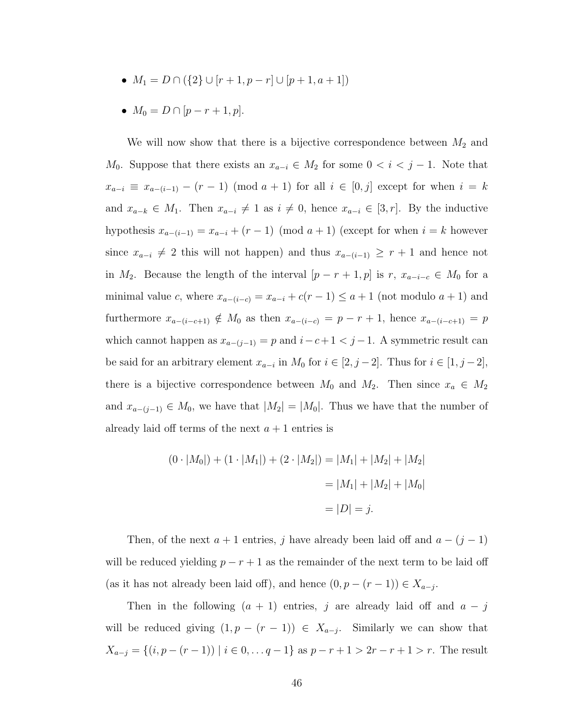- $M_1 = D \cap (\{2\} \cup [r+1, p-r] \cup [p+1, a+1])$
- $M_0 = D \cap [p r + 1, p].$

We will now show that there is a bijective correspondence between  $M_2$  and  $M_0$ . Suppose that there exists an  $x_{a-i} \in M_2$  for some  $0 < i < j-1$ . Note that  $x_{a-i} \equiv x_{a-(i-1)} - (r-1) \pmod{a+1}$  for all  $i \in [0,j]$  except for when  $i = k$ and  $x_{a-k} \in M_1$ . Then  $x_{a-i} \neq 1$  as  $i \neq 0$ , hence  $x_{a-i} \in [3, r]$ . By the inductive hypothesis  $x_{a-(i-1)} = x_{a-i} + (r-1) \pmod{a+1}$  (except for when  $i = k$  however since  $x_{a-i} \neq 2$  this will not happen) and thus  $x_{a-(i-1)} \geq r+1$  and hence not in  $M_2$ . Because the length of the interval  $[p - r + 1, p]$  is r,  $x_{a-i-c} \in M_0$  for a minimal value c, where  $x_{a-(i-c)} = x_{a-i} + c(r-1) \le a+1$  (not modulo  $a+1$ ) and furthermore  $x_{a-(i-c+1)} \notin M_0$  as then  $x_{a-(i-c)} = p - r + 1$ , hence  $x_{a-(i-c+1)} = p$ which cannot happen as  $x_{a-(j-1)} = p$  and  $i-c+1 < j-1$ . A symmetric result can be said for an arbitrary element  $x_{a-i}$  in  $M_0$  for  $i \in [2, j-2]$ . Thus for  $i \in [1, j-2]$ , there is a bijective correspondence between  $M_0$  and  $M_2$ . Then since  $x_a \in M_2$ and  $x_{a-(j-1)} \in M_0$ , we have that  $|M_2| = |M_0|$ . Thus we have that the number of already laid off terms of the next  $a + 1$  entries is

$$
(0 \cdot |M_0|) + (1 \cdot |M_1|) + (2 \cdot |M_2|) = |M_1| + |M_2| + |M_2|
$$
  
= |M\_1| + |M\_2| + |M\_0|  
= |D| = j.

Then, of the next  $a + 1$  entries, j have already been laid off and  $a - (j - 1)$ will be reduced yielding  $p - r + 1$  as the remainder of the next term to be laid off (as it has not already been laid off), and hence  $(0, p - (r - 1)) \in X_{a-j}$ .

Then in the following  $(a + 1)$  entries, j are already laid off and  $a - j$ will be reduced giving  $(1, p - (r - 1)) \in X_{a-j}$ . Similarly we can show that  $X_{a-j} = \{(i, p - (r - 1)) \mid i \in 0, \ldots, q - 1\}$  as  $p - r + 1 > 2r - r + 1 > r$ . The result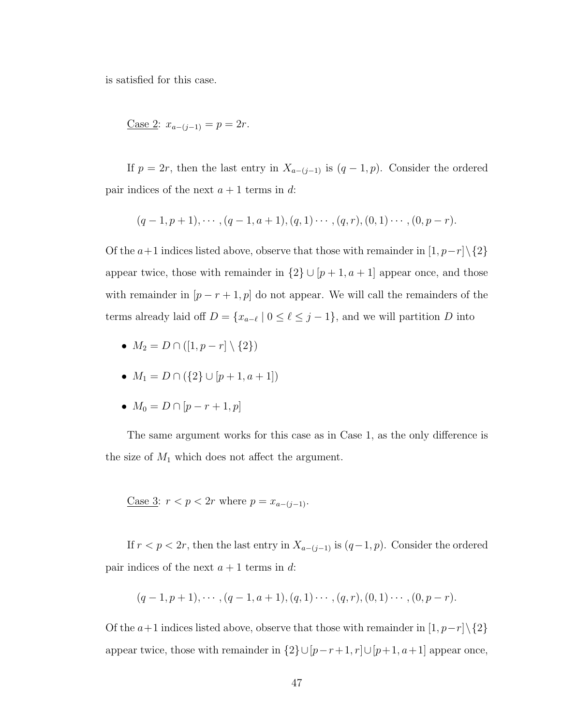is satisfied for this case.

$$
Case 2: x_{a-(j-1)} = p = 2r.
$$

If  $p = 2r$ , then the last entry in  $X_{a-(j-1)}$  is  $(q-1, p)$ . Consider the ordered pair indices of the next  $a + 1$  terms in d:

$$
(q-1, p+1), \cdots, (q-1, a+1), (q, 1) \cdots, (q, r), (0, 1) \cdots, (0, p-r).
$$

Of the  $a+1$  indices listed above, observe that those with remainder in  $[1, p-r] \setminus \{2\}$ appear twice, those with remainder in  $\{2\} \cup [p+1, a+1]$  appear once, and those with remainder in  $[p - r + 1, p]$  do not appear. We will call the remainders of the terms already laid off  $D = \{x_{a-\ell} \mid 0 \leq \ell \leq j-1\}$ , and we will partition D into

- $M_2 = D \cap ([1, p r] \setminus \{2\})$
- $M_1 = D \cap (\{2\} \cup [p+1, a+1])$
- $M_0 = D \cap [p r + 1, p]$

The same argument works for this case as in Case 1, as the only difference is the size of  $M_1$  which does not affect the argument.

Case 3:  $r < p < 2r$  where  $p = x_{a-(i-1)}$ .

If  $r < p < 2r$ , then the last entry in  $X_{a-(j-1)}$  is  $(q-1, p)$ . Consider the ordered pair indices of the next  $a + 1$  terms in d:

$$
(q-1, p+1), \cdots, (q-1, a+1), (q, 1) \cdots, (q, r), (0, 1) \cdots, (0, p-r).
$$

Of the  $a+1$  indices listed above, observe that those with remainder in  $[1, p-r] \setminus \{2\}$ appear twice, those with remainder in  $\{2\} \cup [p-r+1, r] \cup [p+1, a+1]$  appear once,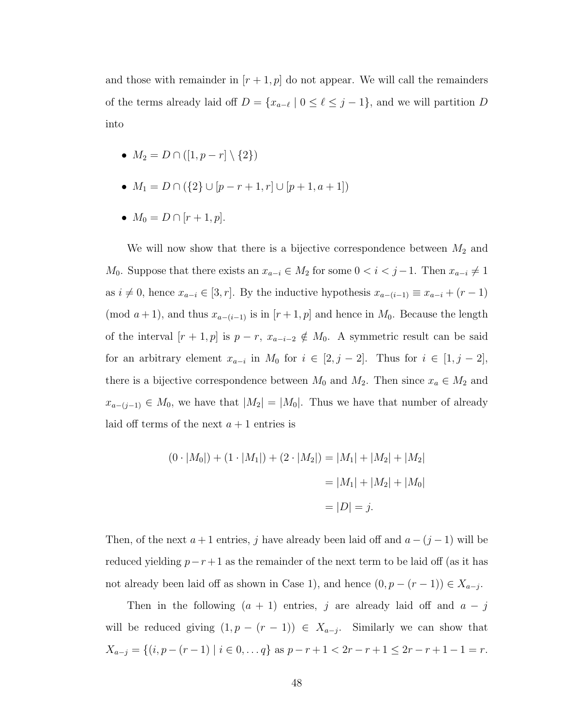and those with remainder in  $[r+1, p]$  do not appear. We will call the remainders of the terms already laid off  $D = \{x_{a-\ell} \mid 0 \leq \ell \leq j-1\}$ , and we will partition D into

- $M_2 = D \cap ([1, p r] \setminus \{2\})$
- $M_1 = D \cap (\{2\} \cup [p-r+1,r] \cup [p+1,a+1])$
- $M_0 = D \cap [r+1, p].$

We will now show that there is a bijective correspondence between  $M_2$  and  $M_0$ . Suppose that there exists an  $x_{a-i} \in M_2$  for some  $0 < i < j-1$ . Then  $x_{a-i} \neq 1$ as  $i \neq 0$ , hence  $x_{a-i} \in [3, r]$ . By the inductive hypothesis  $x_{a-(i-1)} \equiv x_{a-i} + (r-1)$ (mod  $a + 1$ ), and thus  $x_{a-(i-1)}$  is in  $[r + 1, p]$  and hence in  $M_0$ . Because the length of the interval  $[r + 1, p]$  is  $p - r$ ,  $x_{a-i-2} \notin M_0$ . A symmetric result can be said for an arbitrary element  $x_{a-i}$  in  $M_0$  for  $i \in [2, j-2]$ . Thus for  $i \in [1, j-2]$ , there is a bijective correspondence between  $M_0$  and  $M_2$ . Then since  $x_a \in M_2$  and  $x_{a-(j-1)} \in M_0$ , we have that  $|M_2| = |M_0|$ . Thus we have that number of already laid off terms of the next  $a + 1$  entries is

$$
(0 \cdot |M_0|) + (1 \cdot |M_1|) + (2 \cdot |M_2|) = |M_1| + |M_2| + |M_2|
$$
  
= |M\_1| + |M\_2| + |M\_0|  
= |D| = j.

Then, of the next  $a + 1$  entries, j have already been laid off and  $a - (j - 1)$  will be reduced yielding  $p-r+1$  as the remainder of the next term to be laid off (as it has not already been laid off as shown in Case 1), and hence  $(0, p - (r - 1)) \in X_{a-j}$ .

Then in the following  $(a + 1)$  entries, j are already laid off and  $a - j$ will be reduced giving  $(1, p - (r - 1)) \in X_{a-j}$ . Similarly we can show that  $X_{a-j} = \{(i, p - (r - 1) \mid i \in 0, \ldots q\} \text{ as } p - r + 1 < 2r - r + 1 \leq 2r - r + 1 - 1 = r.$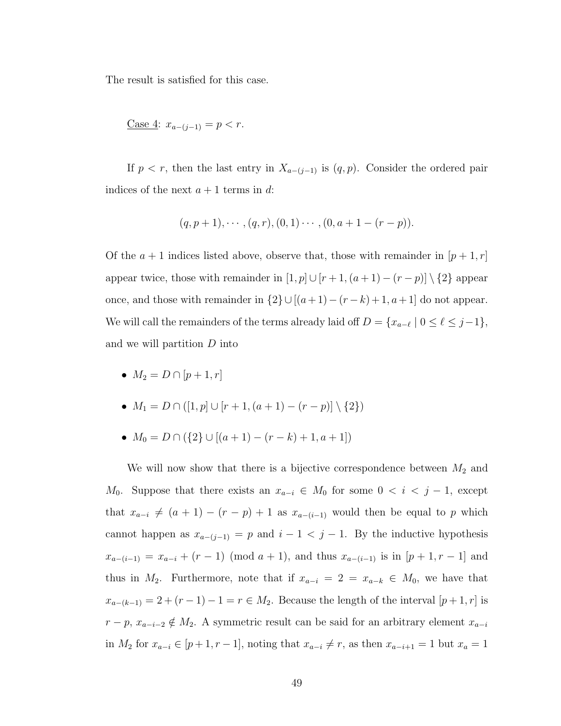The result is satisfied for this case.

Case 4: 
$$
x_{a-(j-1)} = p < r
$$
.

If  $p < r$ , then the last entry in  $X_{a-(j-1)}$  is  $(q, p)$ . Consider the ordered pair indices of the next  $a + 1$  terms in d:

$$
(q, p+1), \cdots, (q, r), (0, 1) \cdots, (0, a+1-(r-p)).
$$

Of the  $a + 1$  indices listed above, observe that, those with remainder in  $[p + 1, r]$ appear twice, those with remainder in  $[1, p] \cup [r + 1, (a + 1) - (r - p)] \setminus \{2\}$  appear once, and those with remainder in  $\{2\} \cup [(a + 1) - (r - k) + 1, a + 1]$  do not appear. We will call the remainders of the terms already laid off  $D = \{x_{a-\ell} \mid 0 \leq \ell \leq j-1\},\$ and we will partition D into

•  $M_2 = D \cap [p+1, r]$ 

• 
$$
M_1 = D \cap ([1, p] \cup [r+1, (a+1) - (r-p)] \setminus \{2\})
$$

• 
$$
M_0 = D \cap (\{2\} \cup [(a+1)-(r-k)+1, a+1])
$$

We will now show that there is a bijective correspondence between  $M_2$  and  $M_0$ . Suppose that there exists an  $x_{a-i} \in M_0$  for some  $0 < i < j-1$ , except that  $x_{a-i} \neq (a + 1) - (r - p) + 1$  as  $x_{a-(i-1)}$  would then be equal to p which cannot happen as  $x_{a-(j-1)} = p$  and  $i-1 < j-1$ . By the inductive hypothesis  $x_{a-(i-1)} = x_{a-i} + (r-1) \pmod{a+1}$ , and thus  $x_{a-(i-1)}$  is in  $[p+1, r-1]$  and thus in  $M_2$ . Furthermore, note that if  $x_{a-i} = 2 = x_{a-k} \in M_0$ , we have that  $x_{a-(k-1)} = 2 + (r - 1) - 1 = r \in M_2$ . Because the length of the interval  $[p + 1, r]$  is  $r - p$ ,  $x_{a-i-2} \notin M_2$ . A symmetric result can be said for an arbitrary element  $x_{a-i}$ in  $M_2$  for  $x_{a-i} \in [p+1, r-1]$ , noting that  $x_{a-i} \neq r$ , as then  $x_{a-i+1} = 1$  but  $x_a = 1$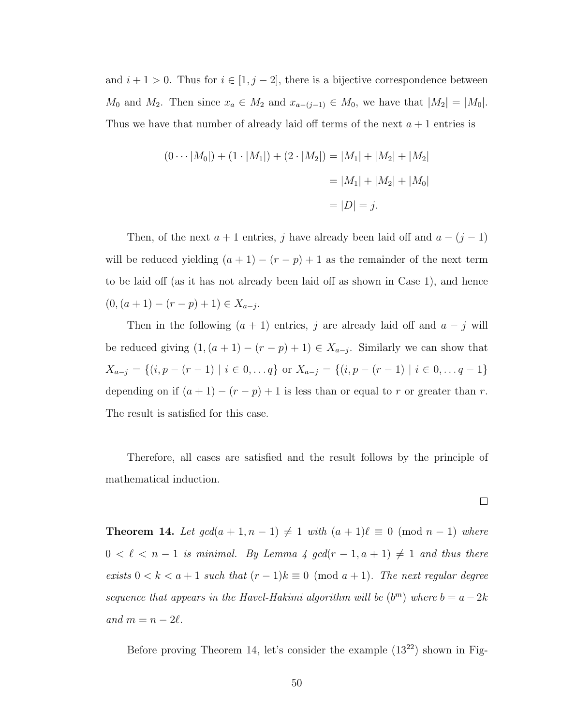and  $i + 1 > 0$ . Thus for  $i \in [1, j - 2]$ , there is a bijective correspondence between  $M_0$  and  $M_2$ . Then since  $x_a \in M_2$  and  $x_{a-(j-1)} \in M_0$ , we have that  $|M_2| = |M_0|$ . Thus we have that number of already laid off terms of the next  $a + 1$  entries is

$$
(0 \cdots |M_0|) + (1 \cdot |M_1|) + (2 \cdot |M_2|) = |M_1| + |M_2| + |M_2|
$$
  
= |M\_1| + |M\_2| + |M\_0|  
= |D| = j.

Then, of the next  $a + 1$  entries, j have already been laid off and  $a - (j - 1)$ will be reduced yielding  $(a + 1) - (r - p) + 1$  as the remainder of the next term to be laid off (as it has not already been laid off as shown in Case 1), and hence  $(0, (a+1)-(r-p)+1) \in X_{a-j}.$ 

Then in the following  $(a + 1)$  entries, j are already laid off and  $a - j$  will be reduced giving  $(1, (a + 1) - (r - p) + 1) \in X_{a-j}$ . Similarly we can show that  $X_{a-j} = \{(i, p - (r - 1) \mid i \in 0, \dots q\} \text{ or } X_{a-j} = \{(i, p - (r - 1) \mid i \in 0, \dots q - 1\}$ depending on if  $(a + 1) - (r - p) + 1$  is less than or equal to r or greater than r. The result is satisfied for this case.

Therefore, all cases are satisfied and the result follows by the principle of mathematical induction.

 $\Box$ 

<span id="page-57-0"></span>**Theorem 14.** Let  $gcd(a + 1, n - 1) \neq 1$  with  $(a + 1)\ell \equiv 0 \pmod{n - 1}$  where  $0 < \ell < n - 1$  is minimal. By Lemma [4](#page-38-0) gcd(r - 1, a + 1)  $\neq$  1 and thus there exists  $0 < k < a + 1$  such that  $(r - 1)k \equiv 0 \pmod{a + 1}$ . The next regular degree sequence that appears in the Havel-Hakimi algorithm will be  $(b^m)$  where  $b = a - 2k$ and  $m = n - 2\ell$ .

Before proving Theorem [14,](#page-57-0) let's consider the example  $(13^{22})$  shown in Fig-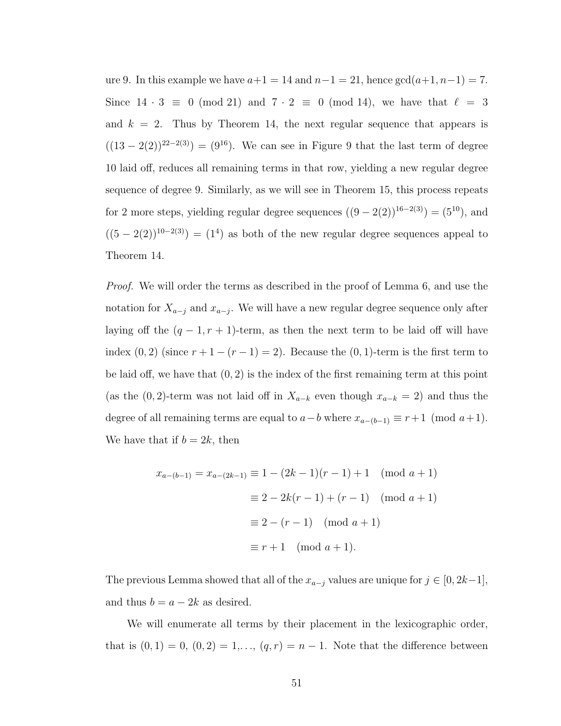ure [9.](#page-59-0) In this example we have  $a+1 = 14$  and  $n-1 = 21$ , hence  $gcd(a+1, n-1) = 7$ . Since  $14 \cdot 3 \equiv 0 \pmod{21}$  and  $7 \cdot 2 \equiv 0 \pmod{14}$ , we have that  $\ell = 3$ and  $k = 2$ . Thus by Theorem [14,](#page-57-0) the next regular sequence that appears is  $((13 – 2(2))^{22-2(3)}) = (9^{16})$ . We can see in Figure [9](#page-59-0) that the last term of degree 10 laid off, reduces all remaining terms in that row, yielding a new regular degree sequence of degree 9. Similarly, as we will see in Theorem [15,](#page-61-0) this process repeats for 2 more steps, yielding regular degree sequences  $((9-2(2))^{16-2(3)}) = (5^{10})$ , and  $((5-2(2))^{10-2(3)}) = (1^4)$  as both of the new regular degree sequences appeal to Theorem [14.](#page-57-0)

Proof. We will order the terms as described in the proof of Lemma [6,](#page-50-0) and use the notation for  $X_{a-j}$  and  $x_{a-j}$ . We will have a new regular degree sequence only after laying off the  $(q - 1, r + 1)$ -term, as then the next term to be laid off will have index  $(0, 2)$  (since  $r + 1 - (r - 1) = 2$ ). Because the  $(0, 1)$ -term is the first term to be laid off, we have that  $(0, 2)$  is the index of the first remaining term at this point (as the  $(0, 2)$ -term was not laid off in  $X_{a-k}$  even though  $x_{a-k} = 2$ ) and thus the degree of all remaining terms are equal to  $a-b$  where  $x_{a-(b-1)} \equiv r+1 \pmod{a+1}$ . We have that if  $b = 2k$ , then

$$
x_{a-(b-1)} = x_{a-(2k-1)} \equiv 1 - (2k-1)(r-1) + 1 \pmod{a+1}
$$

$$
\equiv 2 - 2k(r-1) + (r-1) \pmod{a+1}
$$

$$
\equiv 2 - (r-1) \pmod{a+1}
$$

$$
\equiv r+1 \pmod{a+1}.
$$

The previous Lemma showed that all of the  $x_{a-j}$  values are unique for  $j \in [0, 2k-1]$ , and thus  $b = a - 2k$  as desired.

We will enumerate all terms by their placement in the lexicographic order, that is  $(0, 1) = 0$ ,  $(0, 2) = 1, \ldots$ ,  $(q, r) = n - 1$ . Note that the difference between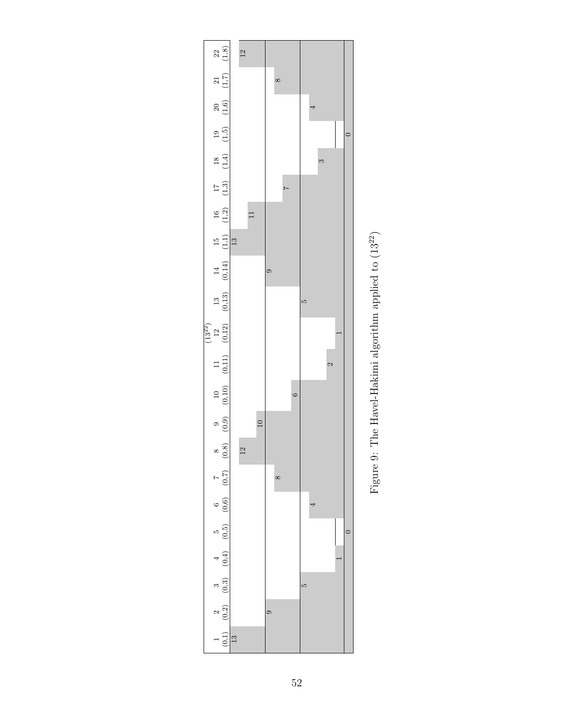<span id="page-59-0"></span>

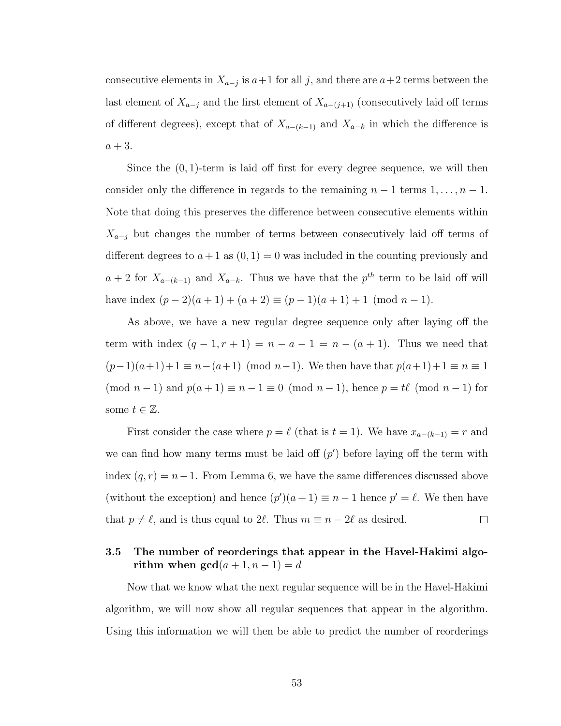consecutive elements in  $X_{a-j}$  is  $a+1$  for all j, and there are  $a+2$  terms between the last element of  $X_{a-j}$  and the first element of  $X_{a-(j+1)}$  (consecutively laid off terms of different degrees), except that of  $X_{a-(k-1)}$  and  $X_{a-k}$  in which the difference is  $a + 3$ .

Since the  $(0, 1)$ -term is laid off first for every degree sequence, we will then consider only the difference in regards to the remaining  $n - 1$  terms  $1, \ldots, n - 1$ . Note that doing this preserves the difference between consecutive elements within  $X_{a-j}$  but changes the number of terms between consecutively laid off terms of different degrees to  $a+1$  as  $(0, 1) = 0$  was included in the counting previously and  $a + 2$  for  $X_{a-(k-1)}$  and  $X_{a-k}$ . Thus we have that the  $p^{th}$  term to be laid off will have index  $(p-2)(a+1) + (a+2) \equiv (p-1)(a+1) + 1 \pmod{n-1}$ .

As above, we have a new regular degree sequence only after laying off the term with index  $(q - 1, r + 1) = n - a - 1 = n - (a + 1)$ . Thus we need that  $(p-1)(a+1)+1 \equiv n-(a+1) \pmod{n-1}$ . We then have that  $p(a+1)+1 \equiv n \equiv 1$ (mod  $n-1$ ) and  $p(a+1) \equiv n-1 \equiv 0 \pmod{n-1}$ , hence  $p = t\ell \pmod{n-1}$  for some  $t \in \mathbb{Z}$ .

First consider the case where  $p = \ell$  (that is  $t = 1$ ). We have  $x_{a-(k-1)} = r$  and we can find how many terms must be laid off  $(p')$  before laying off the term with index  $(q, r) = n - 1$ . From Lemma [6,](#page-50-0) we have the same differences discussed above (without the exception) and hence  $(p')(a+1) \equiv n-1$  hence  $p' = \ell$ . We then have that  $p \neq \ell$ , and is thus equal to 2 $\ell$ . Thus  $m \equiv n - 2\ell$  as desired.  $\Box$ 

# 3.5 The number of reorderings that appear in the Havel-Hakimi algorithm when  $gcd(a + 1, n - 1) = d$

Now that we know what the next regular sequence will be in the Havel-Hakimi algorithm, we will now show all regular sequences that appear in the algorithm. Using this information we will then be able to predict the number of reorderings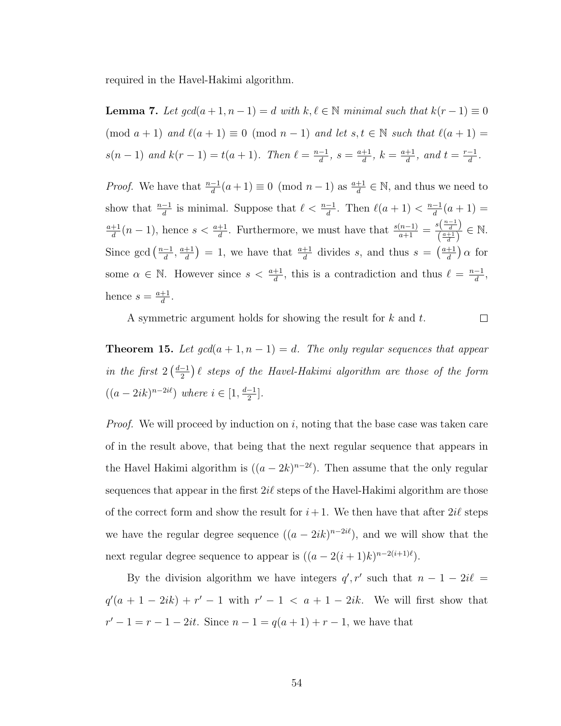required in the Havel-Hakimi algorithm.

<span id="page-61-1"></span>**Lemma 7.** Let  $gcd(a + 1, n - 1) = d$  with  $k, \ell \in \mathbb{N}$  minimal such that  $k(r - 1) \equiv 0$ (mod  $a + 1$ ) and  $\ell(a + 1) \equiv 0 \pmod{n - 1}$  and let  $s, t \in \mathbb{N}$  such that  $\ell(a + 1) =$  $s(n-1)$  and  $k(r-1) = t(a+1)$ . Then  $\ell = \frac{n-1}{d}$  $\frac{-1}{d}$ ,  $s = \frac{a+1}{d}$  $\frac{+1}{d}$ ,  $k = \frac{a+1}{d}$  $\frac{+1}{d}$ , and  $t = \frac{r-1}{d}$  $\frac{-1}{d}$ .

*Proof.* We have that  $\frac{n-1}{d}(a+1) \equiv 0 \pmod{n-1}$  as  $\frac{a+1}{d} \in \mathbb{N}$ , and thus we need to show that  $\frac{n-1}{d}$  is minimal. Suppose that  $\ell < \frac{n-1}{d}$ . Then  $\ell(a + 1) < \frac{n-1}{d}$  $\frac{-1}{d}(a+1) =$ a+1  $\frac{d+1}{d}(n-1)$ , hence  $s < \frac{a+1}{d}$ . Furthermore, we must have that  $\frac{s(n-1)}{a+1} = \frac{s(\frac{n-1}{d})}{(\frac{a+1}{d})}$  $\frac{\frac{s(\frac{a+1}{d})}{\frac{a+1}{d}}}{\frac{a+1}{d}} \in \mathbb{N}.$ Since gcd  $\left(\frac{n-1}{d}\right)$  $\frac{-1}{d}$ ,  $\frac{a+1}{d}$  $\left(\frac{d+1}{d}\right) = 1$ , we have that  $\frac{a+1}{d}$  divides s, and thus  $s = \left(\frac{a+1}{d}\right)$  $\frac{+1}{d}$  a for some  $\alpha \in \mathbb{N}$ . However since  $s < \frac{a+1}{d}$ , this is a contradiction and thus  $\ell = \frac{n-1}{d}$  $\frac{-1}{d}$ , hence  $s = \frac{a+1}{d}$  $\frac{+1}{d}$ .

A symmetric argument holds for showing the result for k and t.

 $\Box$ 

<span id="page-61-0"></span>**Theorem 15.** Let  $gcd(a + 1, n - 1) = d$ . The only regular sequences that appear in the first  $2\left(\frac{d-1}{2}\right)$  $\frac{1}{2}$ )  $\ell$  steps of the Havel-Hakimi algorithm are those of the form  $((a - 2ik)^{n-2i\ell})$  where  $i \in [1, \frac{d-1}{2}]$  $\frac{-1}{2}$ .

*Proof.* We will proceed by induction on  $i$ , noting that the base case was taken care of in the result above, that being that the next regular sequence that appears in the Havel Hakimi algorithm is  $((a - 2k)^{n-2\ell})$ . Then assume that the only regular sequences that appear in the first  $2i\ell$  steps of the Havel-Hakimi algorithm are those of the correct form and show the result for  $i+1$ . We then have that after  $2i\ell$  steps we have the regular degree sequence  $((a - 2ik)^{n-2i\ell})$ , and we will show that the next regular degree sequence to appear is  $((a - 2(i + 1)k)^{n-2(i+1)\ell}).$ 

By the division algorithm we have integers  $q', r'$  such that  $n - 1 - 2i\ell =$  $q'(a+1-2ik)+r'-1$  with  $r'-1 < a+1-2ik$ . We will first show that  $r' - 1 = r - 1 - 2it$ . Since  $n - 1 = q(a + 1) + r - 1$ , we have that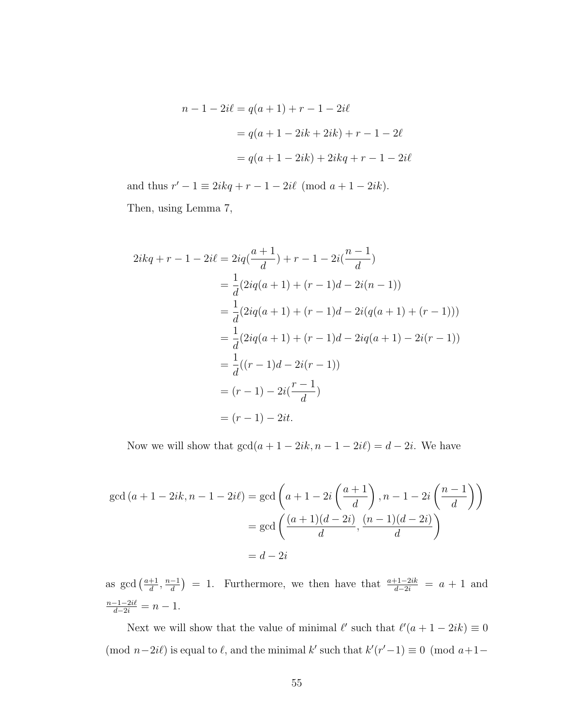$$
n - 1 - 2i\ell = q(a + 1) + r - 1 - 2i\ell
$$
  
=  $q(a + 1 - 2ik + 2ik) + r - 1 - 2\ell$   
=  $q(a + 1 - 2ik) + 2ikq + r - 1 - 2i\ell$ 

and thus  $r' - 1 \equiv 2ikq + r - 1 - 2i\ell \pmod{a+1-2ik}$ . Then, using Lemma [7,](#page-61-1)

$$
2ikq + r - 1 - 2i\ell = 2iq\left(\frac{a+1}{d}\right) + r - 1 - 2i\left(\frac{n-1}{d}\right)
$$
  
=  $\frac{1}{d}(2iq(a+1) + (r-1)d - 2i(n-1))$   
=  $\frac{1}{d}(2iq(a+1) + (r-1)d - 2i(q(a+1) + (r-1)))$   
=  $\frac{1}{d}(2iq(a+1) + (r-1)d - 2iq(a+1) - 2i(r-1))$   
=  $\frac{1}{d}((r-1)d - 2i(r-1))$   
=  $(r-1) - 2i\left(\frac{r-1}{d}\right)$   
=  $(r-1) - 2it$ .

Now we will show that  $gcd(a + 1 - 2ik, n - 1 - 2i\ell) = d - 2i$ . We have

$$
\gcd(a+1-2ik, n-1-2i\ell) = \gcd\left(a+1-2i\left(\frac{a+1}{d}\right), n-1-2i\left(\frac{n-1}{d}\right)\right)
$$

$$
= \gcd\left(\frac{(a+1)(d-2i)}{d}, \frac{(n-1)(d-2i)}{d}\right)
$$

$$
= d-2i
$$

as gcd  $\left(\frac{a+1}{d}\right)$  $\frac{+1}{d}$ ,  $\frac{n-1}{d}$  $\left(\frac{-1}{d}\right) = 1$ . Furthermore, we then have that  $\frac{a+1-2ik}{d-2i} = a+1$  and  $\frac{n-1-2i\ell}{d-2i} = n-1.$ 

Next we will show that the value of minimal  $\ell'$  such that  $\ell'(a + 1 - 2ik) \equiv 0$ (mod  $n-2i\ell$ ) is equal to  $\ell$ , and the minimal k' such that  $k'(r'-1) \equiv 0 \pmod{a+1}$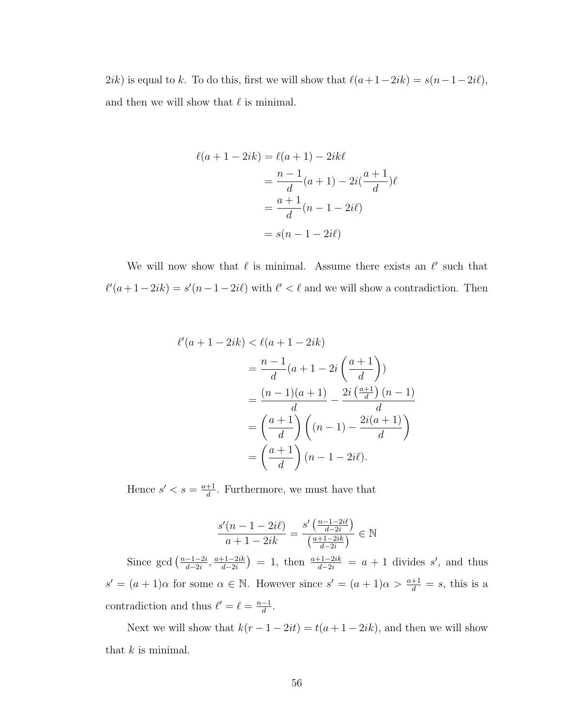2ik) is equal to k. To do this, first we will show that  $\ell(a+1-2ik) = s(n-1-2i\ell)$ , and then we will show that  $\ell$  is minimal.

$$
\ell(a + 1 - 2ik) = \ell(a + 1) - 2ik\ell
$$
  
=  $\frac{n-1}{d}(a + 1) - 2i(\frac{a+1}{d})\ell$   
=  $\frac{a+1}{d}(n - 1 - 2i\ell)$   
=  $s(n - 1 - 2i\ell)$ 

We will now show that  $\ell$  is minimal. Assume there exists an  $\ell'$  such that  $\ell'(a+1-2ik) = s'(n-1-2i\ell)$  with  $\ell' < \ell$  and we will show a contradiction. Then

$$
\ell'(a+1-2ik) < \ell(a+1-2ik)
$$
\n
$$
= \frac{n-1}{d}(a+1-2i\left(\frac{a+1}{d}\right))
$$
\n
$$
= \frac{(n-1)(a+1)}{d} - \frac{2i\left(\frac{a+1}{d}\right)(n-1)}{d}
$$
\n
$$
= \left(\frac{a+1}{d}\right)\left((n-1) - \frac{2i(a+1)}{d}\right)
$$
\n
$$
= \left(\frac{a+1}{d}\right)(n-1-2i\ell).
$$

Hence  $s' < s = \frac{a+1}{d}$  $\frac{+1}{d}$ . Furthermore, we must have that

$$
\frac{s'(n-1-2i\ell)}{a+1-2ik} = \frac{s'\left(\frac{n-1-2i\ell}{d-2i}\right)}{\left(\frac{a+1-2i k}{d-2i}\right)} \in \mathbb{N}
$$

Since gcd  $\left(\frac{n-1-2i}{d-2i}\right)$  $\frac{-1-2i}{d-2i}, \frac{a+1-2ik}{d-2i}$  $\frac{d+1-2ik}{d-2i}$  = 1, then  $\frac{a+1-2ik}{d-2i}$  =  $a+1$  divides s', and thus  $s' = (a+1)\alpha$  for some  $\alpha \in \mathbb{N}$ . However since  $s' = (a+1)\alpha > \frac{a+1}{d} = s$ , this is a contradiction and thus  $\ell' = \ell = \frac{n-1}{d}$  $\frac{-1}{d}$ .

Next we will show that  $k(r - 1 - 2it) = t(a + 1 - 2ik)$ , and then we will show that  $k$  is minimal.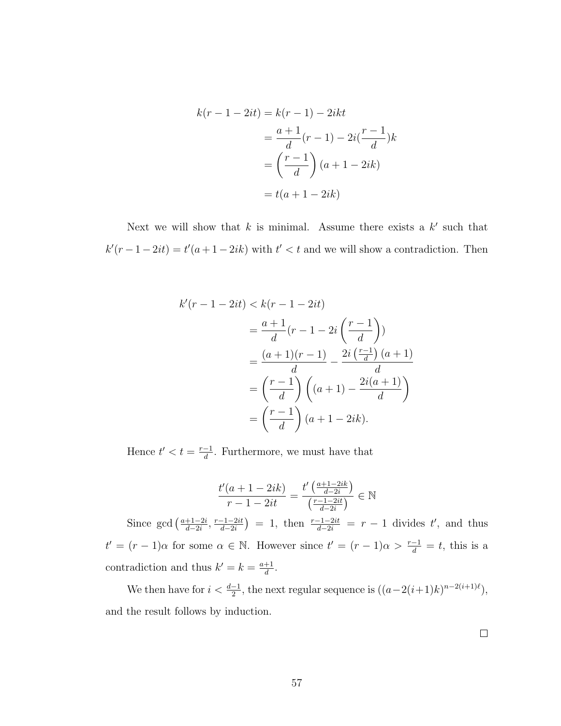$$
k(r-1-2it) = k(r-1) - 2ikt
$$

$$
= \frac{a+1}{d}(r-1) - 2i(\frac{r-1}{d})k
$$

$$
= \left(\frac{r-1}{d}\right)(a+1-2ik)
$$

$$
= t(a+1-2ik)
$$

Next we will show that  $k$  is minimal. Assume there exists a  $k'$  such that  $k'(r-1-2it) = t'(a+1-2ik)$  with  $t' < t$  and we will show a contradiction. Then

$$
k'(r-1-2it) < k(r-1-2it)
$$
  
= 
$$
\frac{a+1}{d}(r-1-2i\left(\frac{r-1}{d}\right))
$$
  
= 
$$
\frac{(a+1)(r-1)}{d} - \frac{2i\left(\frac{r-1}{d}\right)(a+1)}{d}
$$
  
= 
$$
\left(\frac{r-1}{d}\right)\left((a+1) - \frac{2i(a+1)}{d}\right)
$$
  
= 
$$
\left(\frac{r-1}{d}\right)(a+1-2ik).
$$

Hence  $t' < t = \frac{r-1}{d}$  $\frac{-1}{d}$ . Furthermore, we must have that

$$
\frac{t'(a+1-2ik)}{r-1-2it} = \frac{t'\left(\frac{a+1-2ik}{d-2i}\right)}{\left(\frac{r-1-2it}{d-2i}\right)} \in \mathbb{N}
$$

Since gcd  $\left(\frac{a+1-2i}{d-2i}\right)$  $\frac{+1-2i}{d-2i}, \frac{r-1-2it}{d-2i}$  $\frac{(-1-2it)}{d-2i}$  = 1, then  $\frac{r-1-2it}{d-2i}$  =  $r-1$  divides t', and thus  $t' = (r - 1)\alpha$  for some  $\alpha \in \mathbb{N}$ . However since  $t' = (r - 1)\alpha > \frac{r-1}{d} = t$ , this is a contradiction and thus  $k' = k = \frac{a+1}{d}$  $\frac{+1}{d}$ .

We then have for  $i < \frac{d-1}{2}$ , the next regular sequence is  $((a-2(i+1)k)^{n-2(i+1)\ell}),$ and the result follows by induction.

 $\Box$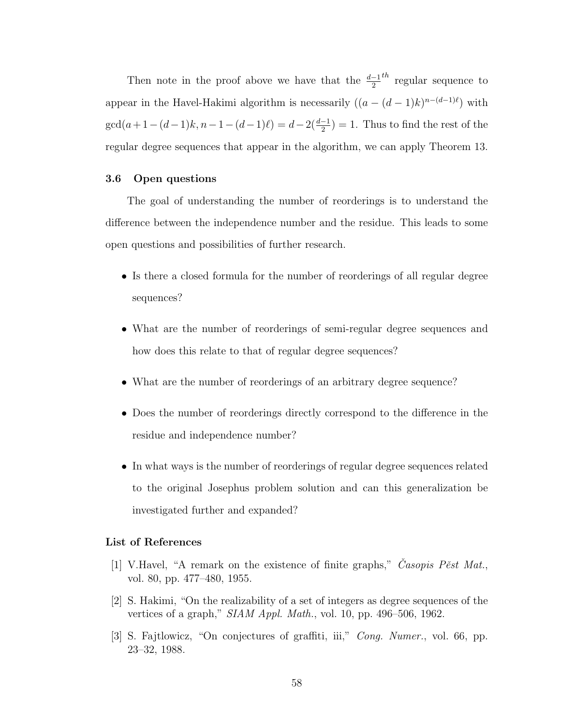Then note in the proof above we have that the  $\frac{d-1}{2}$ <sup>th</sup> regular sequence to appear in the Havel-Hakimi algorithm is necessarily  $((a - (d - 1)k)^{n-(d-1)\ell})$  with  $\gcd(a+1-(d-1)k, n-1-(d-1)\ell) = d-2(\frac{d-1}{2}) = 1$ . Thus to find the rest of the regular degree sequences that appear in the algorithm, we can apply Theorem [13.](#page-48-0)

## 3.6 Open questions

The goal of understanding the number of reorderings is to understand the difference between the independence number and the residue. This leads to some open questions and possibilities of further research.

- Is there a closed formula for the number of reorderings of all regular degree sequences?
- What are the number of reorderings of semi-regular degree sequences and how does this relate to that of regular degree sequences?
- What are the number of reorderings of an arbitrary degree sequence?
- Does the number of reorderings directly correspond to the difference in the residue and independence number?
- In what ways is the number of reorderings of regular degree sequences related to the original Josephus problem solution and can this generalization be investigated further and expanded?

### List of References

- [1] V.Havel, "A remark on the existence of finite graphs," Casopis Pest Mat. vol. 80, pp. 477–480, 1955.
- [2] S. Hakimi, "On the realizability of a set of integers as degree sequences of the vertices of a graph," SIAM Appl. Math., vol. 10, pp. 496–506, 1962.
- [3] S. Fajtlowicz, "On conjectures of graffiti, iii," Cong. Numer., vol. 66, pp. 23–32, 1988.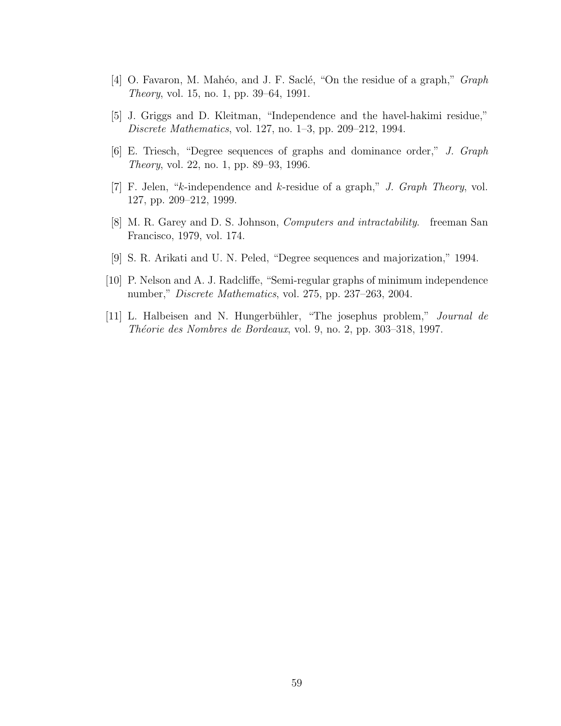- [4] O. Favaron, M. Mahéo, and J. F. Saclé, "On the residue of a graph," Graph Theory, vol. 15, no. 1, pp. 39–64, 1991.
- [5] J. Griggs and D. Kleitman, "Independence and the havel-hakimi residue," Discrete Mathematics, vol. 127, no. 1–3, pp. 209–212, 1994.
- [6] E. Triesch, "Degree sequences of graphs and dominance order," J. Graph Theory, vol. 22, no. 1, pp. 89–93, 1996.
- [7] F. Jelen, "k-independence and k-residue of a graph," J. Graph Theory, vol. 127, pp. 209–212, 1999.
- [8] M. R. Garey and D. S. Johnson, Computers and intractability. freeman San Francisco, 1979, vol. 174.
- [9] S. R. Arikati and U. N. Peled, "Degree sequences and majorization," 1994.
- [10] P. Nelson and A. J. Radcliffe, "Semi-regular graphs of minimum independence number," Discrete Mathematics, vol. 275, pp. 237–263, 2004.
- [11] L. Halbeisen and N. Hungerbühler, "The josephus problem," Journal de Théorie des Nombres de Bordeaux, vol. 9, no. 2, pp. 303–318, 1997.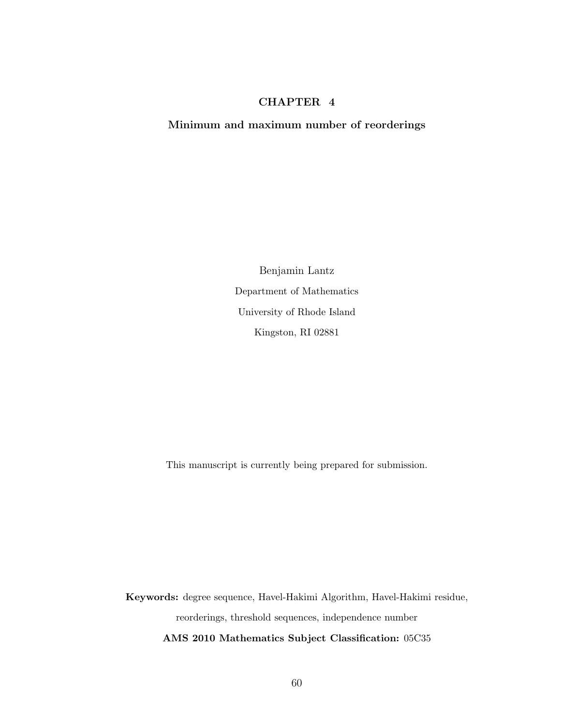## CHAPTER 4

### Minimum and maximum number of reorderings

Benjamin Lantz Department of Mathematics University of Rhode Island Kingston, RI 02881

This manuscript is currently being prepared for submission.

Keywords: degree sequence, Havel-Hakimi Algorithm, Havel-Hakimi residue, reorderings, threshold sequences, independence number AMS 2010 Mathematics Subject Classification: 05C35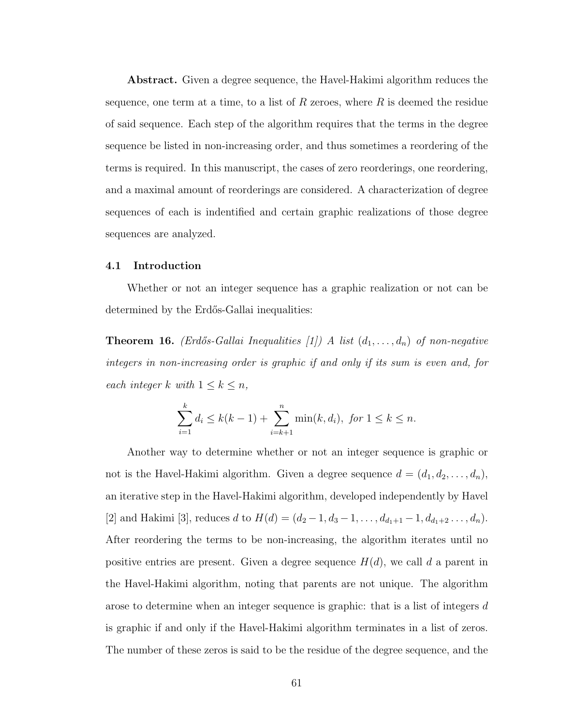Abstract. Given a degree sequence, the Havel-Hakimi algorithm reduces the sequence, one term at a time, to a list of  $R$  zeroes, where  $R$  is deemed the residue of said sequence. Each step of the algorithm requires that the terms in the degree sequence be listed in non-increasing order, and thus sometimes a reordering of the terms is required. In this manuscript, the cases of zero reorderings, one reordering, and a maximal amount of reorderings are considered. A characterization of degree sequences of each is indentified and certain graphic realizations of those degree sequences are analyzed.

### 4.1 Introduction

Whether or not an integer sequence has a graphic realization or not can be determined by the Erdős-Gallai inequalities:

**Theorem 16.** (Erdős-Gallai Inequalities [\[1\]](#page-81-0)) A list  $(d_1, \ldots, d_n)$  of non-negative integers in non-increasing order is graphic if and only if its sum is even and, for each integer k with  $1 \leq k \leq n$ ,

$$
\sum_{i=1}^{k} d_i \le k(k-1) + \sum_{i=k+1}^{n} \min(k, d_i), \text{ for } 1 \le k \le n.
$$

Another way to determine whether or not an integer sequence is graphic or not is the Havel-Hakimi algorithm. Given a degree sequence  $d = (d_1, d_2, \ldots, d_n)$ , an iterative step in the Havel-Hakimi algorithm, developed independently by Havel [\[2\]](#page-81-1) and Hakimi [\[3\]](#page-81-2), reduces d to  $H(d) = (d_2 - 1, d_3 - 1, \ldots, d_{d_1+1} - 1, d_{d_1+2} \ldots, d_n)$ . After reordering the terms to be non-increasing, the algorithm iterates until no positive entries are present. Given a degree sequence  $H(d)$ , we call d a parent in the Havel-Hakimi algorithm, noting that parents are not unique. The algorithm arose to determine when an integer sequence is graphic: that is a list of integers d is graphic if and only if the Havel-Hakimi algorithm terminates in a list of zeros. The number of these zeros is said to be the residue of the degree sequence, and the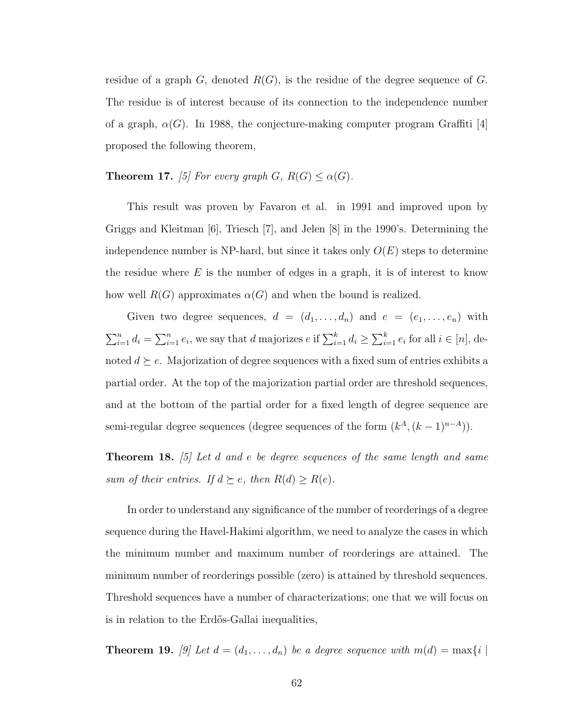residue of a graph  $G$ , denoted  $R(G)$ , is the residue of the degree sequence of G. The residue is of interest because of its connection to the independence number of a graph,  $\alpha(G)$ . In 1988, the conjecture-making computer program Graffiti [\[4\]](#page-81-3) proposed the following theorem,

# **Theorem 17.** [\[5\]](#page-81-4) For every graph  $G$ ,  $R(G) \leq \alpha(G)$ .

This result was proven by Favaron et al. in 1991 and improved upon by Griggs and Kleitman [\[6\]](#page-81-5), Triesch [\[7\]](#page-81-6), and Jelen [\[8\]](#page-81-7) in the 1990's. Determining the independence number is NP-hard, but since it takes only  $O(E)$  steps to determine the residue where  $E$  is the number of edges in a graph, it is of interest to know how well  $R(G)$  approximates  $\alpha(G)$  and when the bound is realized.

Given two degree sequences,  $d = (d_1, \ldots, d_n)$  and  $e = (e_1, \ldots, e_n)$  with  $\sum_{i=1}^n d_i = \sum_{i=1}^n e_i$ , we say that d majorizes  $e$  if  $\sum_{i=1}^k d_i \ge \sum_{i=1}^k e_i$  for all  $i \in [n]$ , denoted  $d \succeq e$ . Majorization of degree sequences with a fixed sum of entries exhibits a partial order. At the top of the majorization partial order are threshold sequences, and at the bottom of the partial order for a fixed length of degree sequence are semi-regular degree sequences (degree sequences of the form  $(k^A, (k-1)^{n-A})$ ).

**Theorem 18.** [\[5\]](#page-81-4) Let d and e be degree sequences of the same length and same sum of their entries. If  $d \succeq e$ , then  $R(d) \geq R(e)$ .

In order to understand any significance of the number of reorderings of a degree sequence during the Havel-Hakimi algorithm, we need to analyze the cases in which the minimum number and maximum number of reorderings are attained. The minimum number of reorderings possible (zero) is attained by threshold sequences. Threshold sequences have a number of characterizations; one that we will focus on is in relation to the Erdős-Gallai inequalities,

**Theorem 19.** [\[9\]](#page-81-8) Let  $d = (d_1, \ldots, d_n)$  be a degree sequence with  $m(d) = \max\{i \mid d\}$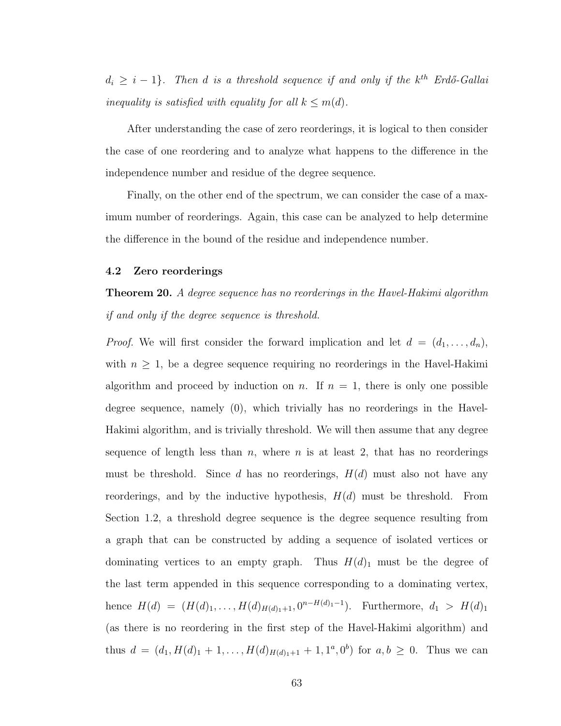$d_i \geq i-1$ }. Then d is a threshold sequence if and only if the  $k^{th}$  Erdő-Gallai inequality is satisfied with equality for all  $k \leq m(d)$ .

After understanding the case of zero reorderings, it is logical to then consider the case of one reordering and to analyze what happens to the difference in the independence number and residue of the degree sequence.

Finally, on the other end of the spectrum, we can consider the case of a maximum number of reorderings. Again, this case can be analyzed to help determine the difference in the bound of the residue and independence number.

#### 4.2 Zero reorderings

Theorem 20. A degree sequence has no reorderings in the Havel-Hakimi algorithm if and only if the degree sequence is threshold.

*Proof.* We will first consider the forward implication and let  $d = (d_1, \ldots, d_n)$ , with  $n \geq 1$ , be a degree sequence requiring no reorderings in the Havel-Hakimi algorithm and proceed by induction on n. If  $n = 1$ , there is only one possible degree sequence, namely (0), which trivially has no reorderings in the Havel-Hakimi algorithm, and is trivially threshold. We will then assume that any degree sequence of length less than n, where n is at least 2, that has no reorderings must be threshold. Since d has no reorderings,  $H(d)$  must also not have any reorderings, and by the inductive hypothesis,  $H(d)$  must be threshold. From Section [1.2,](#page-10-0) a threshold degree sequence is the degree sequence resulting from a graph that can be constructed by adding a sequence of isolated vertices or dominating vertices to an empty graph. Thus  $H(d)_1$  must be the degree of the last term appended in this sequence corresponding to a dominating vertex, hence  $H(d) = (H(d)_1, \ldots, H(d)_{H(d)_1+1}, 0^{n-H(d)_1-1})$ . Furthermore,  $d_1 > H(d)_1$ (as there is no reordering in the first step of the Havel-Hakimi algorithm) and thus  $d = (d_1, H(d)_1 + 1, \ldots, H(d)_{H(d)_1+1} + 1, 1^a, 0^b)$  for  $a, b \ge 0$ . Thus we can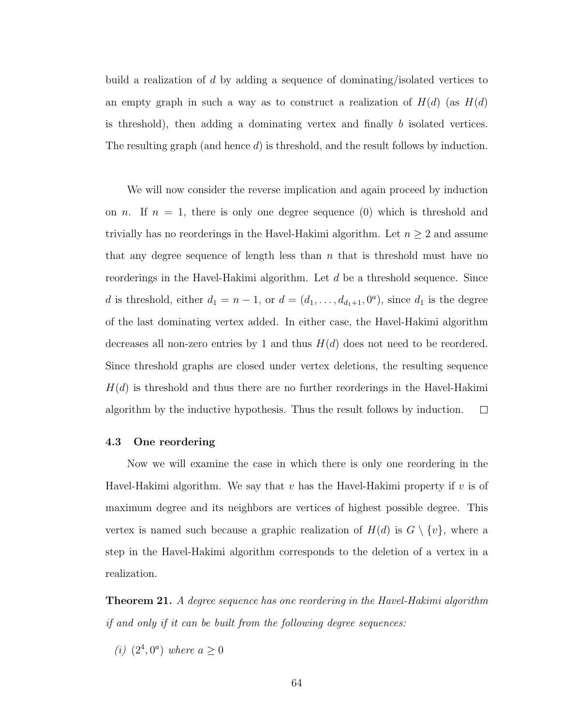build a realization of d by adding a sequence of dominating/isolated vertices to an empty graph in such a way as to construct a realization of  $H(d)$  (as  $H(d)$ ) is threshold), then adding a dominating vertex and finally b isolated vertices. The resulting graph (and hence d) is threshold, and the result follows by induction.

We will now consider the reverse implication and again proceed by induction on *n*. If  $n = 1$ , there is only one degree sequence (0) which is threshold and trivially has no reorderings in the Havel-Hakimi algorithm. Let  $n \geq 2$  and assume that any degree sequence of length less than  $n$  that is threshold must have no reorderings in the Havel-Hakimi algorithm. Let d be a threshold sequence. Since d is threshold, either  $d_1 = n - 1$ , or  $d = (d_1, \ldots, d_{d_1+1}, 0^a)$ , since  $d_1$  is the degree of the last dominating vertex added. In either case, the Havel-Hakimi algorithm decreases all non-zero entries by 1 and thus  $H(d)$  does not need to be reordered. Since threshold graphs are closed under vertex deletions, the resulting sequence  $H(d)$  is threshold and thus there are no further reorderings in the Havel-Hakimi algorithm by the inductive hypothesis. Thus the result follows by induction.  $\Box$ 

#### 4.3 One reordering

Now we will examine the case in which there is only one reordering in the Havel-Hakimi algorithm. We say that v has the Havel-Hakimi property if v is of maximum degree and its neighbors are vertices of highest possible degree. This vertex is named such because a graphic realization of  $H(d)$  is  $G \setminus \{v\}$ , where a step in the Havel-Hakimi algorithm corresponds to the deletion of a vertex in a realization.

**Theorem 21.** A degree sequence has one reordering in the Havel-Hakimi algorithm if and only if it can be built from the following degree sequences:

(*i*)  $(2^4, 0^a)$  where  $a \ge 0$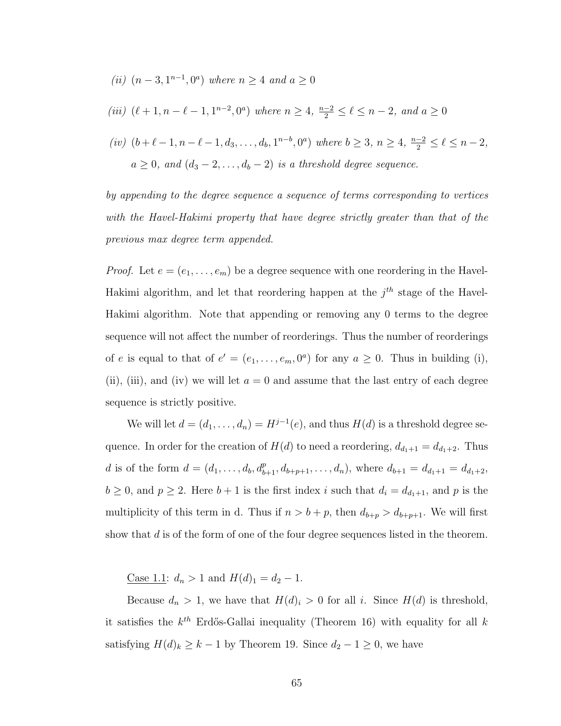(*ii*)  $(n-3, 1^{n-1}, 0^a)$  where  $n \ge 4$  and  $a \ge 0$ 

(iii) 
$$
(\ell+1, n-\ell-1, 1^{n-2}, 0^a)
$$
 where  $n \ge 4$ ,  $\frac{n-2}{2} \le \ell \le n-2$ , and  $a \ge 0$ 

$$
(iv) \ (b+\ell-1,n-\ell-1,d_3,\ldots,d_b,1^{n-b},0^a) \text{ where } b \geq 3, n \geq 4, \frac{n-2}{2} \leq \ell \leq n-2,
$$
  

$$
a \geq 0, \text{ and } (d_3-2,\ldots,d_b-2) \text{ is a threshold degree sequence.}
$$

by appending to the degree sequence a sequence of terms corresponding to vertices with the Havel-Hakimi property that have degree strictly greater than that of the previous max degree term appended.

*Proof.* Let  $e = (e_1, \ldots, e_m)$  be a degree sequence with one reordering in the Havel-Hakimi algorithm, and let that reordering happen at the  $j<sup>th</sup>$  stage of the Havel-Hakimi algorithm. Note that appending or removing any 0 terms to the degree sequence will not affect the number of reorderings. Thus the number of reorderings of e is equal to that of  $e' = (e_1, \ldots, e_m, 0^a)$  for any  $a \geq 0$ . Thus in building (i), (ii), (iii), and (iv) we will let  $a = 0$  and assume that the last entry of each degree sequence is strictly positive.

We will let  $d = (d_1, \ldots, d_n) = H^{j-1}(e)$ , and thus  $H(d)$  is a threshold degree sequence. In order for the creation of  $H(d)$  to need a reordering,  $d_{d_1+1} = d_{d_1+2}$ . Thus d is of the form  $d = (d_1, \ldots, d_b, d_{b+1}^p, d_{b+p+1}, \ldots, d_n)$ , where  $d_{b+1} = d_{d_1+1} = d_{d_1+2}$ ,  $b \ge 0$ , and  $p \ge 2$ . Here  $b+1$  is the first index i such that  $d_i = d_{d_1+1}$ , and p is the multiplicity of this term in d. Thus if  $n > b + p$ , then  $d_{b+p} > d_{b+p+1}$ . We will first show that d is of the form of one of the four degree sequences listed in the theorem.

<u>Case 1.1</u>:  $d_n > 1$  and  $H(d)_1 = d_2 - 1$ .

Because  $d_n > 1$ , we have that  $H(d)_i > 0$  for all i. Since  $H(d)$  is threshold, it satisfies the  $k^{th}$  Erdős-Gallai inequality (Theorem [16\)](#page-68-0) with equality for all k satisfying  $H(d)_k \geq k-1$  by Theorem [19.](#page-69-0) Since  $d_2 - 1 \geq 0$ , we have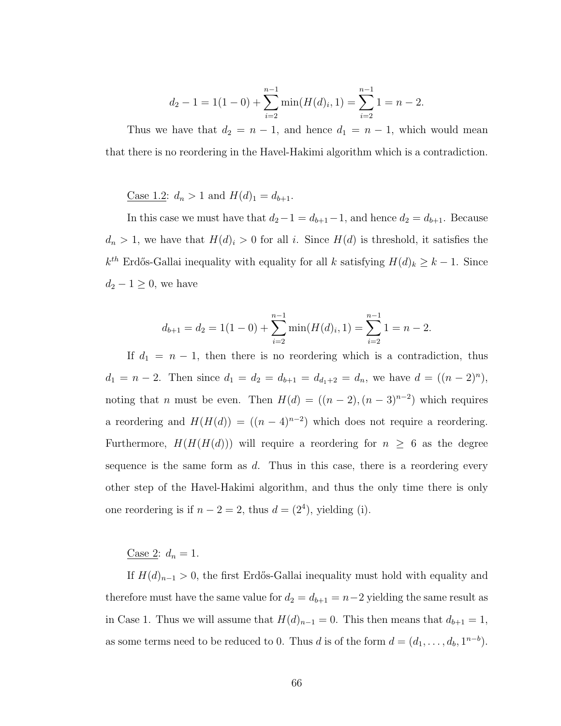$$
d_2 - 1 = 1(1 - 0) + \sum_{i=2}^{n-1} \min(H(d)_i, 1) = \sum_{i=2}^{n-1} 1 = n - 2.
$$

Thus we have that  $d_2 = n - 1$ , and hence  $d_1 = n - 1$ , which would mean that there is no reordering in the Havel-Hakimi algorithm which is a contradiction.

<u>Case 1.2</u>:  $d_n > 1$  and  $H(d)_1 = d_{b+1}$ .

In this case we must have that  $d_2-1 = d_{b+1}-1$ , and hence  $d_2 = d_{b+1}$ . Because  $d_n > 1$ , we have that  $H(d)_i > 0$  for all i. Since  $H(d)$  is threshold, it satisfies the  $k^{th}$  Erdős-Gallai inequality with equality for all k satisfying  $H(d)_k \geq k-1$ . Since  $d_2 - 1 \geq 0$ , we have

$$
d_{b+1} = d_2 = 1(1-0) + \sum_{i=2}^{n-1} \min(H(d)_i, 1) = \sum_{i=2}^{n-1} 1 = n-2.
$$

If  $d_1 = n - 1$ , then there is no reordering which is a contradiction, thus  $d_1 = n - 2$ . Then since  $d_1 = d_2 = d_{b+1} = d_{d_1+2} = d_n$ , we have  $d = ((n-2)^n)$ , noting that *n* must be even. Then  $H(d) = ((n-2), (n-3)^{n-2})$  which requires a reordering and  $H(H(d)) = ((n-4)^{n-2})$  which does not require a reordering. Furthermore,  $H(H(H(d)))$  will require a reordering for  $n \geq 6$  as the degree sequence is the same form as  $d$ . Thus in this case, there is a reordering every other step of the Havel-Hakimi algorithm, and thus the only time there is only one reordering is if  $n - 2 = 2$ , thus  $d = (2^4)$ , yielding (i).

## Case 2:  $d_n = 1$ .

If  $H(d)_{n-1} > 0$ , the first Erdős-Gallai inequality must hold with equality and therefore must have the same value for  $d_2 = d_{b+1} = n-2$  yielding the same result as in Case 1. Thus we will assume that  $H(d)_{n-1} = 0$ . This then means that  $d_{b+1} = 1$ , as some terms need to be reduced to 0. Thus d is of the form  $d = (d_1, \ldots, d_b, 1^{n-b})$ .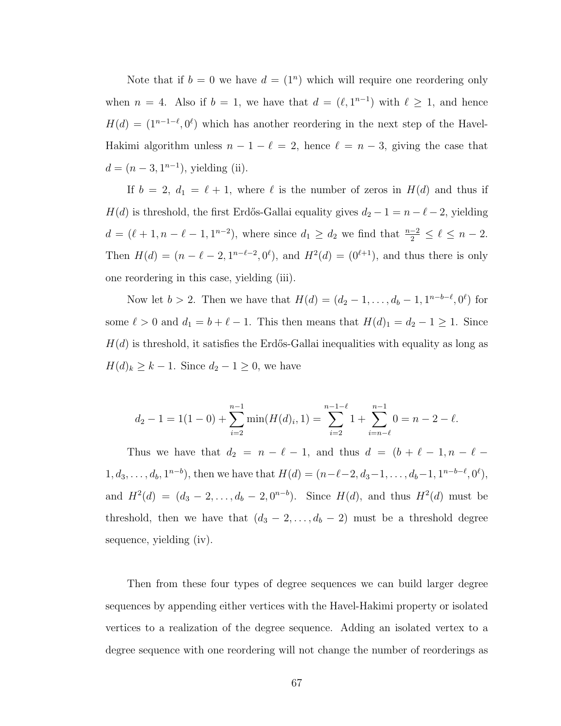Note that if  $b = 0$  we have  $d = (1^n)$  which will require one reordering only when  $n = 4$ . Also if  $b = 1$ , we have that  $d = (\ell, 1^{n-1})$  with  $\ell \geq 1$ , and hence  $H(d) = (1^{n-1-\ell}, 0^{\ell})$  which has another reordering in the next step of the Havel-Hakimi algorithm unless  $n - 1 - \ell = 2$ , hence  $\ell = n - 3$ , giving the case that  $d = (n-3, 1^{n-1}),$  yielding (ii).

If  $b = 2$ ,  $d_1 = \ell + 1$ , where  $\ell$  is the number of zeros in  $H(d)$  and thus if  $H(d)$  is threshold, the first Erdős-Gallai equality gives  $d_2 - 1 = n - \ell - 2$ , yielding  $d = (\ell + 1, n - \ell - 1, 1^{n-2})$ , where since  $d_1 \geq d_2$  we find that  $\frac{n-2}{2} \leq \ell \leq n-2$ . Then  $H(d) = (n - \ell - 2, 1^{n-\ell-2}, 0^{\ell})$ , and  $H^2(d) = (0^{\ell+1})$ , and thus there is only one reordering in this case, yielding (iii).

Now let  $b > 2$ . Then we have that  $H(d) = (d_2 - 1, \ldots, d_b - 1, 1^{n-b-\ell}, 0^{\ell})$  for some  $\ell > 0$  and  $d_1 = b + \ell - 1$ . This then means that  $H(d)_1 = d_2 - 1 \ge 1$ . Since  $H(d)$  is threshold, it satisfies the Erdős-Gallai inequalities with equality as long as  $H(d)_k \geq k - 1$ . Since  $d_2 - 1 \geq 0$ , we have

$$
d_2 - 1 = 1(1 - 0) + \sum_{i=2}^{n-1} \min(H(d)_i, 1) = \sum_{i=2}^{n-1-\ell} 1 + \sum_{i=n-\ell}^{n-1} 0 = n - 2 - \ell.
$$

Thus we have that  $d_2 = n - \ell - 1$ , and thus  $d = (b + \ell - 1, n - \ell - 1)$  $1, d_3, \ldots, d_b, 1^{n-b}$ , then we have that  $H(d) = (n-\ell-2, d_3-1, \ldots, d_b-1, 1^{n-b-\ell}, 0^{\ell}),$ and  $H^2(d) = (d_3 - 2, \ldots, d_b - 2, 0^{n-b})$ . Since  $H(d)$ , and thus  $H^2(d)$  must be threshold, then we have that  $(d_3 - 2, \ldots, d_b - 2)$  must be a threshold degree sequence, yielding (iv).

Then from these four types of degree sequences we can build larger degree sequences by appending either vertices with the Havel-Hakimi property or isolated vertices to a realization of the degree sequence. Adding an isolated vertex to a degree sequence with one reordering will not change the number of reorderings as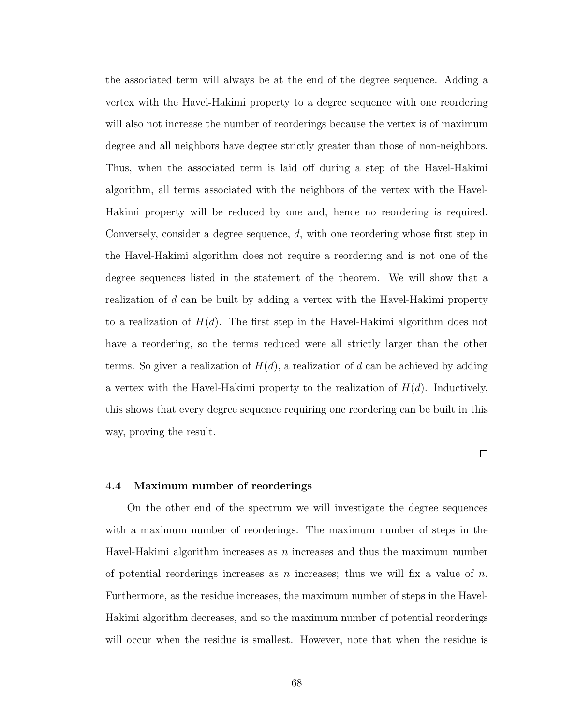the associated term will always be at the end of the degree sequence. Adding a vertex with the Havel-Hakimi property to a degree sequence with one reordering will also not increase the number of reorderings because the vertex is of maximum degree and all neighbors have degree strictly greater than those of non-neighbors. Thus, when the associated term is laid off during a step of the Havel-Hakimi algorithm, all terms associated with the neighbors of the vertex with the Havel-Hakimi property will be reduced by one and, hence no reordering is required. Conversely, consider a degree sequence, d, with one reordering whose first step in the Havel-Hakimi algorithm does not require a reordering and is not one of the degree sequences listed in the statement of the theorem. We will show that a realization of d can be built by adding a vertex with the Havel-Hakimi property to a realization of  $H(d)$ . The first step in the Havel-Hakimi algorithm does not have a reordering, so the terms reduced were all strictly larger than the other terms. So given a realization of  $H(d)$ , a realization of d can be achieved by adding a vertex with the Havel-Hakimi property to the realization of  $H(d)$ . Inductively, this shows that every degree sequence requiring one reordering can be built in this way, proving the result.

 $\Box$ 

# 4.4 Maximum number of reorderings

On the other end of the spectrum we will investigate the degree sequences with a maximum number of reorderings. The maximum number of steps in the Havel-Hakimi algorithm increases as  $n$  increases and thus the maximum number of potential reorderings increases as n increases; thus we will fix a value of  $n$ . Furthermore, as the residue increases, the maximum number of steps in the Havel-Hakimi algorithm decreases, and so the maximum number of potential reorderings will occur when the residue is smallest. However, note that when the residue is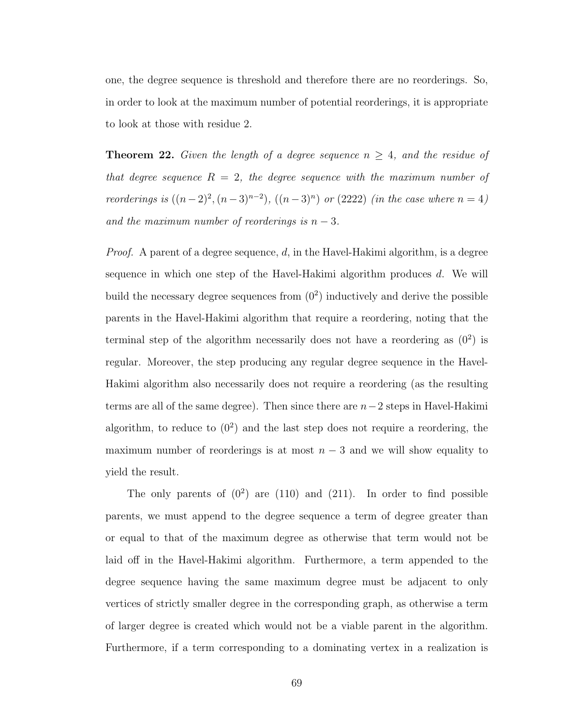one, the degree sequence is threshold and therefore there are no reorderings. So, in order to look at the maximum number of potential reorderings, it is appropriate to look at those with residue 2.

<span id="page-76-0"></span>**Theorem 22.** Given the length of a degree sequence  $n \geq 4$ , and the residue of that degree sequence  $R = 2$ , the degree sequence with the maximum number of reorderings is  $((n-2)^2, (n-3)^{n-2})$ ,  $((n-3)^n)$  or  $(2222)$  *(in the case where*  $n = 4)$ ) and the maximum number of reorderings is  $n-3$ .

*Proof.* A parent of a degree sequence,  $d$ , in the Havel-Hakimi algorithm, is a degree sequence in which one step of the Havel-Hakimi algorithm produces  $d$ . We will build the necessary degree sequences from  $(0^2)$  inductively and derive the possible parents in the Havel-Hakimi algorithm that require a reordering, noting that the terminal step of the algorithm necessarily does not have a reordering as  $(0^2)$  is regular. Moreover, the step producing any regular degree sequence in the Havel-Hakimi algorithm also necessarily does not require a reordering (as the resulting terms are all of the same degree). Then since there are  $n-2$  steps in Havel-Hakimi algorithm, to reduce to  $(0^2)$  and the last step does not require a reordering, the maximum number of reorderings is at most  $n-3$  and we will show equality to yield the result.

The only parents of  $(0^2)$  are  $(110)$  and  $(211)$ . In order to find possible parents, we must append to the degree sequence a term of degree greater than or equal to that of the maximum degree as otherwise that term would not be laid off in the Havel-Hakimi algorithm. Furthermore, a term appended to the degree sequence having the same maximum degree must be adjacent to only vertices of strictly smaller degree in the corresponding graph, as otherwise a term of larger degree is created which would not be a viable parent in the algorithm. Furthermore, if a term corresponding to a dominating vertex in a realization is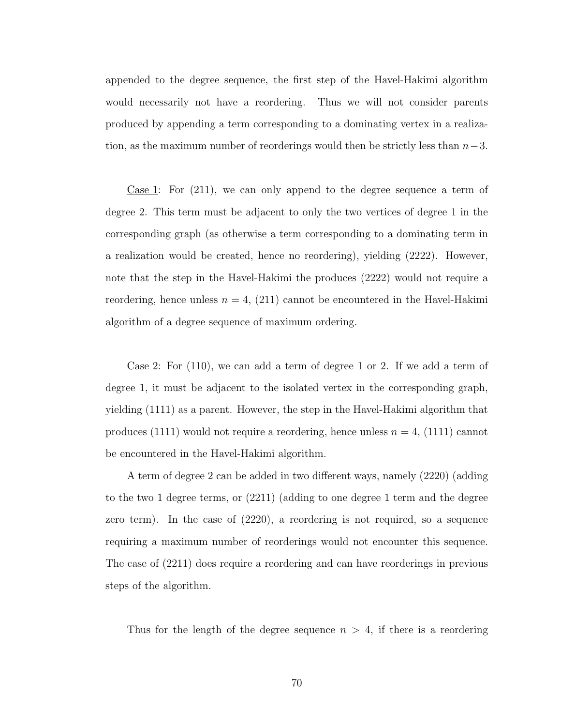appended to the degree sequence, the first step of the Havel-Hakimi algorithm would necessarily not have a reordering. Thus we will not consider parents produced by appending a term corresponding to a dominating vertex in a realization, as the maximum number of reorderings would then be strictly less than  $n-3$ .

Case 1: For (211), we can only append to the degree sequence a term of degree 2. This term must be adjacent to only the two vertices of degree 1 in the corresponding graph (as otherwise a term corresponding to a dominating term in a realization would be created, hence no reordering), yielding (2222). However, note that the step in the Havel-Hakimi the produces (2222) would not require a reordering, hence unless  $n = 4$ , (211) cannot be encountered in the Havel-Hakimi algorithm of a degree sequence of maximum ordering.

Case 2: For (110), we can add a term of degree 1 or 2. If we add a term of degree 1, it must be adjacent to the isolated vertex in the corresponding graph, yielding (1111) as a parent. However, the step in the Havel-Hakimi algorithm that produces (1111) would not require a reordering, hence unless  $n = 4$ , (1111) cannot be encountered in the Havel-Hakimi algorithm.

A term of degree 2 can be added in two different ways, namely (2220) (adding to the two 1 degree terms, or (2211) (adding to one degree 1 term and the degree zero term). In the case of (2220), a reordering is not required, so a sequence requiring a maximum number of reorderings would not encounter this sequence. The case of (2211) does require a reordering and can have reorderings in previous steps of the algorithm.

Thus for the length of the degree sequence  $n > 4$ , if there is a reordering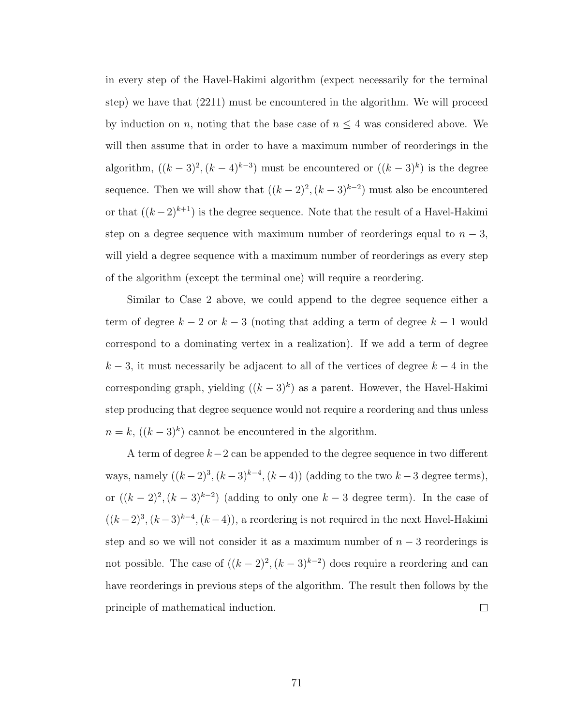in every step of the Havel-Hakimi algorithm (expect necessarily for the terminal step) we have that (2211) must be encountered in the algorithm. We will proceed by induction on n, noting that the base case of  $n \leq 4$  was considered above. We will then assume that in order to have a maximum number of reorderings in the algorithm,  $((k-3)^2, (k-4)^{k-3})$  must be encountered or  $((k-3)^k)$  is the degree sequence. Then we will show that  $((k-2)^2, (k-3)^{k-2})$  must also be encountered or that  $((k-2)^{k+1})$  is the degree sequence. Note that the result of a Havel-Hakimi step on a degree sequence with maximum number of reorderings equal to  $n-3$ , will yield a degree sequence with a maximum number of reorderings as every step of the algorithm (except the terminal one) will require a reordering.

Similar to Case 2 above, we could append to the degree sequence either a term of degree  $k - 2$  or  $k - 3$  (noting that adding a term of degree  $k - 1$  would correspond to a dominating vertex in a realization). If we add a term of degree  $k-3$ , it must necessarily be adjacent to all of the vertices of degree  $k-4$  in the corresponding graph, yielding  $((k-3)^k)$  as a parent. However, the Havel-Hakimi step producing that degree sequence would not require a reordering and thus unless  $n = k, ((k-3)^k)$  cannot be encountered in the algorithm.

A term of degree k−2 can be appended to the degree sequence in two different ways, namely  $((k-2)^3, (k-3)^{k-4}, (k-4))$  (adding to the two  $k-3$  degree terms), or  $((k-2)^2, (k-3)^{k-2})$  (adding to only one  $k-3$  degree term). In the case of  $((k-2)^3, (k-3)^{k-4}, (k-4))$ , a reordering is not required in the next Havel-Hakimi step and so we will not consider it as a maximum number of  $n-3$  reorderings is not possible. The case of  $((k-2)^2, (k-3)^{k-2})$  does require a reordering and can have reorderings in previous steps of the algorithm. The result then follows by the principle of mathematical induction.  $\Box$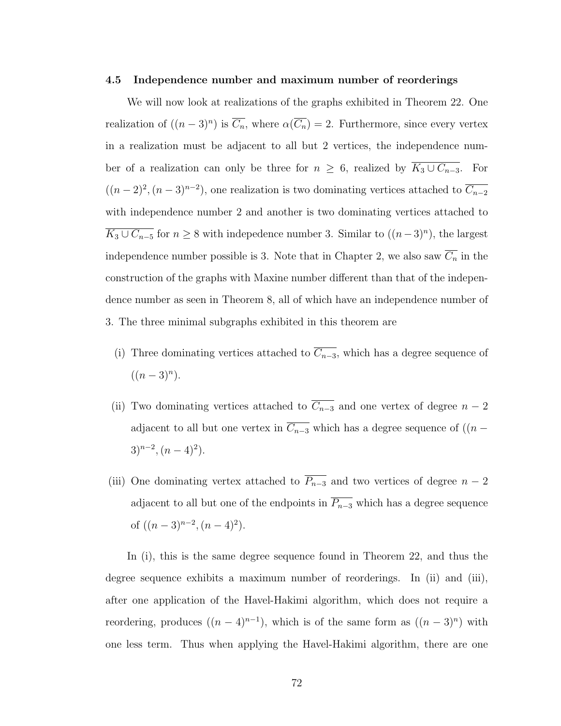## 4.5 Independence number and maximum number of reorderings

We will now look at realizations of the graphs exhibited in Theorem [22.](#page-76-0) One realization of  $((n-3)^n)$  is  $\overline{C_n}$ , where  $\alpha(\overline{C_n})=2$ . Furthermore, since every vertex in a realization must be adjacent to all but 2 vertices, the independence number of a realization can only be three for  $n \geq 6$ , realized by  $\overline{K_3 \cup C_{n-3}}$ . For  $((n-2)^2, (n-3)^{n-2})$ , one realization is two dominating vertices attached to  $\overline{C_{n-2}}$ with independence number 2 and another is two dominating vertices attached to  $\overline{K_3 \cup C_{n-5}}$  for  $n \geq 8$  with indepedence number 3. Similar to  $((n-3)^n)$ , the largest independence number possible is 3. Note that in Chapter [2,](#page-15-0) we also saw  $\overline{C_n}$  in the construction of the graphs with Maxine number different than that of the independence number as seen in Theorem [8,](#page-20-0) all of which have an independence number of 3. The three minimal subgraphs exhibited in this theorem are

- (i) Three dominating vertices attached to  $\overline{C_{n-3}}$ , which has a degree sequence of  $((n-3)^n).$
- (ii) Two dominating vertices attached to  $\overline{C_{n-3}}$  and one vertex of degree  $n-2$ adjacent to all but one vertex in  $\overline{C_{n-3}}$  which has a degree sequence of ((n −  $3)^{n-2}$ ,  $(n-4)^2$ .
- (iii) One dominating vertex attached to  $\overline{P_{n-3}}$  and two vertices of degree  $n-2$ adjacent to all but one of the endpoints in  $\overline{P_{n-3}}$  which has a degree sequence of  $((n-3)^{n-2}, (n-4)^2)$ .

In (i), this is the same degree sequence found in Theorem [22,](#page-76-0) and thus the degree sequence exhibits a maximum number of reorderings. In (ii) and (iii), after one application of the Havel-Hakimi algorithm, which does not require a reordering, produces  $((n-4)^{n-1})$ , which is of the same form as  $((n-3)^n)$  with one less term. Thus when applying the Havel-Hakimi algorithm, there are one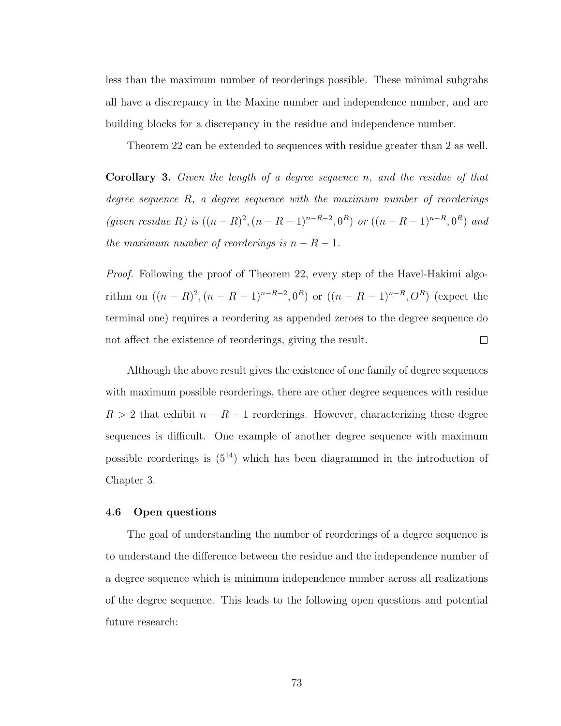less than the maximum number of reorderings possible. These minimal subgrahs all have a discrepancy in the Maxine number and independence number, and are building blocks for a discrepancy in the residue and independence number.

Theorem [22](#page-76-0) can be extended to sequences with residue greater than 2 as well.

**Corollary 3.** Given the length of a degree sequence  $n$ , and the residue of that degree sequence R, a degree sequence with the maximum number of reorderings (given residue R) is  $((n - R)^2, (n - R - 1)^{n - R - 2}, 0^R)$  or  $((n - R - 1)^{n - R}, 0^R)$  and the maximum number of reorderings is  $n - R - 1$ .

*Proof.* Following the proof of Theorem [22,](#page-76-0) every step of the Havel-Hakimi algorithm on  $((n - R)^2, (n - R - 1)^{n - R - 2}, 0^R)$  or  $((n - R - 1)^{n - R}, O^R)$  (expect the terminal one) requires a reordering as appended zeroes to the degree sequence do not affect the existence of reorderings, giving the result.  $\Box$ 

Although the above result gives the existence of one family of degree sequences with maximum possible reorderings, there are other degree sequences with residue  $R > 2$  that exhibit  $n - R - 1$  reorderings. However, characterizing these degree sequences is difficult. One example of another degree sequence with maximum possible reorderings is  $(5^{14})$  which has been diagrammed in the introduction of Chapter [3.](#page-29-0)

#### 4.6 Open questions

The goal of understanding the number of reorderings of a degree sequence is to understand the difference between the residue and the independence number of a degree sequence which is minimum independence number across all realizations of the degree sequence. This leads to the following open questions and potential future research: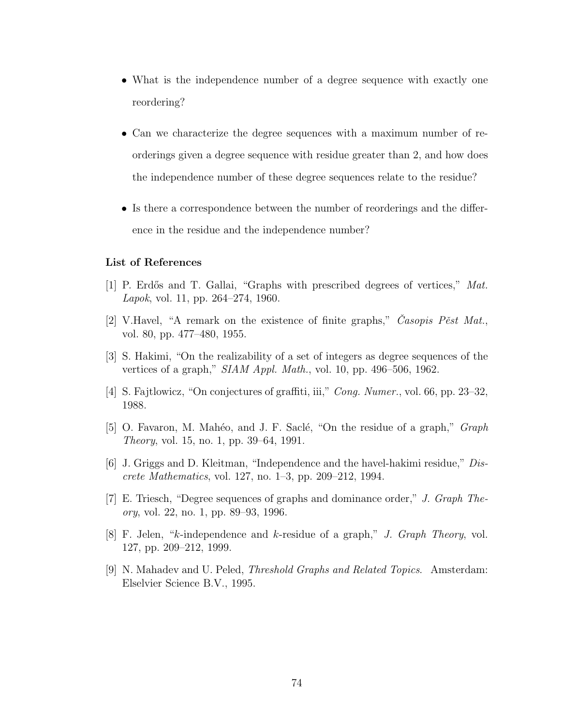- What is the independence number of a degree sequence with exactly one reordering?
- Can we characterize the degree sequences with a maximum number of reorderings given a degree sequence with residue greater than 2, and how does the independence number of these degree sequences relate to the residue?
- Is there a correspondence between the number of reorderings and the difference in the residue and the independence number?

# List of References

- [1] P. Erd˝os and T. Gallai, "Graphs with prescribed degrees of vertices," Mat. Lapok, vol. 11, pp. 264–274, 1960.
- [2] V.Havel, "A remark on the existence of finite graphs," Casopis Pest Mat., vol. 80, pp. 477–480, 1955.
- [3] S. Hakimi, "On the realizability of a set of integers as degree sequences of the vertices of a graph," SIAM Appl. Math., vol. 10, pp. 496–506, 1962.
- [4] S. Fajtlowicz, "On conjectures of graffiti, iii," Cong. Numer., vol. 66, pp. 23–32, 1988.
- [5] O. Favaron, M. Mahéo, and J. F. Saclé, "On the residue of a graph," *Graph* Theory, vol. 15, no. 1, pp. 39–64, 1991.
- [6] J. Griggs and D. Kleitman, "Independence and the havel-hakimi residue," Discrete Mathematics, vol. 127, no. 1–3, pp. 209–212, 1994.
- [7] E. Triesch, "Degree sequences of graphs and dominance order," J. Graph Theory, vol. 22, no. 1, pp. 89–93, 1996.
- [8] F. Jelen, "k-independence and k-residue of a graph," J. Graph Theory, vol. 127, pp. 209–212, 1999.
- [9] N. Mahadev and U. Peled, Threshold Graphs and Related Topics. Amsterdam: Elselvier Science B.V., 1995.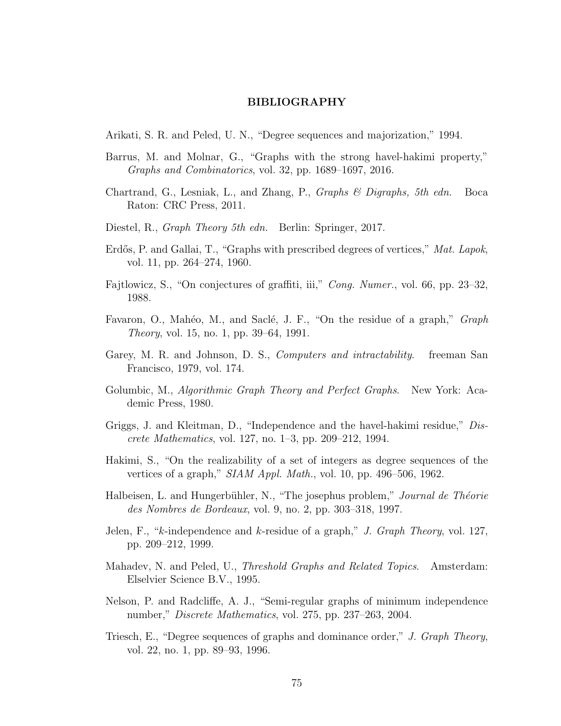### BIBLIOGRAPHY

Arikati, S. R. and Peled, U. N., "Degree sequences and majorization," 1994.

- Barrus, M. and Molnar, G., "Graphs with the strong havel-hakimi property," Graphs and Combinatorics, vol. 32, pp. 1689–1697, 2016.
- Chartrand, G., Lesniak, L., and Zhang, P., Graphs & Digraphs, 5th edn. Boca Raton: CRC Press, 2011.
- Diestel, R., Graph Theory 5th edn. Berlin: Springer, 2017.
- Erdős, P. and Gallai, T., "Graphs with prescribed degrees of vertices," Mat. Lapok, vol. 11, pp. 264–274, 1960.
- Fajtlowicz, S., "On conjectures of graffiti, iii," Cong. Numer., vol. 66, pp. 23–32, 1988.
- Favaron, O., Mahéo, M., and Saclé, J. F., "On the residue of a graph," *Graph* Theory, vol. 15, no. 1, pp. 39–64, 1991.
- Garey, M. R. and Johnson, D. S., *Computers and intractability*. freeman San Francisco, 1979, vol. 174.
- Golumbic, M., *Algorithmic Graph Theory and Perfect Graphs*. New York: Academic Press, 1980.
- Griggs, J. and Kleitman, D., "Independence and the havel-hakimi residue," Discrete Mathematics, vol. 127, no. 1–3, pp. 209–212, 1994.
- Hakimi, S., "On the realizability of a set of integers as degree sequences of the vertices of a graph,"  $SIAM Appl. Math., vol. 10, pp. 496-506, 1962.$
- Halbeisen, L. and Hungerbühler, N., "The josephus problem," Journal de Théorie des Nombres de Bordeaux, vol. 9, no. 2, pp. 303–318, 1997.
- Jelen, F., "k-independence and k-residue of a graph," J. Graph Theory, vol. 127, pp. 209–212, 1999.
- Mahadev, N. and Peled, U., *Threshold Graphs and Related Topics*. Amsterdam: Elselvier Science B.V., 1995.
- Nelson, P. and Radcliffe, A. J., "Semi-regular graphs of minimum independence number," Discrete Mathematics, vol. 275, pp. 237–263, 2004.
- Triesch, E., "Degree sequences of graphs and dominance order," J. Graph Theory, vol. 22, no. 1, pp. 89–93, 1996.